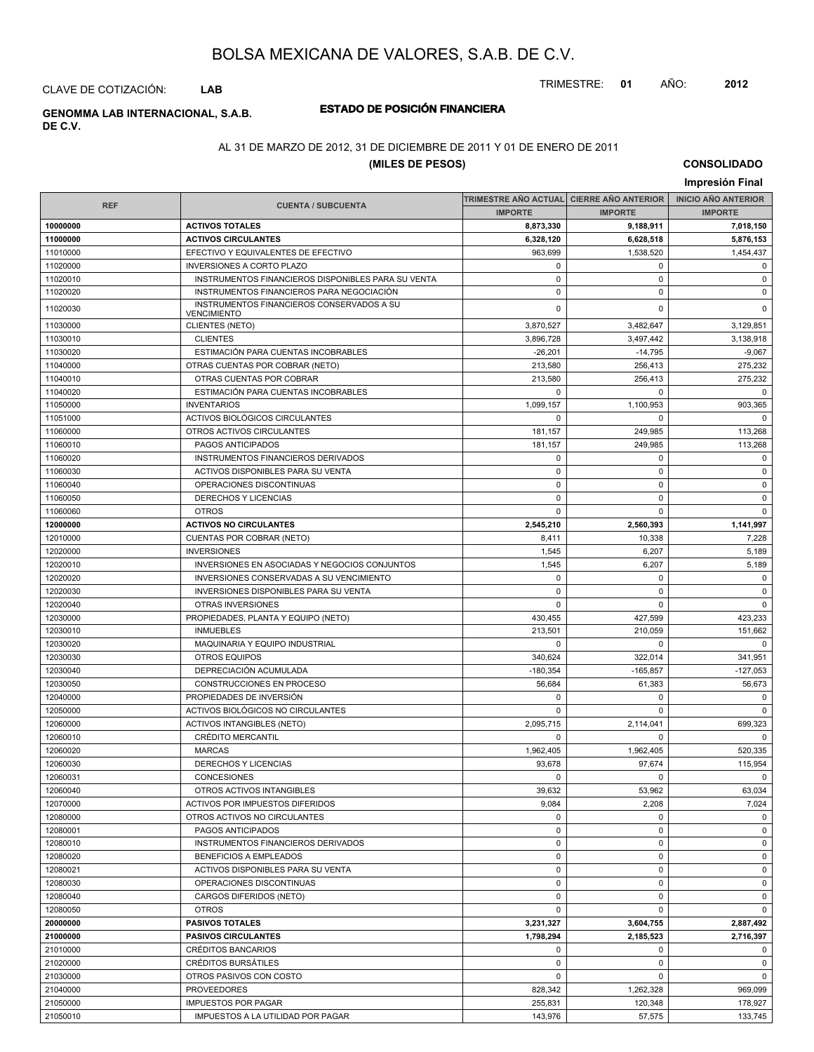TRIMESTRE: **01** AÑO: **2012**

#### CLAVE DE COTIZACIÓN: **LAB**

# **DE C.V.**

## **ESTADO DE POSICIÓN FINANCIERA GENOMMA LAB INTERNACIONAL, S.A.B.**

#### AL 31 DE MARZO DE 2012, 31 DE DICIEMBRE DE 2011 Y 01 DE ENERO DE 2011

#### **(MILES DE PESOS)**

**CONSOLIDADO Impresión Final**

| <b>REF</b>           | <b>CUENTA / SUBCUENTA</b>                                 | TRIMESTRE AÑO ACTUAL CIERRE AÑO ANTERIOR |                      | <b>INICIO AÑO ANTERIOR</b> |  |
|----------------------|-----------------------------------------------------------|------------------------------------------|----------------------|----------------------------|--|
|                      |                                                           | <b>IMPORTE</b>                           | <b>IMPORTE</b>       | <b>IMPORTE</b>             |  |
| 10000000             | <b>ACTIVOS TOTALES</b>                                    | 8,873,330                                | 9,188,911            | 7,018,150                  |  |
| 11000000             | <b>ACTIVOS CIRCULANTES</b>                                | 6,328,120                                | 6,628,518            | 5,876,153                  |  |
| 11010000             | EFECTIVO Y EQUIVALENTES DE EFECTIVO                       | 963,699                                  | 1,538,520            | 1,454,437                  |  |
| 11020000             | <b>INVERSIONES A CORTO PLAZO</b>                          | $\mathbf 0$                              | 0                    | $\mathbf 0$                |  |
| 11020010             | INSTRUMENTOS FINANCIEROS DISPONIBLES PARA SU VENTA        | 0                                        | 0                    | $\mathbf 0$                |  |
| 11020020             | INSTRUMENTOS FINANCIEROS PARA NEGOCIACIÓN                 | $\mathbf 0$                              | 0                    | $\mathbf 0$                |  |
| 11020030             | INSTRUMENTOS FINANCIEROS CONSERVADOS A SU                 | 0                                        | 0                    | 0                          |  |
| 11030000             | <b>VENCIMIENTO</b><br><b>CLIENTES (NETO)</b>              | 3,870,527                                | 3,482,647            | 3,129,851                  |  |
| 11030010             | <b>CLIENTES</b>                                           | 3,896,728                                | 3,497,442            | 3,138,918                  |  |
| 11030020             | ESTIMACIÓN PARA CUENTAS INCOBRABLES                       |                                          |                      | $-9,067$                   |  |
| 11040000             |                                                           | $-26,201$<br>213,580                     | $-14,795$<br>256,413 | 275,232                    |  |
|                      | OTRAS CUENTAS POR COBRAR (NETO)                           |                                          | 256,413              |                            |  |
| 11040010             | OTRAS CUENTAS POR COBRAR                                  | 213,580<br>0                             | $\mathbf 0$          | 275,232<br>$\mathbf 0$     |  |
| 11040020<br>11050000 | ESTIMACIÓN PARA CUENTAS INCOBRABLES<br><b>INVENTARIOS</b> | 1,099,157                                | 1,100,953            | 903,365                    |  |
|                      |                                                           | $\mathbf 0$                              | 0                    | $\mathbf 0$                |  |
| 11051000             | ACTIVOS BIOLÓGICOS CIRCULANTES                            |                                          |                      |                            |  |
| 11060000             | OTROS ACTIVOS CIRCULANTES                                 | 181,157                                  | 249,985              | 113,268                    |  |
| 11060010             | PAGOS ANTICIPADOS                                         | 181,157                                  | 249,985              | 113,268                    |  |
| 11060020             | INSTRUMENTOS FINANCIEROS DERIVADOS                        | $\mathbf 0$                              | 0                    | $\mathbf 0$                |  |
| 11060030             | ACTIVOS DISPONIBLES PARA SU VENTA                         | $\mathbf 0$                              | 0                    | $\mathbf 0$                |  |
| 11060040             | OPERACIONES DISCONTINUAS                                  | $\mathbf 0$                              | $\mathbf 0$          | $\mathsf 0$                |  |
| 11060050             | DERECHOS Y LICENCIAS                                      | $\mathbf 0$                              | 0                    | $\mathbf 0$                |  |
| 11060060             | <b>OTROS</b>                                              | $\mathbf 0$                              | 0                    | $\mathbf 0$                |  |
| 12000000             | <b>ACTIVOS NO CIRCULANTES</b>                             | 2,545,210                                | 2,560,393            | 1,141,997                  |  |
| 12010000             | CUENTAS POR COBRAR (NETO)                                 | 8,411                                    | 10,338               | 7,228                      |  |
| 12020000             | <b>INVERSIONES</b>                                        | 1,545                                    | 6,207                | 5,189                      |  |
| 12020010             | INVERSIONES EN ASOCIADAS Y NEGOCIOS CONJUNTOS             | 1,545                                    | 6,207                | 5,189                      |  |
| 12020020             | INVERSIONES CONSERVADAS A SU VENCIMIENTO                  | $\mathbf 0$                              | 0                    | $\mathbf 0$                |  |
| 12020030             | INVERSIONES DISPONIBLES PARA SU VENTA                     | $\mathbf 0$                              | 0                    | $\mathbf 0$                |  |
| 12020040             | OTRAS INVERSIONES                                         | $\mathbf 0$                              | 0                    | $\mathbf 0$                |  |
| 12030000             | PROPIEDADES, PLANTA Y EQUIPO (NETO)                       | 430,455                                  | 427,599              | 423,233                    |  |
| 12030010             | <b>INMUEBLES</b>                                          | 213,501                                  | 210,059              | 151,662                    |  |
| 12030020             | MAQUINARIA Y EQUIPO INDUSTRIAL                            | 0                                        | $\mathbf 0$          | $\Omega$                   |  |
| 12030030             | OTROS EQUIPOS                                             | 340,624                                  | 322,014              | 341,951                    |  |
| 12030040             | DEPRECIACIÓN ACUMULADA                                    | $-180,354$                               | $-165,857$           | $-127,053$                 |  |
| 12030050             | CONSTRUCCIONES EN PROCESO                                 | 56,684                                   | 61,383               | 56,673                     |  |
| 12040000             | PROPIEDADES DE INVERSIÓN                                  | $\mathbf 0$                              | 0                    | $\mathbf 0$                |  |
| 12050000             | ACTIVOS BIOLÓGICOS NO CIRCULANTES                         | $\mathbf 0$                              | 0                    | $\mathbf 0$                |  |
| 12060000             | <b>ACTIVOS INTANGIBLES (NETO)</b>                         | 2,095,715                                | 2,114,041            | 699,323                    |  |
| 12060010             | <b>CRÉDITO MERCANTIL</b>                                  | $\mathbf 0$                              | 0                    | $\mathbf 0$                |  |
| 12060020             | <b>MARCAS</b>                                             | 1,962,405                                | 1,962,405            | 520,335                    |  |
| 12060030             | DERECHOS Y LICENCIAS                                      | 93,678                                   | 97,674               | 115,954                    |  |
| 12060031             | <b>CONCESIONES</b>                                        | $\mathbf 0$                              | 0                    | $\mathbf 0$                |  |
| 12060040             | OTROS ACTIVOS INTANGIBLES                                 | 39,632                                   | 53,962               | 63,034                     |  |
| 12070000             | <b>ACTIVOS POR IMPUESTOS DIFERIDOS</b>                    | 9,084                                    | 2,208                | 7,024                      |  |
| 12080000             | OTROS ACTIVOS NO CIRCULANTES                              | 0                                        | 0                    | $\mathbf 0$                |  |
| 12080001             | PAGOS ANTICIPADOS                                         | 0                                        | 0                    | $\mathbf 0$                |  |
| 12080010             | INSTRUMENTOS FINANCIEROS DERIVADOS                        | 0                                        | $\mathsf 0$          | $\mathbf 0$                |  |
| 12080020             | <b>BENEFICIOS A EMPLEADOS</b>                             | 0                                        | 0                    | $\mathbf 0$                |  |
| 12080021             | ACTIVOS DISPONIBLES PARA SU VENTA                         | 0                                        | 0                    | $\mathbf 0$                |  |
| 12080030             | OPERACIONES DISCONTINUAS                                  | $\mathbf 0$                              | $\mathsf 0$          | $\mathbf 0$                |  |
| 12080040             | CARGOS DIFERIDOS (NETO)                                   | 0                                        | 0                    | $\mathbf 0$                |  |
| 12080050             | <b>OTROS</b>                                              | 0                                        | 0                    | $\mathbf 0$                |  |
| 20000000             | <b>PASIVOS TOTALES</b>                                    | 3,231,327                                | 3,604,755            | 2,887,492                  |  |
| 21000000             | <b>PASIVOS CIRCULANTES</b>                                | 1,798,294                                | 2,185,523            | 2,716,397                  |  |
| 21010000             | CRÉDITOS BANCARIOS                                        | 0                                        | 0                    | $\mathbf 0$                |  |
| 21020000             | <b>CRÉDITOS BURSÁTILES</b>                                | 0                                        | $\mathbf 0$          | $\mathbf 0$                |  |
| 21030000             | OTROS PASIVOS CON COSTO                                   | $\mathbf 0$                              | 0                    | $\mathbf 0$                |  |
| 21040000             | <b>PROVEEDORES</b>                                        | 828,342                                  | 1,262,328            | 969,099                    |  |
| 21050000             | <b>IMPUESTOS POR PAGAR</b>                                | 255,831                                  | 120,348              | 178,927                    |  |
| 21050010             | IMPUESTOS A LA UTILIDAD POR PAGAR                         | 143,976                                  | 57,575               | 133,745                    |  |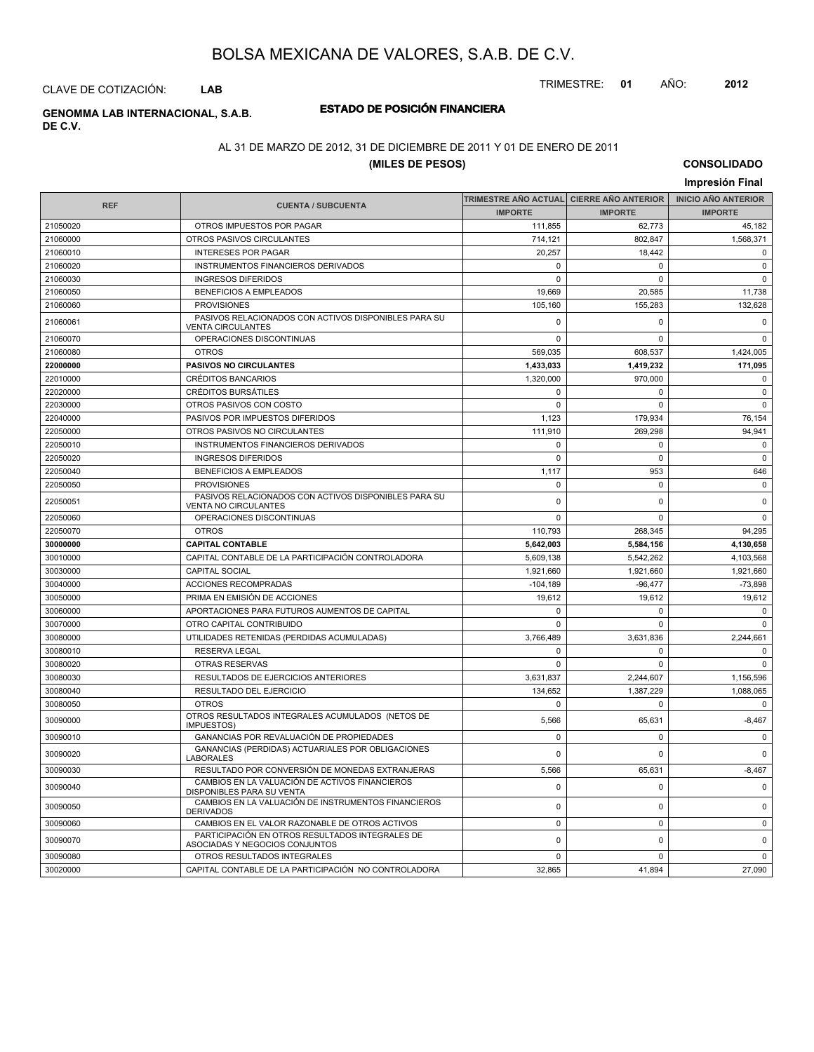TRIMESTRE: **01** AÑO: **2012**

## CLAVE DE COTIZACIÓN: **LAB**

# **DE C.V.**

## **ESTADO DE POSICIÓN FINANCIERA GENOMMA LAB INTERNACIONAL, S.A.B.**

#### AL 31 DE MARZO DE 2012, 31 DE DICIEMBRE DE 2011 Y 01 DE ENERO DE 2011

#### **(MILES DE PESOS)**

**CONSOLIDADO**

|            |                                                                                     |                                          |                | Impresión Final            |
|------------|-------------------------------------------------------------------------------------|------------------------------------------|----------------|----------------------------|
|            |                                                                                     | TRIMESTRE AÑO ACTUAL CIERRE AÑO ANTERIOR |                | <b>INICIO AÑO ANTERIOR</b> |
| <b>REF</b> | <b>CUENTA / SUBCUENTA</b>                                                           | <b>IMPORTE</b>                           | <b>IMPORTE</b> | <b>IMPORTE</b>             |
| 21050020   | OTROS IMPUESTOS POR PAGAR                                                           | 111,855                                  | 62,773         | 45,182                     |
| 21060000   | OTROS PASIVOS CIRCULANTES                                                           | 714,121                                  | 802,847        | 1,568,371                  |
| 21060010   | <b>INTERESES POR PAGAR</b>                                                          | 20,257                                   | 18,442         | $\mathbf 0$                |
| 21060020   | INSTRUMENTOS FINANCIEROS DERIVADOS                                                  | $\mathbf 0$                              | $\Omega$       | $\mathbf 0$                |
| 21060030   | <b>INGRESOS DIFERIDOS</b>                                                           | $\mathbf 0$                              | $\mathbf 0$    | $\mathbf 0$                |
| 21060050   | <b>BENEFICIOS A EMPLEADOS</b>                                                       | 19,669                                   | 20,585         | 11,738                     |
| 21060060   | <b>PROVISIONES</b>                                                                  | 105,160                                  | 155,283        | 132,628                    |
| 21060061   | PASIVOS RELACIONADOS CON ACTIVOS DISPONIBLES PARA SU<br><b>VENTA CIRCULANTES</b>    | $\mathbf 0$                              | 0              | $\mathbf 0$                |
| 21060070   | OPERACIONES DISCONTINUAS                                                            | $\mathbf 0$                              | 0              | $\Omega$                   |
| 21060080   | <b>OTROS</b>                                                                        | 569,035                                  | 608,537        | 1,424,005                  |
| 22000000   | <b>PASIVOS NO CIRCULANTES</b>                                                       | 1,433,033                                | 1,419,232      | 171,095                    |
| 22010000   | <b>CRÉDITOS BANCARIOS</b>                                                           | 1,320,000                                | 970,000        | 0                          |
| 22020000   | <b>CRÉDITOS BURSÁTILES</b>                                                          | 0                                        | 0              | $\mathbf 0$                |
| 22030000   | OTROS PASIVOS CON COSTO                                                             | $\mathbf 0$                              | $\Omega$       | $\mathbf 0$                |
| 22040000   | PASIVOS POR IMPUESTOS DIFERIDOS                                                     | 1,123                                    | 179,934        | 76,154                     |
| 22050000   | OTROS PASIVOS NO CIRCULANTES                                                        | 111,910                                  | 269,298        | 94,941                     |
| 22050010   | INSTRUMENTOS FINANCIEROS DERIVADOS                                                  | $\mathbf 0$                              | $\Omega$       | $\mathbf 0$                |
| 22050020   | <b>INGRESOS DIFERIDOS</b>                                                           | $\mathbf 0$                              | $\mathbf 0$    | $\mathbf 0$                |
| 22050040   | <b>BENEFICIOS A EMPLEADOS</b>                                                       | 1,117                                    | 953            | 646                        |
| 22050050   | <b>PROVISIONES</b>                                                                  | $\mathbf 0$                              | $\Omega$       | $\mathbf 0$                |
| 22050051   | PASIVOS RELACIONADOS CON ACTIVOS DISPONIBLES PARA SU<br><b>VENTA NO CIRCULANTES</b> | $\mathbf 0$                              | 0              | $\mathbf 0$                |
| 22050060   | OPERACIONES DISCONTINUAS                                                            | $\mathbf 0$                              | $\mathbf 0$    | $\mathbf 0$                |
| 22050070   | <b>OTROS</b>                                                                        | 110,793                                  | 268,345        | 94,295                     |
| 30000000   | <b>CAPITAL CONTABLE</b>                                                             | 5,642,003                                | 5,584,156      | 4.130.658                  |
| 30010000   | CAPITAL CONTABLE DE LA PARTICIPACIÓN CONTROLADORA                                   | 5,609,138                                | 5,542,262      | 4,103,568                  |
| 30030000   | <b>CAPITAL SOCIAL</b>                                                               | 1,921,660                                | 1,921,660      | 1,921,660                  |
| 30040000   | ACCIONES RECOMPRADAS                                                                | $-104,189$                               | $-96,477$      | $-73,898$                  |
| 30050000   | PRIMA EN EMISIÓN DE ACCIONES                                                        | 19,612                                   | 19,612         | 19,612                     |
| 30060000   | APORTACIONES PARA FUTUROS AUMENTOS DE CAPITAL                                       | $\mathbf 0$                              | 0              | $\mathbf 0$                |
| 30070000   | OTRO CAPITAL CONTRIBUIDO                                                            | $\mathbf 0$                              | $\Omega$       | $\mathbf 0$                |
| 30080000   | UTILIDADES RETENIDAS (PERDIDAS ACUMULADAS)                                          | 3,766,489                                | 3,631,836      | 2,244,661                  |
| 30080010   | <b>RESERVA LEGAL</b>                                                                | $\mathbf 0$                              | 0              | 0                          |
| 30080020   | <b>OTRAS RESERVAS</b>                                                               | $\mathbf 0$                              | $\Omega$       | $\mathbf 0$                |
| 30080030   | RESULTADOS DE EJERCICIOS ANTERIORES                                                 | 3,631,837                                | 2,244,607      | 1,156,596                  |
| 30080040   | <b>RESULTADO DEL EJERCICIO</b>                                                      | 134,652                                  | 1,387,229      | 1,088,065                  |
| 30080050   | <b>OTROS</b>                                                                        | $\mathbf 0$                              | $\Omega$       | $\mathbf 0$                |
| 30090000   | OTROS RESULTADOS INTEGRALES ACUMULADOS (NETOS DE<br><b>IMPUESTOS)</b>               | 5,566                                    | 65,631         | $-8,467$                   |
| 30090010   | GANANCIAS POR REVALUACIÓN DE PROPIEDADES                                            | $\mathbf 0$                              | $\mathbf 0$    | $\mathbf 0$                |
| 30090020   | GANANCIAS (PERDIDAS) ACTUARIALES POR OBLIGACIONES<br><b>LABORALES</b>               | $\mathbf 0$                              | 0              | $\mathbf 0$                |
| 30090030   | RESULTADO POR CONVERSIÓN DE MONEDAS EXTRANJERAS                                     | 5,566                                    | 65,631         | $-8,467$                   |
| 30090040   | CAMBIOS EN LA VALUACIÓN DE ACTIVOS FINANCIEROS<br>DISPONIBLES PARA SU VENTA         | $\mathbf 0$                              | 0              | $\mathbf 0$                |
| 30090050   | CAMBIOS EN LA VALUACIÓN DE INSTRUMENTOS FINANCIEROS<br><b>DERIVADOS</b>             | $\pmb{0}$                                | 0              | $\mathbf 0$                |
| 30090060   | CAMBIOS EN EL VALOR RAZONABLE DE OTROS ACTIVOS                                      | 0                                        | 0              | $\mathbf 0$                |
| 30090070   | PARTICIPACIÓN EN OTROS RESULTADOS INTEGRALES DE<br>ASOCIADAS Y NEGOCIOS CONJUNTOS   | $\mathbf 0$                              | 0              | $\mathbf 0$                |
| 30090080   | OTROS RESULTADOS INTEGRALES                                                         | 0                                        | 0              | $\mathbf 0$                |
| 30020000   | CAPITAL CONTABLE DE LA PARTICIPACIÓN NO CONTROLADORA                                | 32,865                                   | 41,894         | 27,090                     |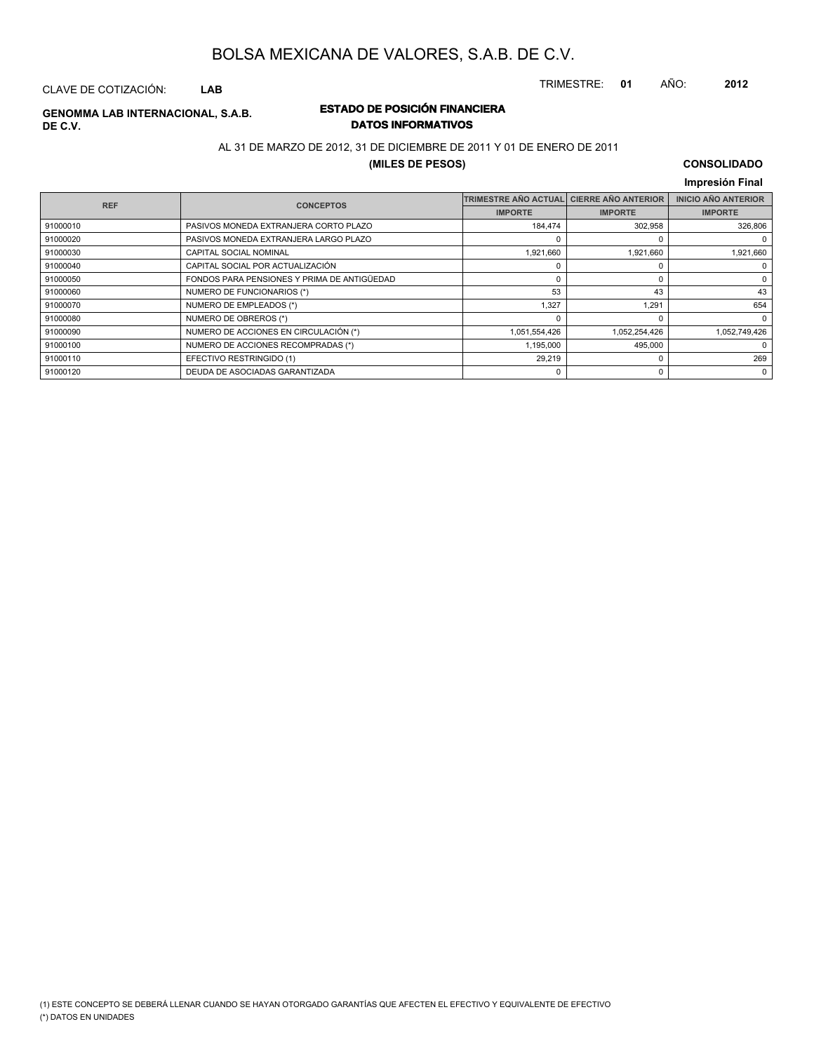TRIMESTRE: **01** AÑO: **2012**

## CLAVE DE COTIZACIÓN: **LAB**

# **DE C.V.**

#### **ESTADO DE POSICIÓN FINANCIERA GENOMMA LAB INTERNACIONAL, S.A.B. DATOS INFORMATIVOS**

#### AL 31 DE MARZO DE 2012, 31 DE DICIEMBRE DE 2011 Y 01 DE ENERO DE 2011

#### **(MILES DE PESOS)**

#### **CONSOLIDADO**

|            |                                             |                                          |                | Impresión Final            |
|------------|---------------------------------------------|------------------------------------------|----------------|----------------------------|
| <b>REF</b> | <b>CONCEPTOS</b>                            | TRIMESTRE AÑO ACTUAL CIERRE AÑO ANTERIOR |                | <b>INICIO AÑO ANTERIOR</b> |
|            |                                             | <b>IMPORTE</b>                           | <b>IMPORTE</b> | <b>IMPORTE</b>             |
| 91000010   | PASIVOS MONEDA EXTRANJERA CORTO PLAZO       | 184.474                                  | 302,958        | 326,806                    |
| 91000020   | PASIVOS MONEDA EXTRANJERA LARGO PLAZO       |                                          | $\Omega$       | 0                          |
| 91000030   | CAPITAL SOCIAL NOMINAL                      | 1,921,660                                | 1,921,660      | 1,921,660                  |
| 91000040   | CAPITAL SOCIAL POR ACTUALIZACIÓN            |                                          | $\Omega$       | 0                          |
| 91000050   | FONDOS PARA PENSIONES Y PRIMA DE ANTIGÜEDAD |                                          | $\Omega$       | 0                          |
| 91000060   | NUMERO DE FUNCIONARIOS (*)                  | 53                                       | 43             | 43                         |
| 91000070   | NUMERO DE EMPLEADOS (*)                     | 1,327                                    | 1,291          | 654                        |
| 91000080   | NUMERO DE OBREROS (*)                       |                                          | $\Omega$       | $\Omega$                   |
| 91000090   | NUMERO DE ACCIONES EN CIRCULACIÓN (*)       | 1,051,554,426                            | 1,052,254,426  | 1,052,749,426              |
| 91000100   | NUMERO DE ACCIONES RECOMPRADAS (*)          | 1,195,000                                | 495,000        | 0                          |
| 91000110   | EFECTIVO RESTRINGIDO (1)                    | 29,219                                   | $\Omega$       | 269                        |
| 91000120   | DEUDA DE ASOCIADAS GARANTIZADA              | 0                                        | 0              | 0                          |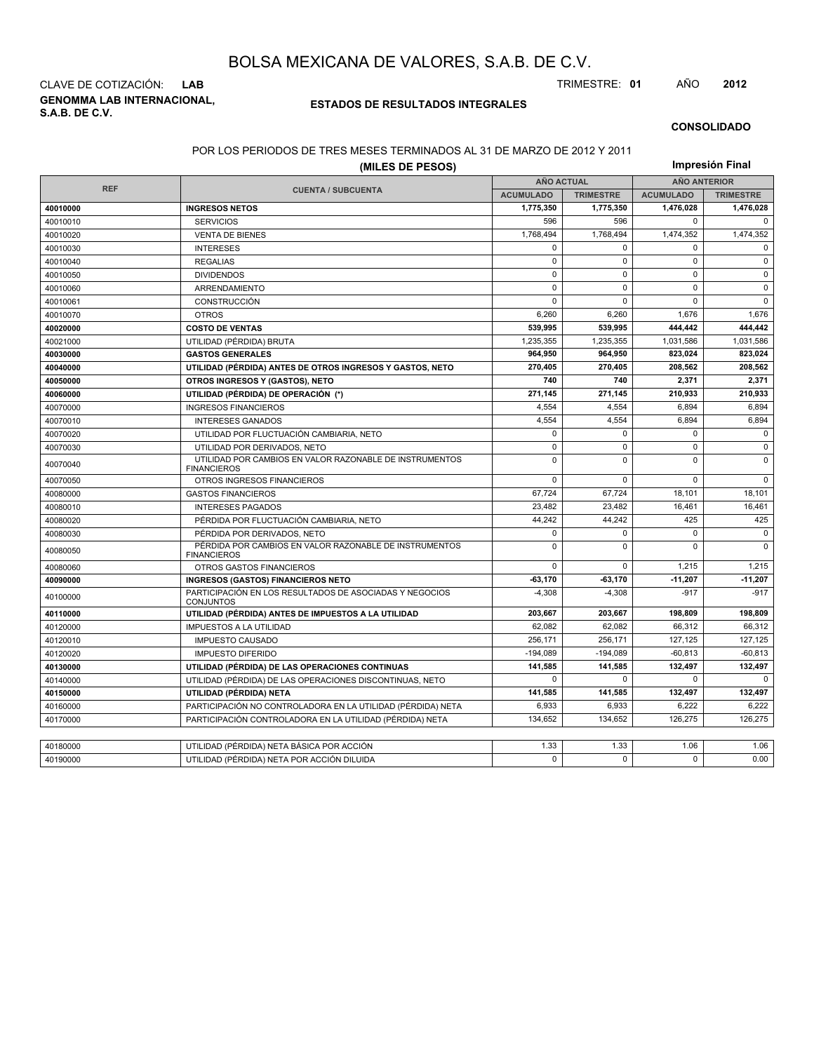**GENOMMA LAB INTERNACIONAL, S.A.B. DE C.V.** CLAVE DE COTIZACIÓN: **LAB** TRIMESTRE: **01** AÑO **2012**

#### **ESTADOS DE RESULTADOS INTEGRALES**

#### **CONSOLIDADO**

#### POR LOS PERIODOS DE TRES MESES TERMINADOS AL 31 DE MARZO DE 2012 Y 2011

| (MILES DE PESOS) |                                                                               |                   |                  |                     | Impresión Final  |
|------------------|-------------------------------------------------------------------------------|-------------------|------------------|---------------------|------------------|
|                  |                                                                               | <b>AÑO ACTUAL</b> |                  | <b>AÑO ANTERIOR</b> |                  |
| <b>REF</b>       | <b>CUENTA / SUBCUENTA</b>                                                     | <b>ACUMULADO</b>  | <b>TRIMESTRE</b> | <b>ACUMULADO</b>    | <b>TRIMESTRE</b> |
| 40010000         | <b>INGRESOS NETOS</b>                                                         | 1,775,350         | 1,775,350        | 1,476,028           | 1,476,028        |
| 40010010         | <b>SERVICIOS</b>                                                              | 596               | 596              | $\Omega$            | $\Omega$         |
| 40010020         | <b>VENTA DE BIENES</b>                                                        | 1,768,494         | 1,768,494        | 1,474,352           | 1,474,352        |
| 40010030         | <b>INTERESES</b>                                                              | $\mathbf 0$       | $\Omega$         | $\mathbf 0$         | $\Omega$         |
| 40010040         | <b>REGALIAS</b>                                                               | $\mathbf 0$       | $\mathbf 0$      | 0                   | $\mathbf 0$      |
| 40010050         | <b>DIVIDENDOS</b>                                                             | $\mathbf 0$       | $\Omega$         | $\Omega$            | $\Omega$         |
| 40010060         | ARRENDAMIENTO                                                                 | $\mathbf 0$       | $\mathbf 0$      | $\mathbf 0$         | $\mathbf 0$      |
| 40010061         | <b>CONSTRUCCIÓN</b>                                                           | $\mathbf 0$       | $\mathbf 0$      | $\mathbf 0$         | $\mathbf 0$      |
| 40010070         | <b>OTROS</b>                                                                  | 6,260             | 6,260            | 1,676               | 1,676            |
| 40020000         | <b>COSTO DE VENTAS</b>                                                        | 539,995           | 539,995          | 444,442             | 444,442          |
| 40021000         | UTILIDAD (PÉRDIDA) BRUTA                                                      | 1,235,355         | 1,235,355        | 1,031,586           | 1,031,586        |
| 40030000         | <b>GASTOS GENERALES</b>                                                       | 964,950           | 964,950          | 823,024             | 823,024          |
| 40040000         | UTILIDAD (PÉRDIDA) ANTES DE OTROS INGRESOS Y GASTOS, NETO                     | 270,405           | 270,405          | 208,562             | 208,562          |
| 40050000         | OTROS INGRESOS Y (GASTOS), NETO                                               | 740               | 740              | 2,371               | 2,371            |
| 40060000         | UTILIDAD (PÉRDIDA) DE OPERACIÓN (*)                                           | 271.145           | 271,145          | 210,933             | 210,933          |
| 40070000         | <b>INGRESOS FINANCIEROS</b>                                                   | 4,554             | 4,554            | 6,894               | 6,894            |
| 40070010         | <b>INTERESES GANADOS</b>                                                      | 4,554             | 4,554            | 6.894               | 6,894            |
| 40070020         | UTILIDAD POR FLUCTUACIÓN CAMBIARIA, NETO                                      | $\mathbf 0$       | 0                | 0                   | $\mathbf 0$      |
| 40070030         | UTILIDAD POR DERIVADOS, NETO                                                  | $\mathbf 0$       | $\mathbf 0$      | $\mathbf 0$         | $\mathsf 0$      |
| 40070040         | UTILIDAD POR CAMBIOS EN VALOR RAZONABLE DE INSTRUMENTOS<br><b>FINANCIEROS</b> | $\mathbf 0$       | $\Omega$         | $\Omega$            | $\Omega$         |
| 40070050         | OTROS INGRESOS FINANCIEROS                                                    | $\mathbf 0$       | 0                | $\mathbf 0$         | $\mathbf 0$      |
| 40080000         | <b>GASTOS FINANCIEROS</b>                                                     | 67,724            | 67.724           | 18.101              | 18,101           |
| 40080010         | <b>INTERESES PAGADOS</b>                                                      | 23,482            | 23,482           | 16,461              | 16,461           |
| 40080020         | PÉRDIDA POR FLUCTUACIÓN CAMBIARIA, NETO                                       | 44,242            | 44,242           | 425                 | 425              |
| 40080030         | PÉRDIDA POR DERIVADOS, NETO                                                   | $\mathbf 0$       | 0                | $\mathbf 0$         | $\mathbf 0$      |
| 40080050         | PÉRDIDA POR CAMBIOS EN VALOR RAZONABLE DE INSTRUMENTOS<br><b>FINANCIEROS</b>  | $\mathbf{0}$      | $\mathbf 0$      | $\mathbf 0$         | $\mathbf 0$      |
| 40080060         | OTROS GASTOS FINANCIEROS                                                      | $\Omega$          | 0                | 1,215               | 1,215            |
| 40090000         | <b>INGRESOS (GASTOS) FINANCIEROS NETO</b>                                     | $-63,170$         | $-63.170$        | $-11,207$           | $-11,207$        |
| 40100000         | PARTICIPACIÓN EN LOS RESULTADOS DE ASOCIADAS Y NEGOCIOS<br><b>CONJUNTOS</b>   | $-4,308$          | $-4,308$         | $-917$              | $-917$           |
| 40110000         | UTILIDAD (PÉRDIDA) ANTES DE IMPUESTOS A LA UTILIDAD                           | 203,667           | 203,667          | 198,809             | 198,809          |
| 40120000         | <b>IMPUESTOS A LA UTILIDAD</b>                                                | 62,082            | 62,082           | 66,312              | 66,312           |
| 40120010         | <b>IMPUESTO CAUSADO</b>                                                       | 256,171           | 256,171          | 127,125             | 127,125          |
| 40120020         | <b>IMPUESTO DIFERIDO</b>                                                      | $-194,089$        | $-194,089$       | $-60,813$           | $-60,813$        |
| 40130000         | UTILIDAD (PÉRDIDA) DE LAS OPERACIONES CONTINUAS                               | 141,585           | 141,585          | 132,497             | 132,497          |
| 40140000         | UTILIDAD (PÉRDIDA) DE LAS OPERACIONES DISCONTINUAS, NETO                      | $\Omega$          | $\mathbf 0$      | 0                   | $\Omega$         |
| 40150000         | UTILIDAD (PÉRDIDA) NETA                                                       | 141,585           | 141,585          | 132,497             | 132,497          |
| 40160000         | PARTICIPACIÓN NO CONTROLADORA EN LA UTILIDAD (PÉRDIDA) NETA                   | 6,933             | 6,933            | 6,222               | 6,222            |
| 40170000         | PARTICIPACIÓN CONTROLADORA EN LA UTILIDAD (PÉRDIDA) NETA                      | 134,652           | 134,652          | 126,275             | 126,275          |
|                  |                                                                               |                   |                  |                     |                  |
| 40180000         | UTILIDAD (PÉRDIDA) NETA BÁSICA POR ACCIÓN                                     | 1.33              | 1.33             | 1.06                | 1.06             |
| 40190000         | UTILIDAD (PÉRDIDA) NETA POR ACCIÓN DILUIDA                                    | $\Omega$          | $\Omega$         | $\Omega$            | 0.00             |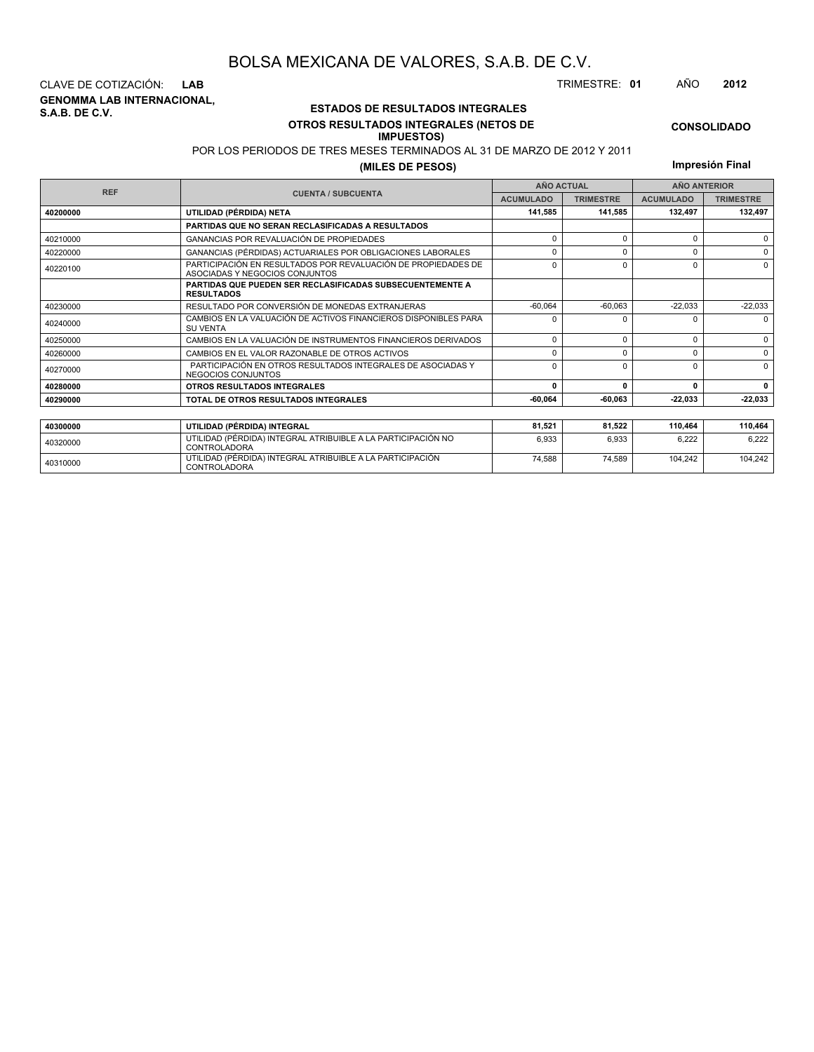**GENOMMA LAB INTERNACIONAL, S.A.B. DE C.V.** CLAVE DE COTIZACIÓN: **LAB** TRIMESTRE: **01** AÑO **2012**

<sup>40310000</sup> UTILIDAD (PÉRDIDA) INTEGRAL ATRIBUIBLE A LA PARTICIPACIÓN CONTROLADORA

#### **ESTADOS DE RESULTADOS INTEGRALES OTROS RESULTADOS INTEGRALES (NETOS DE**

#### **IMPUESTOS)**

POR LOS PERIODOS DE TRES MESES TERMINADOS AL 31 DE MARZO DE 2012 Y 2011

#### **(MILES DE PESOS)**

**Impresión Final**

74,588 74,589 104,242 104,242

|            |                                                                                                                         | <b>AÑO ACTUAL</b> |                  | <b>AÑO ANTERIOR</b> |                  |  |
|------------|-------------------------------------------------------------------------------------------------------------------------|-------------------|------------------|---------------------|------------------|--|
| <b>REF</b> | <b>CUENTA / SUBCUENTA</b>                                                                                               | <b>ACUMULADO</b>  | <b>TRIMESTRE</b> | <b>ACUMULADO</b>    | <b>TRIMESTRE</b> |  |
| 40200000   | UTILIDAD (PÉRDIDA) NETA                                                                                                 | 141,585           | 141,585          | 132,497             | 132,497          |  |
|            | PARTIDAS QUE NO SERAN RECLASIFICADAS A RESULTADOS                                                                       |                   |                  |                     |                  |  |
| 40210000   | <b>GANANCIAS POR REVALUACIÓN DE PROPIEDADES</b>                                                                         | 0                 |                  | $\Omega$            | $\Omega$         |  |
| 40220000   | GANANCIAS (PÉRDIDAS) ACTUARIALES POR OBLIGACIONES LABORALES                                                             | 0                 | $\Omega$         | 0                   | $\Omega$         |  |
| 40220100   | PARTICIPACIÓN EN RESULTADOS POR REVALUACIÓN DE PROPIEDADES DE<br>$\Omega$<br>$\Omega$<br>ASOCIADAS Y NEGOCIOS CONJUNTOS |                   | $\Omega$         | $\Omega$            |                  |  |
|            | <b>PARTIDAS QUE PUEDEN SER RECLASIFICADAS SUBSECUENTEMENTE A</b><br><b>RESULTADOS</b>                                   |                   |                  |                     |                  |  |
| 40230000   | RESULTADO POR CONVERSIÓN DE MONEDAS EXTRANJERAS                                                                         | $-60.064$         | $-60.063$        | $-22,033$           | $-22,033$        |  |
| 40240000   | CAMBIOS EN LA VALUACIÓN DE ACTIVOS FINANCIEROS DISPONIBLES PARA<br><b>SU VENTA</b>                                      | <sup>0</sup>      |                  | $\Omega$            | $\Omega$         |  |
| 40250000   | CAMBIOS EN LA VALUACIÓN DE INSTRUMENTOS FINANCIEROS DERIVADOS                                                           | 0                 | $\Omega$         | $\Omega$            | $\Omega$         |  |
| 40260000   | CAMBIOS EN EL VALOR RAZONABLE DE OTROS ACTIVOS                                                                          | U                 |                  | $\Omega$            | $\Omega$         |  |
| 40270000   | PARTICIPACIÓN EN OTROS RESULTADOS INTEGRALES DE ASOCIADAS Y<br>NEGOCIOS CONJUNTOS                                       | $\Omega$          | $\Omega$         | $\Omega$            | $\Omega$         |  |
| 40280000   | OTROS RESULTADOS INTEGRALES                                                                                             | 0                 | $\Omega$         | 0                   | $\mathbf{0}$     |  |
| 40290000   | TOTAL DE OTROS RESULTADOS INTEGRALES                                                                                    | $-60.064$         | $-60,063$        | $-22,033$           | -22,033          |  |
|            |                                                                                                                         |                   |                  |                     |                  |  |
| 40300000   | UTILIDAD (PÉRDIDA) INTEGRAL                                                                                             | 81.521            | 81.522           | 110.464             | 110,464          |  |
| 40320000   | UTILIDAD (PÉRDIDA) INTEGRAL ATRIBUIBLE A LA PARTICIPACIÓN NO<br><b>CONTROLADORA</b>                                     |                   | 6.933            | 6,222               | 6.222            |  |

**CONSOLIDADO**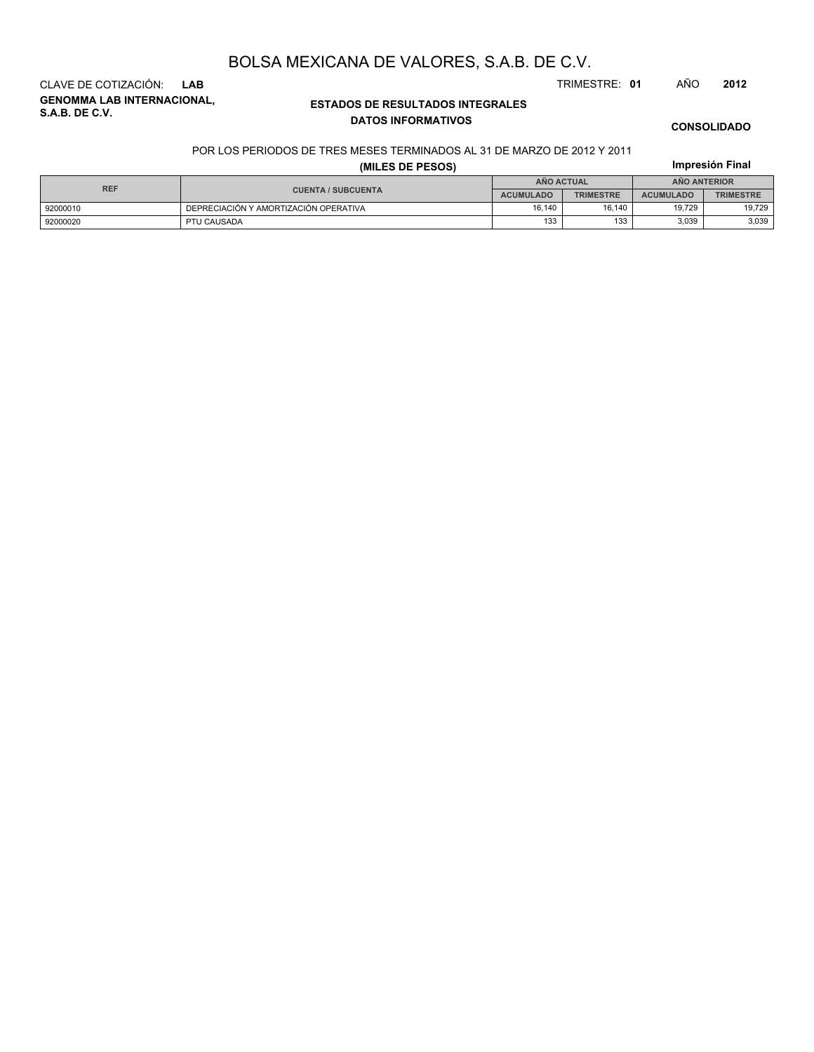**GENOMMA LAB INTERNACIONAL, S.A.B. DE C.V.** CLAVE DE COTIZACIÓN: **LAB** TRIMESTRE: **01** AÑO **2012**

#### **ESTADOS DE RESULTADOS INTEGRALES DATOS INFORMATIVOS**

**CONSOLIDADO**

**Impresión Final**

#### POR LOS PERIODOS DE TRES MESES TERMINADOS AL 31 DE MARZO DE 2012 Y 2011

#### **(MILES DE PESOS)**

| <b>REF</b> | <b>AÑO ACTUAL</b><br><b>ANO ANTERIOR</b> |                  |                  |                  |                  |
|------------|------------------------------------------|------------------|------------------|------------------|------------------|
|            | <b>CUENTA / SUBCUENTA</b>                | <b>ACUMULADO</b> | <b>TRIMESTRE</b> | <b>ACUMULADO</b> | <b>TRIMESTRE</b> |
| 92000010   | DEPRECIACIÓN Y AMORTIZACIÓN OPERATIVA    | 16.140           | 16.140           | 19.729           | 19.729           |
| 92000020   | PTU CAUSADA                              | 133              | 133              | 3,039            | 3.039            |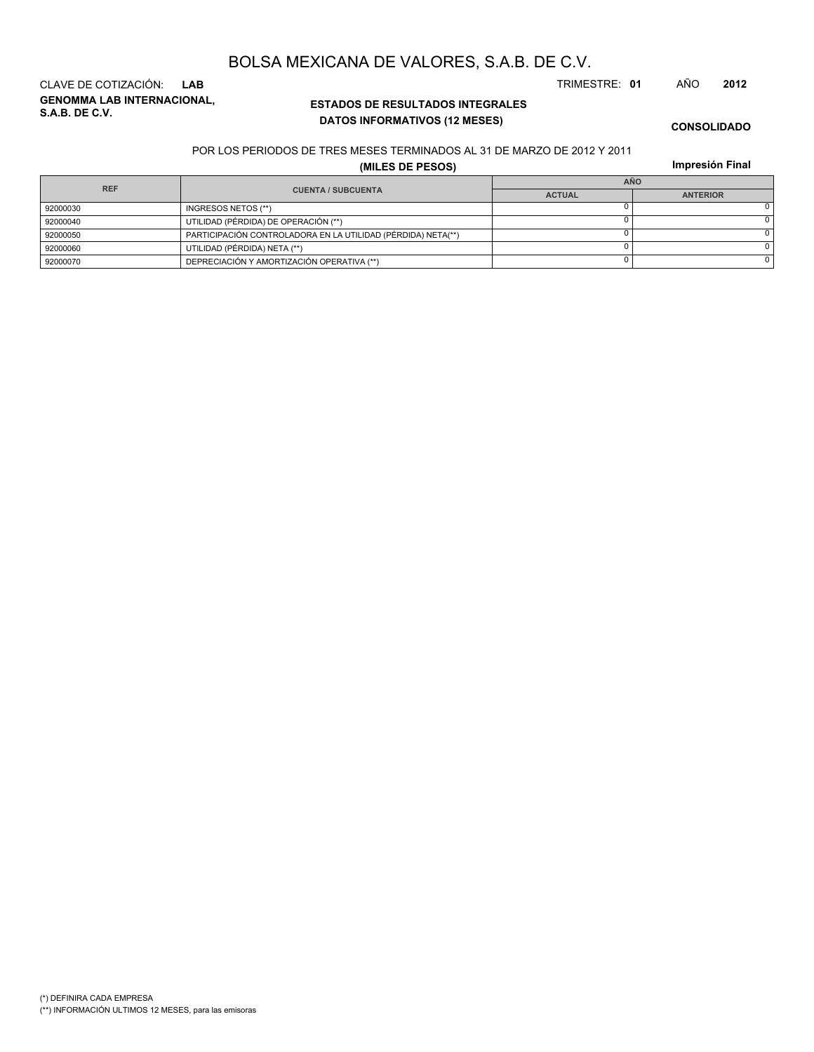# (\*) DEFINIRA CADA EMPRESA (\*\*) INFORMACIÓN ULTIMOS 12 MESES, para las emisoras

## **ESTADOS DE RESULTADOS INTEGRALES** CLAVE DE COTIZACIÓN: **LAB** TRIMESTRE: **01** AÑO **2012 DATOS INFORMATIVOS (12 MESES)**

#### **CONSOLIDADO**

#### POR LOS PERIODOS DE TRES MESES TERMINADOS AL 31 DE MARZO DE 2012 Y 2011

**(MILES DE PESOS)**

| Impresión Final |
|-----------------|
|-----------------|

| <b>REF</b> |                                                              | AÑO           |                 |  |  |
|------------|--------------------------------------------------------------|---------------|-----------------|--|--|
|            | <b>CUENTA / SUBCUENTA</b>                                    | <b>ACTUAL</b> | <b>ANTERIOR</b> |  |  |
| 92000030   | INGRESOS NETOS (**)                                          |               |                 |  |  |
| 92000040   | UTILIDAD (PÉRDIDA) DE OPERACIÓN (**)                         |               |                 |  |  |
| 92000050   | PARTICIPACIÓN CONTROLADORA EN LA UTILIDAD (PÉRDIDA) NETA(**) |               |                 |  |  |
| 92000060   | UTILIDAD (PÉRDIDA) NETA (**)                                 |               |                 |  |  |
| 92000070   | DEPRECIACIÓN Y AMORTIZACIÓN OPERATIVA (**)                   |               |                 |  |  |

# BOLSA MEXICANA DE VALORES, S.A.B. DE C.V.

**GENOMMA LAB INTERNACIONAL, S.A.B. DE C.V.**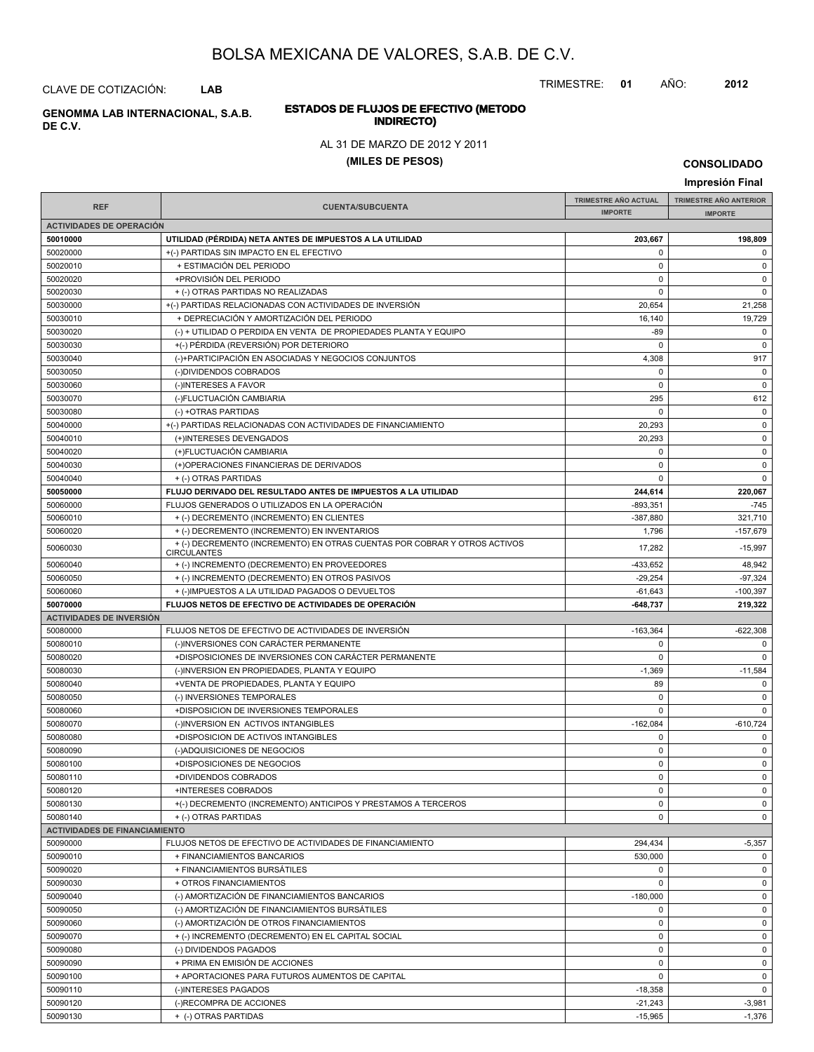TRIMESTRE: **01** AÑO: **2012**

#### **ESTADOS DE FLUJOS DE EFECTIVO (METODO INDIRECTO) GENOMMA LAB INTERNACIONAL, S.A.B.**

#### AL 31 DE MARZO DE 2012 Y 2011

#### **(MILES DE PESOS)**

**CONSOLIDADO**

**Impresión Final IMPRESIÓN FINAL AND SUBCUENTA**<br> **IMPORTE TRIMESTRE AÑO ACTUAL IMPORTE IMPORTE REF TRIMESTRE AÑO ANTERIOR IMPORTE ACTIVIDADES DE OPERACIÓN 50010000 UTILIDAD (PÉRDIDA) NETA ANTES DE IMPUESTOS A LA UTILIDAD 203,667 198,809** 50020000 +(-) PARTIDAS SIN IMPACTO EN EL EFECTIVO 0 0 50020010 + ESTIMACIÓN DEL PERIODO 0 0 50020020 +PROVISIÓN DEL PERIODO 0 0 50020030 + (-) OTRAS PARTIDAS NO REALIZADAS 0 0 50030000 +(-) PARTIDAS RELACIONADAS CON ACTIVIDADES DE INVERSIÓN 20,654 21,258 50030010 + DEPRECIACIÓN Y AMORTIZACIÓN DEL PERIODO 16,140 19,729 50030020 (-) + UTILIDAD O PERDIDA EN VENTA DE PROPIEDADES PLANTA Y EQUIPO -89 0 50030030 +(-) PÉRDIDA (REVERSIÓN) POR DETERIORO 0 0 50030040 (-)+PARTICIPACIÓN EN ASOCIADAS Y NEGOCIOS CONJUNTOS 4,308 4,308 4,308 (-) +PARTICIPACIÓN EN ASOCIADAS Y NEGOCIOS CONJUNTOS 50030050 (-)DIVIDENDOS COBRADOS 0 0 50030060 (-)INTERESES A FAVOR 0 0 50030070 (-)FLUCTUACIÓN CAMBIARIA 295 612 50030080 (-) +OTRAS PARTIDAS 0 0 50040000  $+$ (-) PARTIDAS RELACIONADAS CON ACTIVIDADES DE FINANCIAMIENTO 20,293 20,293 0 0 50040010 (+)INTERESES DEVENGADOS 20,293 0 50040020 (+)FLUCTUACIÓN CAMBIARIA 0 0 50040030 (+)OPERACIONES FINANCIERAS DE DERIVADOS 0 0 50040040 + (-) OTRAS PARTIDAS 0 0 **50050000 FLUJO DERIVADO DEL RESULTADO ANTES DE IMPUESTOS A LA UTILIDAD 244,614 220,067** 50060000 FLUJOS GENERADOS O UTILIZADOS EN LA OPERACIÓN -893,351 -745 50060010 + (-) DECREMENTO (INCREMENTO) EN CLIENTES -387,880 321,710 50060020 + (-) DECREMENTO (INCREMENTO) EN INVENTARIOS 1,796 1,796 1,796 1,796 1,797 1,797 1,797 1,797 1,797 1,797 1,1797 1,1797 1,1797 1,1797 1,1797 1,1797 1,1797 1,1797 1,1797 1,1797 1,1797 1,1797 1,1797 1,1797 1,1797 1,1  $+(-)$ DECREMENTO (INCREMENTO) EN OTRAS CUENTAS POR COBRAR Y OTROS ACTIVOS 17,282 17,282 -15,997 **CIRCULANTES** 50060040 + (-) INCREMENTO (DECREMENTO) EN PROVEEDORES + + (-) INCREMENTO (DECREMENTO) EN PROVEEDORES 50060050 + (-) INCREMENTO (DECREMENTO) EN OTROS PASIVOS + + (-) INCREMENTO (DECREMENTO) EN OTROS PASIVOS  $+$ (-)IMPUESTOS A LA UTILIDAD PAGADOS O DEVUELTOS -61,643 -61,643 -61,643 -61,643 -100,397 **50070000 FLUJOS NETOS DE EFECTIVO DE ACTIVIDADES DE OPERACIÓN -648,737 219,322 ACTIVIDADES DE INVERSIÓN** 50080000 FLUJOS NETOS DE EFECTIVO DE ACTIVIDADES DE INVERSIÓN CONTRADO EN ENTREGADO EN EL EL EL ENTREGADO EN E 50080010 (-)INVERSIONES CON CARÁCTER PERMANENTE 0 0 50080020 +DISPOSICIONES DE INVERSIONES CON CARÁCTER PERMANENTE 0 0 50080030 (-)INVERSION EN PROPIEDADES, PLANTA Y EQUIPO -1,369 -1,369 -11,584 -11,584 50080040 +VENTA DE PROPIEDADES, PLANTA Y EQUIPO 89 0 50080050 (-) INVERSIONES TEMPORALES 0 0 50080060 +DISPOSICION DE INVERSIONES TEMPORALES 0 0 50080070 (-)INVERSION EN ACTIVOS INTANGIBLES -162,084 -610,724 50080080 +DISPOSICION DE ACTIVOS INTANGIBLES 0 0 50080090 (-)ADQUISICIONES DE NEGOCIOS 0 0 50080100 +DISPOSICIONES DE NEGOCIOS 0 0 50080110 +DIVIDENDOS COBRADOS 0 0 50080120 +INTERESES COBRADOS 0 0 50080130 +(-) DECREMENTO (INCREMENTO) ANTICIPOS Y PRESTAMOS A TERCEROS 0 0 50080140 + (-) OTRAS PARTIDAS 0 0 **ACTIVIDADES DE FINANCIAMIENTO** 50090000 FLUJOS NETOS DE EFECTIVO DE ACTIVIDADES DE FINANCIAMIENTO 294,434 -5,357 50090010 + FINANCIAMIENTOS BANCARIOS + FINANCIAMIENTOS BANCARIOS + 530,000 + 530,000 + 530,000 + 530,000 + 530,000 + 6  $\sim$  530,000 + 6  $\sim$  530,000 + 6  $\sim$  530,000 + 6  $\sim$  530,000 + 6  $\sim$  530,000 + 6  $\sim$  530,000 + 6 50090020 + FINANCIAMIENTOS BURSÁTILES 0 0 50090030 + OTROS FINANCIAMIENTOS 0 0 50090040 (-) AMORTIZACIÓN DE FINANCIAMIENTOS BANCARIOS -180,000 0 50090050 (-) AMORTIZACIÓN DE FINANCIAMIENTOS BURSÁTILES 0 0 50090060 (-) AMORTIZACIÓN DE OTROS FINANCIAMIENTOS 0 0 50090070 + (-) INCREMENTO (DECREMENTO) EN EL CAPITAL SOCIAL 0 0 50090080 (-) DIVIDENDOS PAGADOS 0 0 50090090 + PRIMA EN EMISIÓN DE ACCIONES de la componentación de la componentación de la componentación de la c 50090100 + APORTACIONES PARA FUTUROS AUMENTOS DE CAPITAL 0 0 50090110 | (-)INTERESES PAGADOS -18,358 | 0 50090120 (-)RECOMPRA DE ACCIONES -21,243 -3,981

50090130 + (-) OTRAS PARTIDAS -15,965 -1,376

CLAVE DE COTIZACIÓN: **LAB**

**DE C.V.**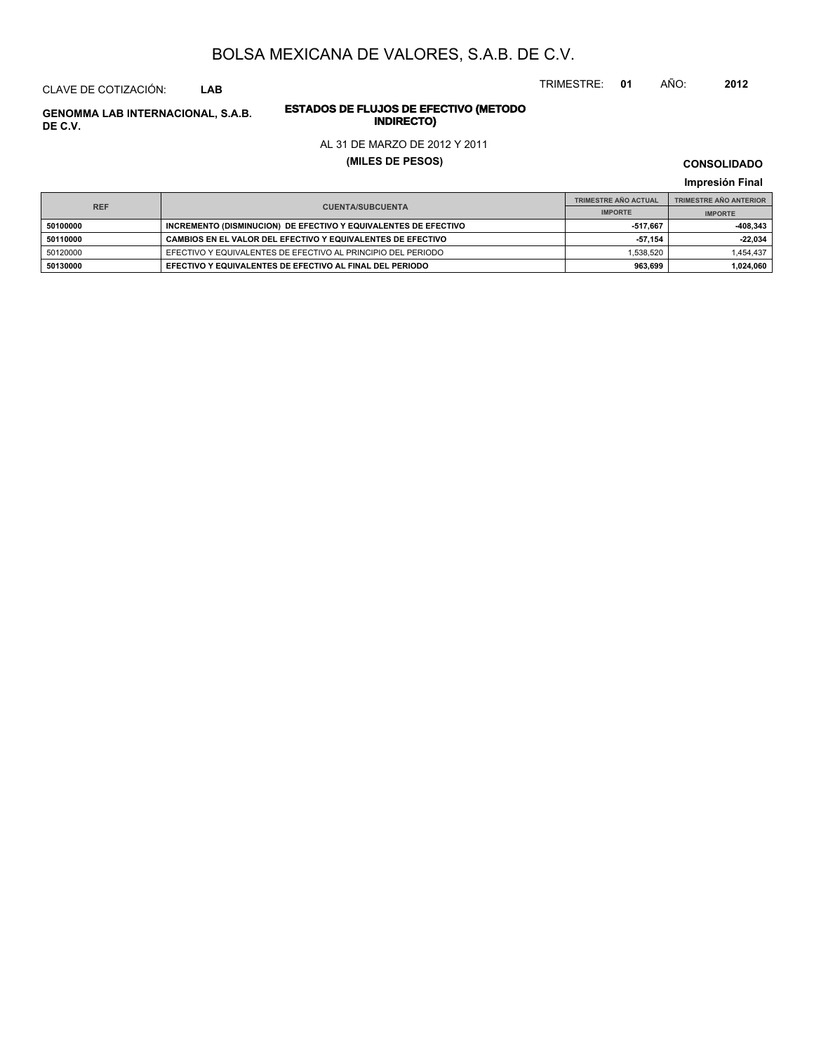CLAVE DE COTIZACIÓN: **LAB**

### **ESTADOS DE FLUJOS DE EFECTIVO (METODO INDIRECTO) GENOMMA LAB INTERNACIONAL, S.A.B. DE C.V.**

#### AL 31 DE MARZO DE 2012 Y 2011

#### **(MILES DE PESOS)**

**CONSOLIDADO**

TRIMESTRE: **01** AÑO: **2012**

**Impresión Final**

|            |                                                                 | <b>TRIMESTRE AÑO ACTUAL</b> | <b>TRIMESTRE AÑO ANTERIOR</b> |
|------------|-----------------------------------------------------------------|-----------------------------|-------------------------------|
| <b>REF</b> | <b>CUENTA/SUBCUENTA</b>                                         | <b>IMPORTE</b>              | <b>IMPORTE</b>                |
| 50100000   | INCREMENTO (DISMINUCION) DE EFECTIVO Y EQUIVALENTES DE EFECTIVO | 517.667                     | -408.343                      |
| 50110000   | CAMBIOS EN EL VALOR DEL EFECTIVO Y EQUIVALENTES DE EFECTIVO     | 57.154                      | $-22,034$                     |
| 50120000   | EFECTIVO Y EQUIVALENTES DE EFECTIVO AL PRINCIPIO DEL PERIODO    | 1.538.520                   | 1.454.437                     |
| 50130000   | EFECTIVO Y EQUIVALENTES DE EFECTIVO AL FINAL DEL PERIODO        | 963.699                     | 1,024,060                     |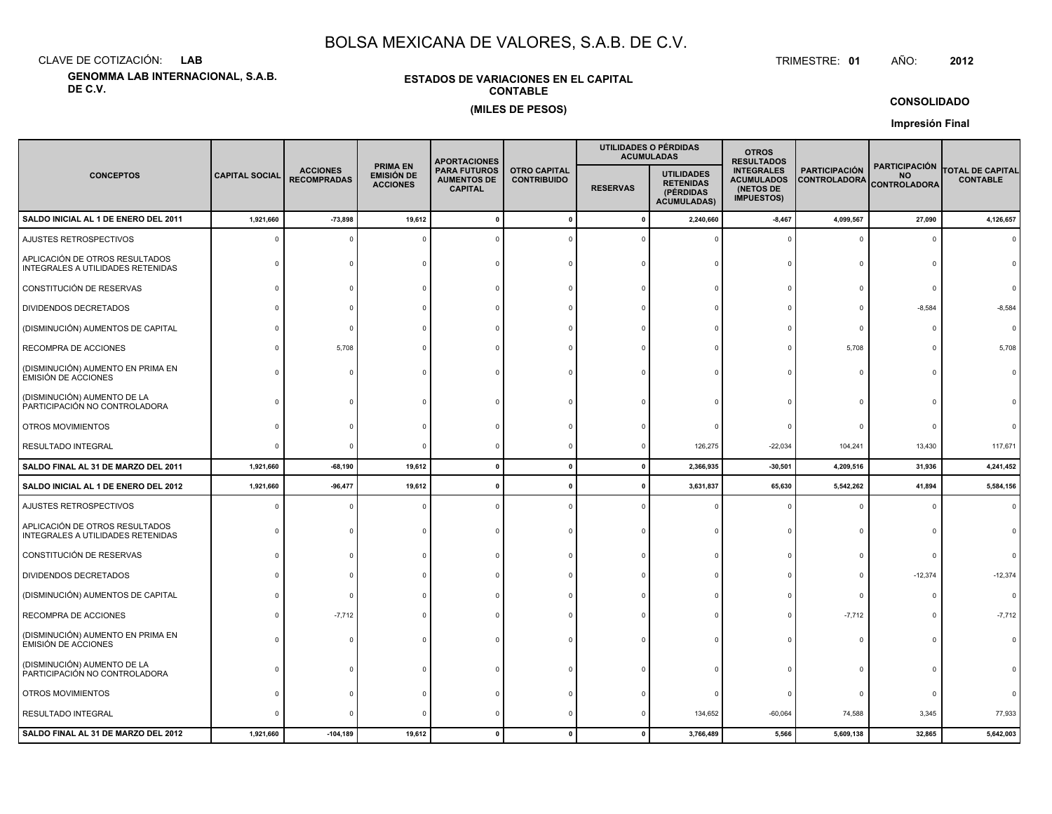CLAVE DE COTIZACIÓN:**LAB**

**GENOMMA LAB INTERNACIONAL, S.A.B. DE C.V.**

#### **ESTADOS DE VARIACIONES EN EL CAPITALCONTABLE(MILES DE PESOS)**

 TRIMESTRE:TRIMESTRE: 01 AÑO: **<sup>2012</sup>**

**CONSOLIDADO**

**Impresión Final**

|                                                                     |                       |                                       |                                                         | <b>APORTACIONES</b>                                         |                                           |                 | UTILIDADES O PÉRDIDAS<br><b>ACUMULADAS</b>                               | <b>OTROS</b><br><b>RESULTADOS</b>                                        |                                      |                                                          |                                            |
|---------------------------------------------------------------------|-----------------------|---------------------------------------|---------------------------------------------------------|-------------------------------------------------------------|-------------------------------------------|-----------------|--------------------------------------------------------------------------|--------------------------------------------------------------------------|--------------------------------------|----------------------------------------------------------|--------------------------------------------|
| <b>CONCEPTOS</b>                                                    | <b>CAPITAL SOCIAL</b> | <b>ACCIONES</b><br><b>RECOMPRADAS</b> | <b>PRIMA EN</b><br><b>EMISIÓN DE</b><br><b>ACCIONES</b> | <b>PARA FUTUROS</b><br><b>AUMENTOS DE</b><br><b>CAPITAL</b> | <b>OTRO CAPITAL</b><br><b>CONTRIBUIDO</b> | <b>RESERVAS</b> | <b>UTILIDADES</b><br><b>RETENIDAS</b><br>(PÉRDIDAS<br><b>ACUMULADAS)</b> | <b>INTEGRALES</b><br><b>ACUMULADOS</b><br>(NETOS DE<br><b>IMPUESTOS)</b> | <b>PARTICIPACIÓN</b><br>CONTROLADORA | <b>PARTICIPACIÓN</b><br><b>NO</b><br><b>CONTROLADORA</b> | <b>TOTAL DE CAPITAL</b><br><b>CONTABLE</b> |
| SALDO INICIAL AL 1 DE ENERO DEL 2011                                | 1,921,660             | $-73,898$                             | 19,612                                                  |                                                             |                                           | £               | 2,240,660                                                                | $-8,467$                                                                 | 4,099,567                            | 27,090                                                   | 4,126,657                                  |
| AJUSTES RETROSPECTIVOS                                              | $\Omega$              |                                       |                                                         |                                                             |                                           |                 |                                                                          |                                                                          | $\Omega$                             | $\Omega$                                                 | $\Omega$                                   |
| APLICACIÓN DE OTROS RESULTADOS<br>INTEGRALES A UTILIDADES RETENIDAS |                       |                                       |                                                         |                                                             |                                           |                 |                                                                          |                                                                          | $\Omega$                             | $\Omega$                                                 |                                            |
| CONSTITUCIÓN DE RESERVAS                                            |                       |                                       |                                                         |                                                             |                                           |                 |                                                                          |                                                                          |                                      | $\Omega$                                                 |                                            |
| DIVIDENDOS DECRETADOS                                               |                       |                                       |                                                         |                                                             |                                           |                 |                                                                          |                                                                          |                                      | $-8,584$                                                 | $-8,584$                                   |
| (DISMINUCIÓN) AUMENTOS DE CAPITAL                                   |                       |                                       |                                                         |                                                             |                                           |                 |                                                                          |                                                                          | $\Omega$                             | $\Omega$                                                 |                                            |
| RECOMPRA DE ACCIONES                                                |                       | 5,708                                 |                                                         |                                                             |                                           |                 |                                                                          |                                                                          | 5,708                                | $\Omega$                                                 | 5,708                                      |
| (DISMINUCIÓN) AUMENTO EN PRIMA EN<br><b>EMISIÓN DE ACCIONES</b>     |                       |                                       |                                                         |                                                             |                                           |                 |                                                                          |                                                                          | $\Omega$                             | $\Omega$                                                 |                                            |
| (DISMINUCIÓN) AUMENTO DE LA<br>PARTICIPACIÓN NO CONTROLADORA        |                       |                                       |                                                         |                                                             |                                           |                 |                                                                          |                                                                          |                                      |                                                          |                                            |
| OTROS MOVIMIENTOS                                                   |                       |                                       |                                                         |                                                             |                                           |                 |                                                                          |                                                                          | $\Omega$                             | $\Omega$                                                 |                                            |
| RESULTADO INTEGRAL                                                  |                       |                                       |                                                         |                                                             |                                           |                 | 126,275                                                                  | $-22,034$                                                                | 104,241                              | 13,430                                                   | 117,671                                    |
| SALDO FINAL AL 31 DE MARZO DEL 2011                                 | 1,921,660             | $-68,190$                             | 19,612                                                  |                                                             |                                           | $\Omega$        | 2,366,935                                                                | $-30,501$                                                                | 4,209,516                            | 31,936                                                   | 4,241,452                                  |
| SALDO INICIAL AL 1 DE ENERO DEL 2012                                | 1,921,660             | $-96,477$                             | 19,612                                                  |                                                             |                                           |                 | 3,631,837                                                                | 65,630                                                                   | 5,542,262                            | 41,894                                                   | 5,584,156                                  |
| AJUSTES RETROSPECTIVOS                                              |                       |                                       |                                                         |                                                             |                                           |                 |                                                                          |                                                                          |                                      | $\Omega$                                                 | $\Omega$                                   |
| APLICACIÓN DE OTROS RESULTADOS<br>INTEGRALES A UTILIDADES RETENIDAS |                       |                                       |                                                         |                                                             |                                           |                 |                                                                          |                                                                          | $\Omega$                             | $\Omega$                                                 |                                            |
| CONSTITUCIÓN DE RESERVAS                                            |                       |                                       |                                                         |                                                             |                                           |                 |                                                                          |                                                                          | $\Omega$                             | $\Omega$                                                 |                                            |
| DIVIDENDOS DECRETADOS                                               |                       |                                       |                                                         |                                                             |                                           |                 |                                                                          |                                                                          | $^{\circ}$                           | $-12,374$                                                | $-12,374$                                  |
| (DISMINUCIÓN) AUMENTOS DE CAPITAL                                   |                       |                                       |                                                         |                                                             |                                           |                 |                                                                          |                                                                          | $\Omega$                             | $\Omega$                                                 | $\Omega$                                   |
| RECOMPRA DE ACCIONES                                                |                       | $-7,712$                              |                                                         |                                                             |                                           |                 |                                                                          |                                                                          | $-7,712$                             | $\Omega$                                                 | $-7,712$                                   |
| (DISMINUCIÓN) AUMENTO EN PRIMA EN<br><b>EMISIÓN DE ACCIONES</b>     |                       |                                       |                                                         |                                                             |                                           |                 |                                                                          |                                                                          | $\Omega$                             |                                                          |                                            |
| (DISMINUCIÓN) AUMENTO DE LA<br>PARTICIPACIÓN NO CONTROLADORA        |                       |                                       |                                                         |                                                             |                                           |                 |                                                                          |                                                                          | $\Omega$                             |                                                          |                                            |
| OTROS MOVIMIENTOS                                                   |                       |                                       |                                                         |                                                             |                                           |                 |                                                                          |                                                                          | $\Omega$                             |                                                          |                                            |
| RESULTADO INTEGRAL                                                  |                       |                                       |                                                         |                                                             |                                           |                 | 134,652                                                                  | $-60,064$                                                                | 74,588                               | 3,345                                                    | 77,933                                     |
| SALDO FINAL AL 31 DE MARZO DEL 2012                                 | 1,921,660             | $-104, 189$                           | 19,612                                                  |                                                             |                                           |                 | 3,766,489                                                                | 5,566                                                                    | 5,609,138                            | 32,865                                                   | 5,642,003                                  |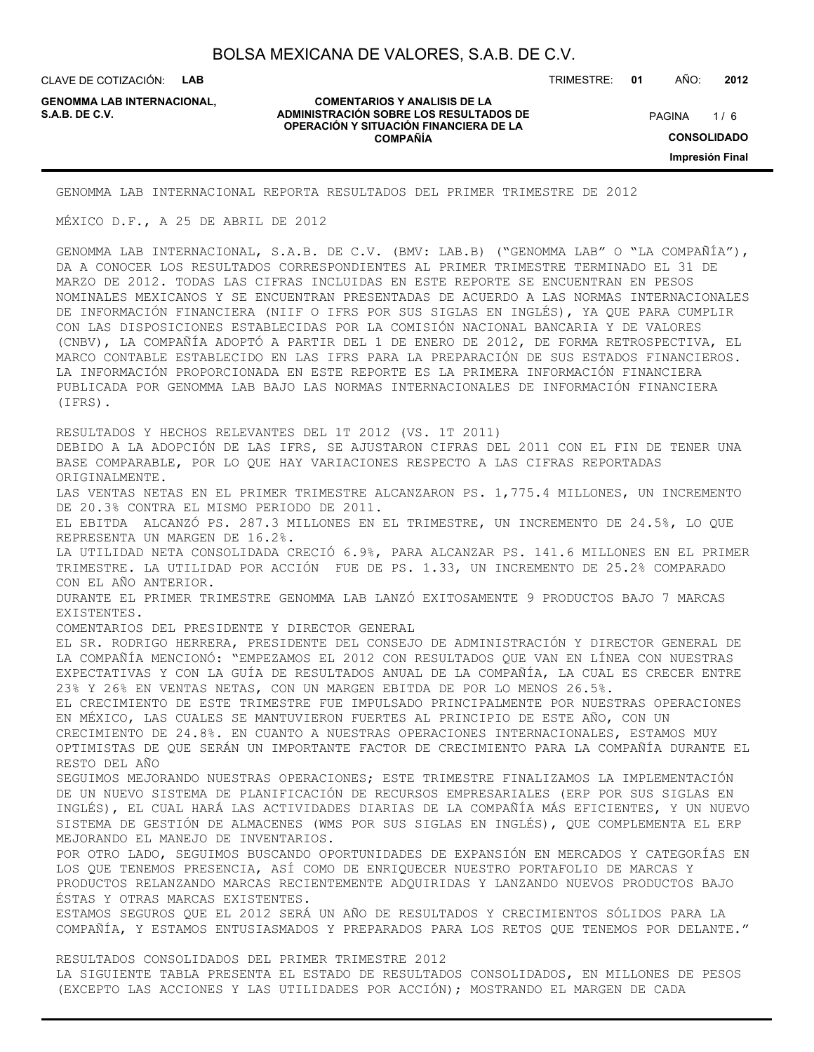CLAVE DE COTIZACIÓN: **LAB**

**GENOMMA LAB INTERNACIONAL,**

#### **COMENTARIOS Y ANALISIS DE LA ADMINISTRACIÓN SOBRE LOS RESULTADOS DE S.A.B. DE C.V.** PAGINA / 6 **OPERACIÓN Y SITUACIÓN FINANCIERA DE LA COMPAÑÍA**

TRIMESTRE: **01** AÑO: **2012**

 $1/6$ **CONSOLIDADO Impresión Final**

GENOMMA LAB INTERNACIONAL REPORTA RESULTADOS DEL PRIMER TRIMESTRE DE 2012

MÉXICO D.F., A 25 DE ABRIL DE 2012

GENOMMA LAB INTERNACIONAL, S.A.B. DE C.V. (BMV: LAB.B) ("GENOMMA LAB" O "LA COMPAÑÍA"), DA A CONOCER LOS RESULTADOS CORRESPONDIENTES AL PRIMER TRIMESTRE TERMINADO EL 31 DE MARZO DE 2012. TODAS LAS CIFRAS INCLUIDAS EN ESTE REPORTE SE ENCUENTRAN EN PESOS NOMINALES MEXICANOS Y SE ENCUENTRAN PRESENTADAS DE ACUERDO A LAS NORMAS INTERNACIONALES DE INFORMACIÓN FINANCIERA (NIIF O IFRS POR SUS SIGLAS EN INGLÉS), YA QUE PARA CUMPLIR CON LAS DISPOSICIONES ESTABLECIDAS POR LA COMISIÓN NACIONAL BANCARIA Y DE VALORES (CNBV), LA COMPAÑÍA ADOPTÓ A PARTIR DEL 1 DE ENERO DE 2012, DE FORMA RETROSPECTIVA, EL MARCO CONTABLE ESTABLECIDO EN LAS IFRS PARA LA PREPARACIÓN DE SUS ESTADOS FINANCIEROS. LA INFORMACIÓN PROPORCIONADA EN ESTE REPORTE ES LA PRIMERA INFORMACIÓN FINANCIERA PUBLICADA POR GENOMMA LAB BAJO LAS NORMAS INTERNACIONALES DE INFORMACIÓN FINANCIERA (IFRS).

RESULTADOS Y HECHOS RELEVANTES DEL 1T 2012 (VS. 1T 2011) DEBIDO A LA ADOPCIÓN DE LAS IFRS, SE AJUSTARON CIFRAS DEL 2011 CON EL FIN DE TENER UNA BASE COMPARABLE, POR LO QUE HAY VARIACIONES RESPECTO A LAS CIFRAS REPORTADAS ORIGINALMENTE. LAS VENTAS NETAS EN EL PRIMER TRIMESTRE ALCANZARON PS. 1,775.4 MILLONES, UN INCREMENTO DE 20.3% CONTRA EL MISMO PERIODO DE 2011. EL EBITDA ALCANZÓ PS. 287.3 MILLONES EN EL TRIMESTRE, UN INCREMENTO DE 24.5%, LO QUE REPRESENTA UN MARGEN DE 16.2%. LA UTILIDAD NETA CONSOLIDADA CRECIÓ 6.9%, PARA ALCANZAR PS. 141.6 MILLONES EN EL PRIMER TRIMESTRE. LA UTILIDAD POR ACCIÓN FUE DE PS. 1.33, UN INCREMENTO DE 25.2% COMPARADO CON EL AÑO ANTERIOR. DURANTE EL PRIMER TRIMESTRE GENOMMA LAB LANZÓ EXITOSAMENTE 9 PRODUCTOS BAJO 7 MARCAS EXISTENTES. COMENTARIOS DEL PRESIDENTE Y DIRECTOR GENERAL EL SR. RODRIGO HERRERA, PRESIDENTE DEL CONSEJO DE ADMINISTRACIÓN Y DIRECTOR GENERAL DE LA COMPAÑÍA MENCIONÓ: "EMPEZAMOS EL 2012 CON RESULTADOS QUE VAN EN LÍNEA CON NUESTRAS EXPECTATIVAS Y CON LA GUÍA DE RESULTADOS ANUAL DE LA COMPAÑÍA, LA CUAL ES CRECER ENTRE 23% Y 26% EN VENTAS NETAS, CON UN MARGEN EBITDA DE POR LO MENOS 26.5%. EL CRECIMIENTO DE ESTE TRIMESTRE FUE IMPULSADO PRINCIPALMENTE POR NUESTRAS OPERACIONES EN MÉXICO, LAS CUALES SE MANTUVIERON FUERTES AL PRINCIPIO DE ESTE AÑO, CON UN CRECIMIENTO DE 24.8%. EN CUANTO A NUESTRAS OPERACIONES INTERNACIONALES, ESTAMOS MUY OPTIMISTAS DE QUE SERÁN UN IMPORTANTE FACTOR DE CRECIMIENTO PARA LA COMPAÑÍA DURANTE EL RESTO DEL AÑO SEGUIMOS MEJORANDO NUESTRAS OPERACIONES; ESTE TRIMESTRE FINALIZAMOS LA IMPLEMENTACIÓN DE UN NUEVO SISTEMA DE PLANIFICACIÓN DE RECURSOS EMPRESARIALES (ERP POR SUS SIGLAS EN INGLÉS), EL CUAL HARÁ LAS ACTIVIDADES DIARIAS DE LA COMPAÑÍA MÁS EFICIENTES, Y UN NUEVO SISTEMA DE GESTIÓN DE ALMACENES (WMS POR SUS SIGLAS EN INGLÉS), QUE COMPLEMENTA EL ERP MEJORANDO EL MANEJO DE INVENTARIOS. POR OTRO LADO, SEGUIMOS BUSCANDO OPORTUNIDADES DE EXPANSIÓN EN MERCADOS Y CATEGORÍAS EN LOS QUE TENEMOS PRESENCIA, ASÍ COMO DE ENRIQUECER NUESTRO PORTAFOLIO DE MARCAS Y PRODUCTOS RELANZANDO MARCAS RECIENTEMENTE ADQUIRIDAS Y LANZANDO NUEVOS PRODUCTOS BAJO ÉSTAS Y OTRAS MARCAS EXISTENTES. ESTAMOS SEGUROS QUE EL 2012 SERÁ UN AÑO DE RESULTADOS Y CRECIMIENTOS SÓLIDOS PARA LA COMPAÑÍA, Y ESTAMOS ENTUSIASMADOS Y PREPARADOS PARA LOS RETOS QUE TENEMOS POR DELANTE." RESULTADOS CONSOLIDADOS DEL PRIMER TRIMESTRE 2012

LA SIGUIENTE TABLA PRESENTA EL ESTADO DE RESULTADOS CONSOLIDADOS, EN MILLONES DE PESOS (EXCEPTO LAS ACCIONES Y LAS UTILIDADES POR ACCIÓN); MOSTRANDO EL MARGEN DE CADA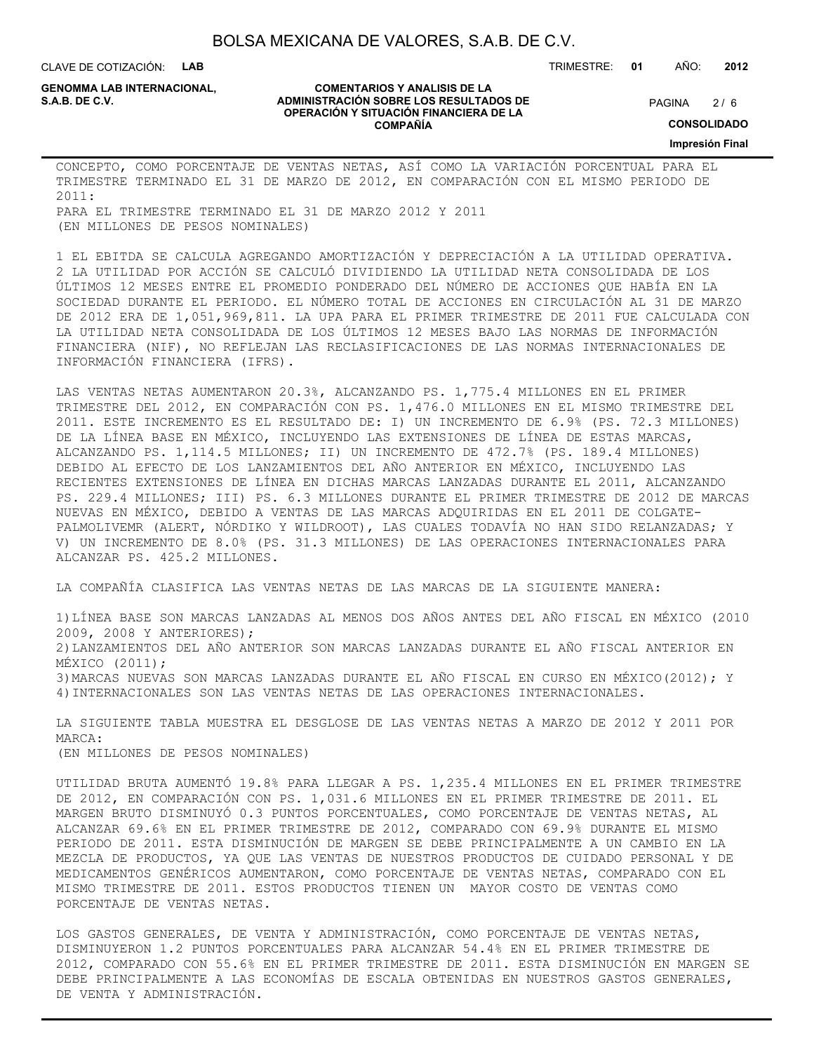CLAVE DE COTIZACIÓN: **LAB**

**GENOMMA LAB INTERNACIONAL,**

#### **COMENTARIOS Y ANALISIS DE LA ADMINISTRACIÓN SOBRE LOS RESULTADOS DE PAGINA 2/6** (PAGINA 2/6) **OPERACIÓN Y SITUACIÓN FINANCIERA DE LA COMPAÑÍA**

 $2/6$ 

TRIMESTRE: **01** AÑO: **2012**

**CONSOLIDADO**

**Impresión Final**

#### CONCEPTO, COMO PORCENTAJE DE VENTAS NETAS, ASÍ COMO LA VARIACIÓN PORCENTUAL PARA EL TRIMESTRE TERMINADO EL 31 DE MARZO DE 2012, EN COMPARACIÓN CON EL MISMO PERIODO DE  $2011:$ PARA EL TRIMESTRE TERMINADO EL 31 DE MARZO 2012 Y 2011

(EN MILLONES DE PESOS NOMINALES)

1 EL EBITDA SE CALCULA AGREGANDO AMORTIZACIÓN Y DEPRECIACIÓN A LA UTILIDAD OPERATIVA. 2 LA UTILIDAD POR ACCIÓN SE CALCULÓ DIVIDIENDO LA UTILIDAD NETA CONSOLIDADA DE LOS ÚLTIMOS 12 MESES ENTRE EL PROMEDIO PONDERADO DEL NÚMERO DE ACCIONES QUE HABÍA EN LA SOCIEDAD DURANTE EL PERIODO. EL NÚMERO TOTAL DE ACCIONES EN CIRCULACIÓN AL 31 DE MARZO DE 2012 ERA DE 1,051,969,811. LA UPA PARA EL PRIMER TRIMESTRE DE 2011 FUE CALCULADA CON LA UTILIDAD NETA CONSOLIDADA DE LOS ÚLTIMOS 12 MESES BAJO LAS NORMAS DE INFORMACIÓN FINANCIERA (NIF), NO REFLEJAN LAS RECLASIFICACIONES DE LAS NORMAS INTERNACIONALES DE INFORMACIÓN FINANCIERA (IFRS).

LAS VENTAS NETAS AUMENTARON 20.3%, ALCANZANDO PS. 1,775.4 MILLONES EN EL PRIMER TRIMESTRE DEL 2012, EN COMPARACIÓN CON PS. 1,476.0 MILLONES EN EL MISMO TRIMESTRE DEL 2011. ESTE INCREMENTO ES EL RESULTADO DE: I) UN INCREMENTO DE 6.9% (PS. 72.3 MILLONES) DE LA LÍNEA BASE EN MÉXICO, INCLUYENDO LAS EXTENSIONES DE LÍNEA DE ESTAS MARCAS, ALCANZANDO PS. 1,114.5 MILLONES; II) UN INCREMENTO DE 472.7% (PS. 189.4 MILLONES) DEBIDO AL EFECTO DE LOS LANZAMIENTOS DEL AÑO ANTERIOR EN MÉXICO, INCLUYENDO LAS RECIENTES EXTENSIONES DE LÍNEA EN DICHAS MARCAS LANZADAS DURANTE EL 2011, ALCANZANDO PS. 229.4 MILLONES; III) PS. 6.3 MILLONES DURANTE EL PRIMER TRIMESTRE DE 2012 DE MARCAS NUEVAS EN MÉXICO, DEBIDO A VENTAS DE LAS MARCAS ADQUIRIDAS EN EL 2011 DE COLGATE-PALMOLIVEMR (ALERT, NÓRDIKO Y WILDROOT), LAS CUALES TODAVÍA NO HAN SIDO RELANZADAS; Y V) UN INCREMENTO DE 8.0% (PS. 31.3 MILLONES) DE LAS OPERACIONES INTERNACIONALES PARA ALCANZAR PS. 425.2 MILLONES.

LA COMPAÑÍA CLASIFICA LAS VENTAS NETAS DE LAS MARCAS DE LA SIGUIENTE MANERA:

1)LÍNEA BASE SON MARCAS LANZADAS AL MENOS DOS AÑOS ANTES DEL AÑO FISCAL EN MÉXICO (2010 2009, 2008 Y ANTERIORES); 2)LANZAMIENTOS DEL AÑO ANTERIOR SON MARCAS LANZADAS DURANTE EL AÑO FISCAL ANTERIOR EN MÉXICO (2011); 3)MARCAS NUEVAS SON MARCAS LANZADAS DURANTE EL AÑO FISCAL EN CURSO EN MÉXICO(2012); Y 4)INTERNACIONALES SON LAS VENTAS NETAS DE LAS OPERACIONES INTERNACIONALES.

LA SIGUIENTE TABLA MUESTRA EL DESGLOSE DE LAS VENTAS NETAS A MARZO DE 2012 Y 2011 POR MARCA:

(EN MILLONES DE PESOS NOMINALES)

UTILIDAD BRUTA AUMENTÓ 19.8% PARA LLEGAR A PS. 1,235.4 MILLONES EN EL PRIMER TRIMESTRE DE 2012, EN COMPARACIÓN CON PS. 1,031.6 MILLONES EN EL PRIMER TRIMESTRE DE 2011. EL MARGEN BRUTO DISMINUYÓ 0.3 PUNTOS PORCENTUALES, COMO PORCENTAJE DE VENTAS NETAS, AL ALCANZAR 69.6% EN EL PRIMER TRIMESTRE DE 2012, COMPARADO CON 69.9% DURANTE EL MISMO PERIODO DE 2011. ESTA DISMINUCIÓN DE MARGEN SE DEBE PRINCIPALMENTE A UN CAMBIO EN LA MEZCLA DE PRODUCTOS, YA QUE LAS VENTAS DE NUESTROS PRODUCTOS DE CUIDADO PERSONAL Y DE MEDICAMENTOS GENÉRICOS AUMENTARON, COMO PORCENTAJE DE VENTAS NETAS, COMPARADO CON EL MISMO TRIMESTRE DE 2011. ESTOS PRODUCTOS TIENEN UN MAYOR COSTO DE VENTAS COMO PORCENTAJE DE VENTAS NETAS.

LOS GASTOS GENERALES, DE VENTA Y ADMINISTRACIÓN, COMO PORCENTAJE DE VENTAS NETAS, DISMINUYERON 1.2 PUNTOS PORCENTUALES PARA ALCANZAR 54.4% EN EL PRIMER TRIMESTRE DE 2012, COMPARADO CON 55.6% EN EL PRIMER TRIMESTRE DE 2011. ESTA DISMINUCIÓN EN MARGEN SE DEBE PRINCIPALMENTE A LAS ECONOMÍAS DE ESCALA OBTENIDAS EN NUESTROS GASTOS GENERALES, DE VENTA Y ADMINISTRACIÓN.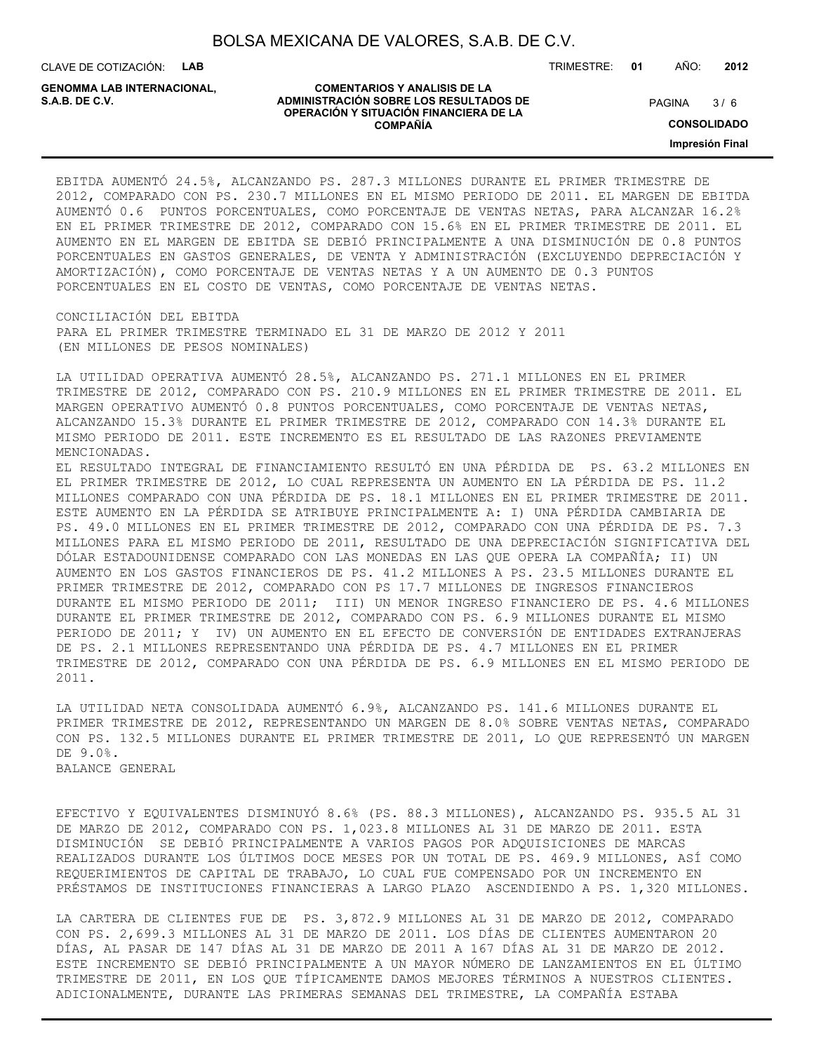CLAVE DE COTIZACIÓN: **LAB** TRIMESTRE: **01** AÑO: **2012**

**GENOMMA LAB INTERNACIONAL,**

#### **COMENTARIOS Y ANALISIS DE LA ADMINISTRACIÓN SOBRE LOS RESULTADOS DE S.A.B. DE C.V.** PAGINA / 6 **OPERACIÓN Y SITUACIÓN FINANCIERA DE LA COMPAÑÍA**

 $3/6$ 

**CONSOLIDADO**

**Impresión Final**

EBITDA AUMENTÓ 24.5%, ALCANZANDO PS. 287.3 MILLONES DURANTE EL PRIMER TRIMESTRE DE 2012, COMPARADO CON PS. 230.7 MILLONES EN EL MISMO PERIODO DE 2011. EL MARGEN DE EBITDA AUMENTÓ 0.6 PUNTOS PORCENTUALES, COMO PORCENTAJE DE VENTAS NETAS, PARA ALCANZAR 16.2% EN EL PRIMER TRIMESTRE DE 2012, COMPARADO CON 15.6% EN EL PRIMER TRIMESTRE DE 2011. EL AUMENTO EN EL MARGEN DE EBITDA SE DEBIÓ PRINCIPALMENTE A UNA DISMINUCIÓN DE 0.8 PUNTOS PORCENTUALES EN GASTOS GENERALES, DE VENTA Y ADMINISTRACIÓN (EXCLUYENDO DEPRECIACIÓN Y AMORTIZACIÓN), COMO PORCENTAJE DE VENTAS NETAS Y A UN AUMENTO DE 0.3 PUNTOS PORCENTUALES EN EL COSTO DE VENTAS, COMO PORCENTAJE DE VENTAS NETAS.

CONCILIACIÓN DEL EBITDA PARA EL PRIMER TRIMESTRE TERMINADO EL 31 DE MARZO DE 2012 Y 2011 (EN MILLONES DE PESOS NOMINALES)

LA UTILIDAD OPERATIVA AUMENTÓ 28.5%, ALCANZANDO PS. 271.1 MILLONES EN EL PRIMER TRIMESTRE DE 2012, COMPARADO CON PS. 210.9 MILLONES EN EL PRIMER TRIMESTRE DE 2011. EL MARGEN OPERATIVO AUMENTÓ 0.8 PUNTOS PORCENTUALES, COMO PORCENTAJE DE VENTAS NETAS, ALCANZANDO 15.3% DURANTE EL PRIMER TRIMESTRE DE 2012, COMPARADO CON 14.3% DURANTE EL MISMO PERIODO DE 2011. ESTE INCREMENTO ES EL RESULTADO DE LAS RAZONES PREVIAMENTE MENCIONADAS.

EL RESULTADO INTEGRAL DE FINANCIAMIENTO RESULTÓ EN UNA PÉRDIDA DE PS. 63.2 MILLONES EN EL PRIMER TRIMESTRE DE 2012, LO CUAL REPRESENTA UN AUMENTO EN LA PÉRDIDA DE PS. 11.2 MILLONES COMPARADO CON UNA PÉRDIDA DE PS. 18.1 MILLONES EN EL PRIMER TRIMESTRE DE 2011. ESTE AUMENTO EN LA PÉRDIDA SE ATRIBUYE PRINCIPALMENTE A: I) UNA PÉRDIDA CAMBIARIA DE PS. 49.0 MILLONES EN EL PRIMER TRIMESTRE DE 2012, COMPARADO CON UNA PÉRDIDA DE PS. 7.3 MILLONES PARA EL MISMO PERIODO DE 2011, RESULTADO DE UNA DEPRECIACIÓN SIGNIFICATIVA DEL DÓLAR ESTADOUNIDENSE COMPARADO CON LAS MONEDAS EN LAS QUE OPERA LA COMPAÑÍA; II) UN AUMENTO EN LOS GASTOS FINANCIEROS DE PS. 41.2 MILLONES A PS. 23.5 MILLONES DURANTE EL PRIMER TRIMESTRE DE 2012, COMPARADO CON PS 17.7 MILLONES DE INGRESOS FINANCIEROS DURANTE EL MISMO PERIODO DE 2011; III) UN MENOR INGRESO FINANCIERO DE PS. 4.6 MILLONES DURANTE EL PRIMER TRIMESTRE DE 2012, COMPARADO CON PS. 6.9 MILLONES DURANTE EL MISMO PERIODO DE 2011; Y IV) UN AUMENTO EN EL EFECTO DE CONVERSIÓN DE ENTIDADES EXTRANJERAS DE PS. 2.1 MILLONES REPRESENTANDO UNA PÉRDIDA DE PS. 4.7 MILLONES EN EL PRIMER TRIMESTRE DE 2012, COMPARADO CON UNA PÉRDIDA DE PS. 6.9 MILLONES EN EL MISMO PERIODO DE 2011.

LA UTILIDAD NETA CONSOLIDADA AUMENTÓ 6.9%, ALCANZANDO PS. 141.6 MILLONES DURANTE EL PRIMER TRIMESTRE DE 2012, REPRESENTANDO UN MARGEN DE 8.0% SOBRE VENTAS NETAS, COMPARADO CON PS. 132.5 MILLONES DURANTE EL PRIMER TRIMESTRE DE 2011, LO QUE REPRESENTÓ UN MARGEN DE 9.0%.

BALANCE GENERAL

EFECTIVO Y EQUIVALENTES DISMINUYÓ 8.6% (PS. 88.3 MILLONES), ALCANZANDO PS. 935.5 AL 31 DE MARZO DE 2012, COMPARADO CON PS. 1,023.8 MILLONES AL 31 DE MARZO DE 2011. ESTA DISMINUCIÓN SE DEBIÓ PRINCIPALMENTE A VARIOS PAGOS POR ADQUISICIONES DE MARCAS REALIZADOS DURANTE LOS ÚLTIMOS DOCE MESES POR UN TOTAL DE PS. 469.9 MILLONES, ASÍ COMO REQUERIMIENTOS DE CAPITAL DE TRABAJO, LO CUAL FUE COMPENSADO POR UN INCREMENTO EN PRÉSTAMOS DE INSTITUCIONES FINANCIERAS A LARGO PLAZO ASCENDIENDO A PS. 1,320 MILLONES.

LA CARTERA DE CLIENTES FUE DE PS. 3,872.9 MILLONES AL 31 DE MARZO DE 2012, COMPARADO CON PS. 2,699.3 MILLONES AL 31 DE MARZO DE 2011. LOS DÍAS DE CLIENTES AUMENTARON 20 DÍAS, AL PASAR DE 147 DÍAS AL 31 DE MARZO DE 2011 A 167 DÍAS AL 31 DE MARZO DE 2012. ESTE INCREMENTO SE DEBIÓ PRINCIPALMENTE A UN MAYOR NÚMERO DE LANZAMIENTOS EN EL ÚLTIMO TRIMESTRE DE 2011, EN LOS QUE TÍPICAMENTE DAMOS MEJORES TÉRMINOS A NUESTROS CLIENTES. ADICIONALMENTE, DURANTE LAS PRIMERAS SEMANAS DEL TRIMESTRE, LA COMPAÑÍA ESTABA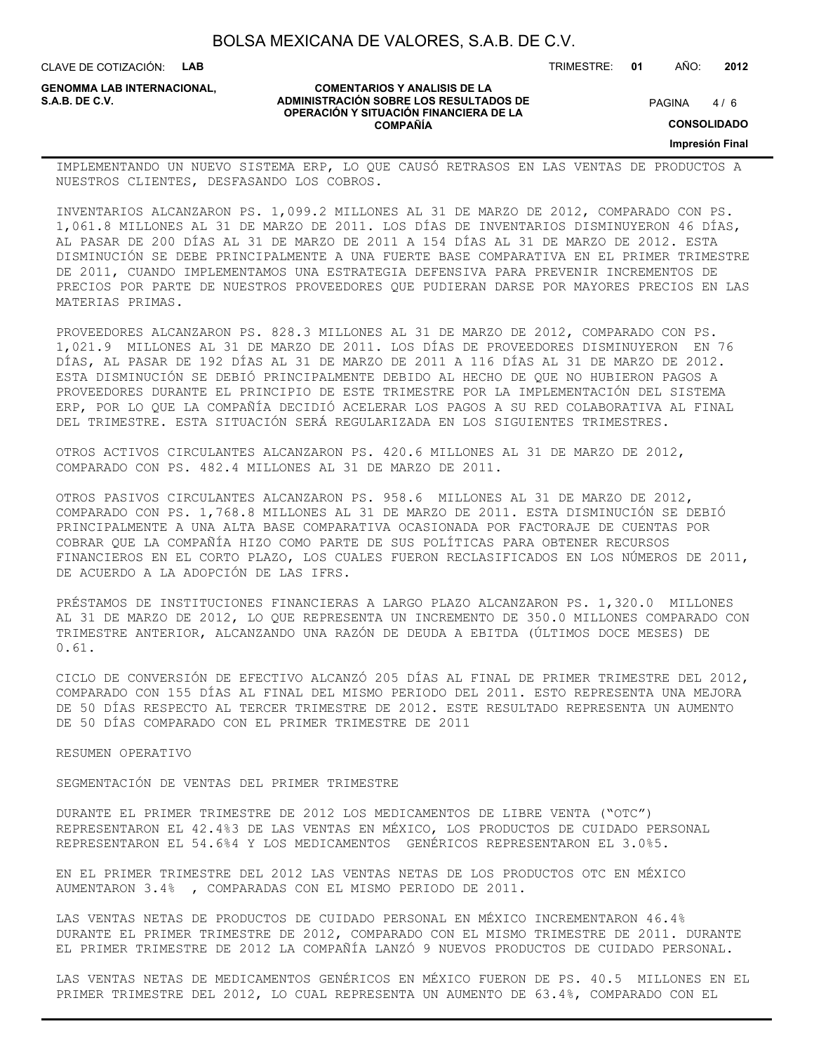CLAVE DE COTIZACIÓN: **LAB**

**GENOMMA LAB INTERNACIONAL,**

#### **COMENTARIOS Y ANALISIS DE LA ADMINISTRACIÓN SOBRE LOS RESULTADOS DE S.A.B. DE C.V.** PAGINA / 6 **OPERACIÓN Y SITUACIÓN FINANCIERA DE LA COMPAÑÍA**

 $4/6$ 

TRIMESTRE: **01** AÑO: **2012**

**CONSOLIDADO**

**Impresión Final**

IMPLEMENTANDO UN NUEVO SISTEMA ERP, LO QUE CAUSÓ RETRASOS EN LAS VENTAS DE PRODUCTOS A NUESTROS CLIENTES, DESFASANDO LOS COBROS.

INVENTARIOS ALCANZARON PS. 1,099.2 MILLONES AL 31 DE MARZO DE 2012, COMPARADO CON PS. 1,061.8 MILLONES AL 31 DE MARZO DE 2011. LOS DÍAS DE INVENTARIOS DISMINUYERON 46 DÍAS, AL PASAR DE 200 DÍAS AL 31 DE MARZO DE 2011 A 154 DÍAS AL 31 DE MARZO DE 2012. ESTA DISMINUCIÓN SE DEBE PRINCIPALMENTE A UNA FUERTE BASE COMPARATIVA EN EL PRIMER TRIMESTRE DE 2011, CUANDO IMPLEMENTAMOS UNA ESTRATEGIA DEFENSIVA PARA PREVENIR INCREMENTOS DE PRECIOS POR PARTE DE NUESTROS PROVEEDORES QUE PUDIERAN DARSE POR MAYORES PRECIOS EN LAS MATERIAS PRIMAS.

PROVEEDORES ALCANZARON PS. 828.3 MILLONES AL 31 DE MARZO DE 2012, COMPARADO CON PS. 1,021.9 MILLONES AL 31 DE MARZO DE 2011. LOS DÍAS DE PROVEEDORES DISMINUYERON EN 76 DÍAS, AL PASAR DE 192 DÍAS AL 31 DE MARZO DE 2011 A 116 DÍAS AL 31 DE MARZO DE 2012. ESTA DISMINUCIÓN SE DEBIÓ PRINCIPALMENTE DEBIDO AL HECHO DE QUE NO HUBIERON PAGOS A PROVEEDORES DURANTE EL PRINCIPIO DE ESTE TRIMESTRE POR LA IMPLEMENTACIÓN DEL SISTEMA ERP, POR LO QUE LA COMPAÑÍA DECIDIÓ ACELERAR LOS PAGOS A SU RED COLABORATIVA AL FINAL DEL TRIMESTRE. ESTA SITUACIÓN SERÁ REGULARIZADA EN LOS SIGUIENTES TRIMESTRES.

OTROS ACTIVOS CIRCULANTES ALCANZARON PS. 420.6 MILLONES AL 31 DE MARZO DE 2012, COMPARADO CON PS. 482.4 MILLONES AL 31 DE MARZO DE 2011.

OTROS PASIVOS CIRCULANTES ALCANZARON PS. 958.6 MILLONES AL 31 DE MARZO DE 2012, COMPARADO CON PS. 1,768.8 MILLONES AL 31 DE MARZO DE 2011. ESTA DISMINUCIÓN SE DEBIÓ PRINCIPALMENTE A UNA ALTA BASE COMPARATIVA OCASIONADA POR FACTORAJE DE CUENTAS POR COBRAR QUE LA COMPAÑÍA HIZO COMO PARTE DE SUS POLÍTICAS PARA OBTENER RECURSOS FINANCIEROS EN EL CORTO PLAZO, LOS CUALES FUERON RECLASIFICADOS EN LOS NÚMEROS DE 2011, DE ACUERDO A LA ADOPCIÓN DE LAS IFRS.

PRÉSTAMOS DE INSTITUCIONES FINANCIERAS A LARGO PLAZO ALCANZARON PS. 1,320.0 MILLONES AL 31 DE MARZO DE 2012, LO QUE REPRESENTA UN INCREMENTO DE 350.0 MILLONES COMPARADO CON TRIMESTRE ANTERIOR, ALCANZANDO UNA RAZÓN DE DEUDA A EBITDA (ÚLTIMOS DOCE MESES) DE 0.61.

CICLO DE CONVERSIÓN DE EFECTIVO ALCANZÓ 205 DÍAS AL FINAL DE PRIMER TRIMESTRE DEL 2012, COMPARADO CON 155 DÍAS AL FINAL DEL MISMO PERIODO DEL 2011. ESTO REPRESENTA UNA MEJORA DE 50 DÍAS RESPECTO AL TERCER TRIMESTRE DE 2012. ESTE RESULTADO REPRESENTA UN AUMENTO DE 50 DÍAS COMPARADO CON EL PRIMER TRIMESTRE DE 2011

RESUMEN OPERATIVO

SEGMENTACIÓN DE VENTAS DEL PRIMER TRIMESTRE

DURANTE EL PRIMER TRIMESTRE DE 2012 LOS MEDICAMENTOS DE LIBRE VENTA ("OTC") REPRESENTARON EL 42.4%3 DE LAS VENTAS EN MÉXICO, LOS PRODUCTOS DE CUIDADO PERSONAL REPRESENTARON EL 54.6%4 Y LOS MEDICAMENTOS GENÉRICOS REPRESENTARON EL 3.0%5.

EN EL PRIMER TRIMESTRE DEL 2012 LAS VENTAS NETAS DE LOS PRODUCTOS OTC EN MÉXICO AUMENTARON 3.4% , COMPARADAS CON EL MISMO PERIODO DE 2011.

LAS VENTAS NETAS DE PRODUCTOS DE CUIDADO PERSONAL EN MÉXICO INCREMENTARON 46.4% DURANTE EL PRIMER TRIMESTRE DE 2012, COMPARADO CON EL MISMO TRIMESTRE DE 2011. DURANTE EL PRIMER TRIMESTRE DE 2012 LA COMPAÑÍA LANZÓ 9 NUEVOS PRODUCTOS DE CUIDADO PERSONAL.

LAS VENTAS NETAS DE MEDICAMENTOS GENÉRICOS EN MÉXICO FUERON DE PS. 40.5 MILLONES EN EL PRIMER TRIMESTRE DEL 2012, LO CUAL REPRESENTA UN AUMENTO DE 63.4%, COMPARADO CON EL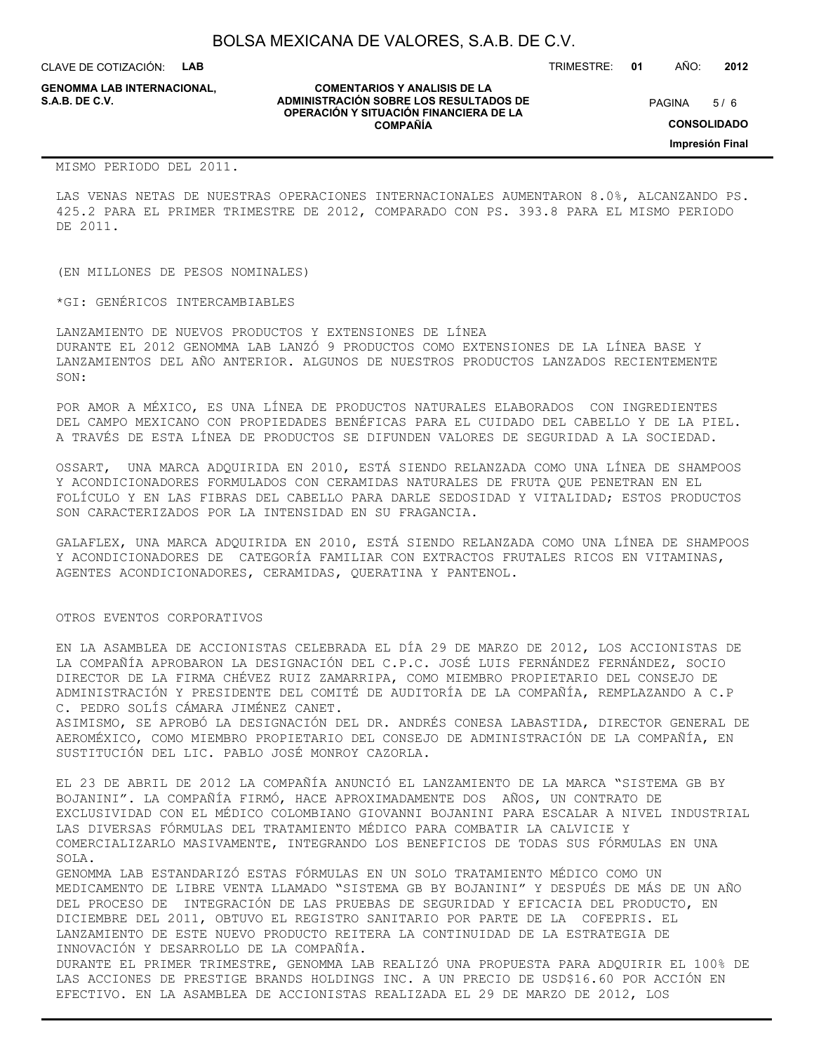CLAVE DE COTIZACIÓN: **LAB**

**GENOMMA LAB INTERNACIONAL,**

#### **COMENTARIOS Y ANALISIS DE LA ADMINISTRACIÓN SOBRE LOS RESULTADOS DE S.A.B. DE C.V.** PAGINA / 6 **OPERACIÓN Y SITUACIÓN FINANCIERA DE LA COMPAÑÍA**

 $5/6$ 

TRIMESTRE: **01** AÑO: **2012**

**CONSOLIDADO**

**Impresión Final**

#### MISMO PERIODO DEL 2011.

LAS VENAS NETAS DE NUESTRAS OPERACIONES INTERNACIONALES AUMENTARON 8.0%, ALCANZANDO PS. 425.2 PARA EL PRIMER TRIMESTRE DE 2012, COMPARADO CON PS. 393.8 PARA EL MISMO PERIODO DE 2011.

(EN MILLONES DE PESOS NOMINALES)

\*GI: GENÉRICOS INTERCAMBIABLES

LANZAMIENTO DE NUEVOS PRODUCTOS Y EXTENSIONES DE LÍNEA DURANTE EL 2012 GENOMMA LAB LANZÓ 9 PRODUCTOS COMO EXTENSIONES DE LA LÍNEA BASE Y LANZAMIENTOS DEL AÑO ANTERIOR. ALGUNOS DE NUESTROS PRODUCTOS LANZADOS RECIENTEMENTE SON:

POR AMOR A MÉXICO, ES UNA LÍNEA DE PRODUCTOS NATURALES ELABORADOS CON INGREDIENTES DEL CAMPO MEXICANO CON PROPIEDADES BENÉFICAS PARA EL CUIDADO DEL CABELLO Y DE LA PIEL. A TRAVÉS DE ESTA LÍNEA DE PRODUCTOS SE DIFUNDEN VALORES DE SEGURIDAD A LA SOCIEDAD.

OSSART, UNA MARCA ADQUIRIDA EN 2010, ESTÁ SIENDO RELANZADA COMO UNA LÍNEA DE SHAMPOOS Y ACONDICIONADORES FORMULADOS CON CERAMIDAS NATURALES DE FRUTA QUE PENETRAN EN EL FOLÍCULO Y EN LAS FIBRAS DEL CABELLO PARA DARLE SEDOSIDAD Y VITALIDAD; ESTOS PRODUCTOS SON CARACTERIZADOS POR LA INTENSIDAD EN SU FRAGANCIA.

GALAFLEX, UNA MARCA ADQUIRIDA EN 2010, ESTÁ SIENDO RELANZADA COMO UNA LÍNEA DE SHAMPOOS Y ACONDICIONADORES DE CATEGORÍA FAMILIAR CON EXTRACTOS FRUTALES RICOS EN VITAMINAS, AGENTES ACONDICIONADORES, CERAMIDAS, QUERATINA Y PANTENOL.

OTROS EVENTOS CORPORATIVOS

EN LA ASAMBLEA DE ACCIONISTAS CELEBRADA EL DÍA 29 DE MARZO DE 2012, LOS ACCIONISTAS DE LA COMPAÑÍA APROBARON LA DESIGNACIÓN DEL C.P.C. JOSÉ LUIS FERNÁNDEZ FERNÁNDEZ, SOCIO DIRECTOR DE LA FIRMA CHÉVEZ RUIZ ZAMARRIPA, COMO MIEMBRO PROPIETARIO DEL CONSEJO DE ADMINISTRACIÓN Y PRESIDENTE DEL COMITÉ DE AUDITORÍA DE LA COMPAÑÍA, REMPLAZANDO A C.P C. PEDRO SOLÍS CÁMARA JIMÉNEZ CANET.

ASIMISMO, SE APROBÓ LA DESIGNACIÓN DEL DR. ANDRÉS CONESA LABASTIDA, DIRECTOR GENERAL DE AEROMÉXICO, COMO MIEMBRO PROPIETARIO DEL CONSEJO DE ADMINISTRACIÓN DE LA COMPAÑÍA, EN SUSTITUCIÓN DEL LIC. PABLO JOSÉ MONROY CAZORLA.

EL 23 DE ABRIL DE 2012 LA COMPAÑÍA ANUNCIÓ EL LANZAMIENTO DE LA MARCA "SISTEMA GB BY BOJANINI". LA COMPAÑÍA FIRMÓ, HACE APROXIMADAMENTE DOS AÑOS, UN CONTRATO DE EXCLUSIVIDAD CON EL MÉDICO COLOMBIANO GIOVANNI BOJANINI PARA ESCALAR A NIVEL INDUSTRIAL LAS DIVERSAS FÓRMULAS DEL TRATAMIENTO MÉDICO PARA COMBATIR LA CALVICIE Y COMERCIALIZARLO MASIVAMENTE, INTEGRANDO LOS BENEFICIOS DE TODAS SUS FÓRMULAS EN UNA SOLA.

GENOMMA LAB ESTANDARIZÓ ESTAS FÓRMULAS EN UN SOLO TRATAMIENTO MÉDICO COMO UN MEDICAMENTO DE LIBRE VENTA LLAMADO "SISTEMA GB BY BOJANINI" Y DESPUÉS DE MÁS DE UN AÑO DEL PROCESO DE INTEGRACIÓN DE LAS PRUEBAS DE SEGURIDAD Y EFICACIA DEL PRODUCTO, EN DICIEMBRE DEL 2011, OBTUVO EL REGISTRO SANITARIO POR PARTE DE LA COFEPRIS. EL LANZAMIENTO DE ESTE NUEVO PRODUCTO REITERA LA CONTINUIDAD DE LA ESTRATEGIA DE INNOVACIÓN Y DESARROLLO DE LA COMPAÑÍA.

DURANTE EL PRIMER TRIMESTRE, GENOMMA LAB REALIZÓ UNA PROPUESTA PARA ADQUIRIR EL 100% DE LAS ACCIONES DE PRESTIGE BRANDS HOLDINGS INC. A UN PRECIO DE USD\$16.60 POR ACCIÓN EN EFECTIVO. EN LA ASAMBLEA DE ACCIONISTAS REALIZADA EL 29 DE MARZO DE 2012, LOS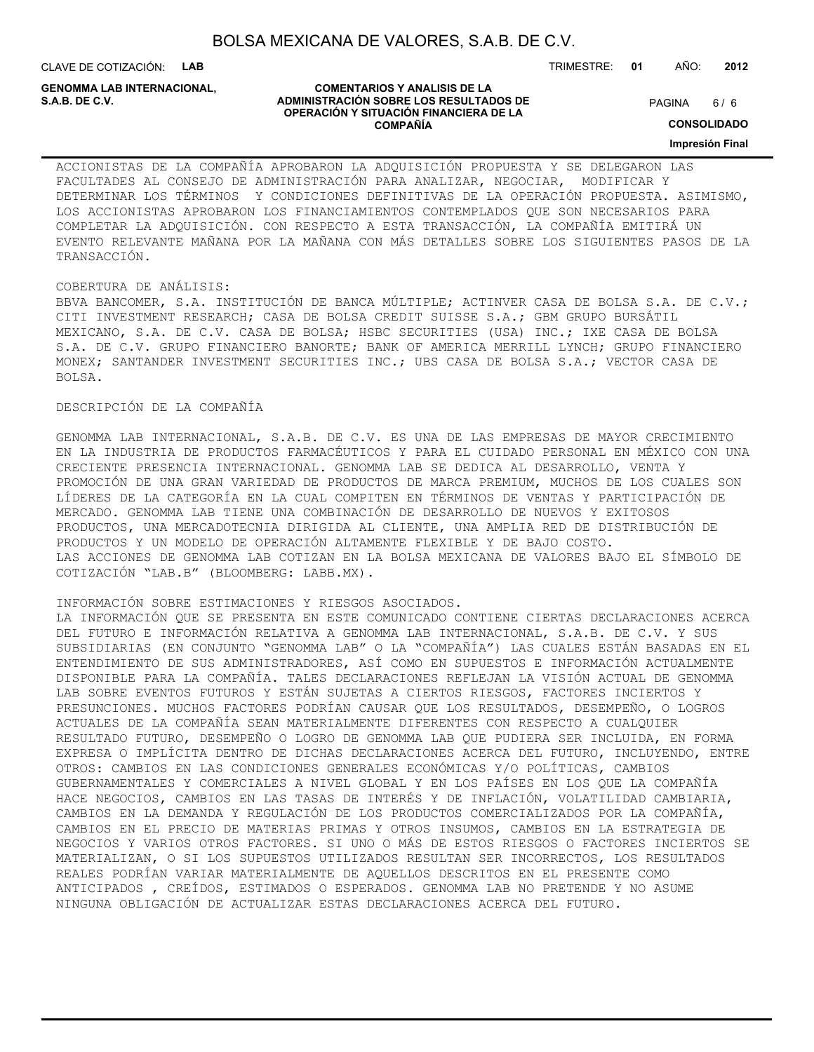CLAVE DE COTIZACIÓN: **LAB** TRIMESTRE: **01** AÑO: **2012**

**GENOMMA LAB INTERNACIONAL,**

#### **COMENTARIOS Y ANALISIS DE LA ADMINISTRACIÓN SOBRE LOS RESULTADOS DE S.A.B. DE C.V.** PAGINA / 6 **OPERACIÓN Y SITUACIÓN FINANCIERA DE LA COMPAÑÍA**

 $6/6$ 

**CONSOLIDADO**

**Impresión Final**

ACCIONISTAS DE LA COMPAÑÍA APROBARON LA ADQUISICIÓN PROPUESTA Y SE DELEGARON LAS FACULTADES AL CONSEJO DE ADMINISTRACIÓN PARA ANALIZAR, NEGOCIAR, MODIFICAR Y DETERMINAR LOS TÉRMINOS Y CONDICIONES DEFINITIVAS DE LA OPERACIÓN PROPUESTA. ASIMISMO, LOS ACCIONISTAS APROBARON LOS FINANCIAMIENTOS CONTEMPLADOS QUE SON NECESARIOS PARA COMPLETAR LA ADQUISICIÓN. CON RESPECTO A ESTA TRANSACCIÓN, LA COMPAÑÍA EMITIRÁ UN EVENTO RELEVANTE MAÑANA POR LA MAÑANA CON MÁS DETALLES SOBRE LOS SIGUIENTES PASOS DE LA TRANSACCIÓN.

#### COBERTURA DE ANÁLISIS:

BBVA BANCOMER, S.A. INSTITUCIÓN DE BANCA MÚLTIPLE; ACTINVER CASA DE BOLSA S.A. DE C.V.; CITI INVESTMENT RESEARCH; CASA DE BOLSA CREDIT SUISSE S.A.; GBM GRUPO BURSÁTIL MEXICANO, S.A. DE C.V. CASA DE BOLSA; HSBC SECURITIES (USA) INC.; IXE CASA DE BOLSA S.A. DE C.V. GRUPO FINANCIERO BANORTE; BANK OF AMERICA MERRILL LYNCH; GRUPO FINANCIERO MONEX; SANTANDER INVESTMENT SECURITIES INC.; UBS CASA DE BOLSA S.A.; VECTOR CASA DE BOLSA.

#### DESCRIPCIÓN DE LA COMPAÑÍA

GENOMMA LAB INTERNACIONAL, S.A.B. DE C.V. ES UNA DE LAS EMPRESAS DE MAYOR CRECIMIENTO EN LA INDUSTRIA DE PRODUCTOS FARMACÉUTICOS Y PARA EL CUIDADO PERSONAL EN MÉXICO CON UNA CRECIENTE PRESENCIA INTERNACIONAL. GENOMMA LAB SE DEDICA AL DESARROLLO, VENTA Y PROMOCIÓN DE UNA GRAN VARIEDAD DE PRODUCTOS DE MARCA PREMIUM, MUCHOS DE LOS CUALES SON LÍDERES DE LA CATEGORÍA EN LA CUAL COMPITEN EN TÉRMINOS DE VENTAS Y PARTICIPACIÓN DE MERCADO. GENOMMA LAB TIENE UNA COMBINACIÓN DE DESARROLLO DE NUEVOS Y EXITOSOS PRODUCTOS, UNA MERCADOTECNIA DIRIGIDA AL CLIENTE, UNA AMPLIA RED DE DISTRIBUCIÓN DE PRODUCTOS Y UN MODELO DE OPERACIÓN ALTAMENTE FLEXIBLE Y DE BAJO COSTO. LAS ACCIONES DE GENOMMA LAB COTIZAN EN LA BOLSA MEXICANA DE VALORES BAJO EL SÍMBOLO DE COTIZACIÓN "LAB.B" (BLOOMBERG: LABB.MX).

#### INFORMACIÓN SOBRE ESTIMACIONES Y RIESGOS ASOCIADOS.

LA INFORMACIÓN QUE SE PRESENTA EN ESTE COMUNICADO CONTIENE CIERTAS DECLARACIONES ACERCA DEL FUTURO E INFORMACIÓN RELATIVA A GENOMMA LAB INTERNACIONAL, S.A.B. DE C.V. Y SUS SUBSIDIARIAS (EN CONJUNTO "GENOMMA LAB" O LA "COMPAÑÍA") LAS CUALES ESTÁN BASADAS EN EL ENTENDIMIENTO DE SUS ADMINISTRADORES, ASÍ COMO EN SUPUESTOS E INFORMACIÓN ACTUALMENTE DISPONIBLE PARA LA COMPAÑÍA. TALES DECLARACIONES REFLEJAN LA VISIÓN ACTUAL DE GENOMMA LAB SOBRE EVENTOS FUTUROS Y ESTÁN SUJETAS A CIERTOS RIESGOS, FACTORES INCIERTOS Y PRESUNCIONES. MUCHOS FACTORES PODRÍAN CAUSAR QUE LOS RESULTADOS, DESEMPEÑO, O LOGROS ACTUALES DE LA COMPAÑÍA SEAN MATERIALMENTE DIFERENTES CON RESPECTO A CUALQUIER RESULTADO FUTURO, DESEMPEÑO O LOGRO DE GENOMMA LAB QUE PUDIERA SER INCLUIDA, EN FORMA EXPRESA O IMPLÍCITA DENTRO DE DICHAS DECLARACIONES ACERCA DEL FUTURO, INCLUYENDO, ENTRE OTROS: CAMBIOS EN LAS CONDICIONES GENERALES ECONÓMICAS Y/O POLÍTICAS, CAMBIOS GUBERNAMENTALES Y COMERCIALES A NIVEL GLOBAL Y EN LOS PAÍSES EN LOS QUE LA COMPAÑÍA HACE NEGOCIOS, CAMBIOS EN LAS TASAS DE INTERÉS Y DE INFLACIÓN, VOLATILIDAD CAMBIARIA, CAMBIOS EN LA DEMANDA Y REGULACIÓN DE LOS PRODUCTOS COMERCIALIZADOS POR LA COMPAÑÍA, CAMBIOS EN EL PRECIO DE MATERIAS PRIMAS Y OTROS INSUMOS, CAMBIOS EN LA ESTRATEGIA DE NEGOCIOS Y VARIOS OTROS FACTORES. SI UNO O MÁS DE ESTOS RIESGOS O FACTORES INCIERTOS SE MATERIALIZAN, O SI LOS SUPUESTOS UTILIZADOS RESULTAN SER INCORRECTOS, LOS RESULTADOS REALES PODRÍAN VARIAR MATERIALMENTE DE AQUELLOS DESCRITOS EN EL PRESENTE COMO ANTICIPADOS , CREÍDOS, ESTIMADOS O ESPERADOS. GENOMMA LAB NO PRETENDE Y NO ASUME NINGUNA OBLIGACIÓN DE ACTUALIZAR ESTAS DECLARACIONES ACERCA DEL FUTURO.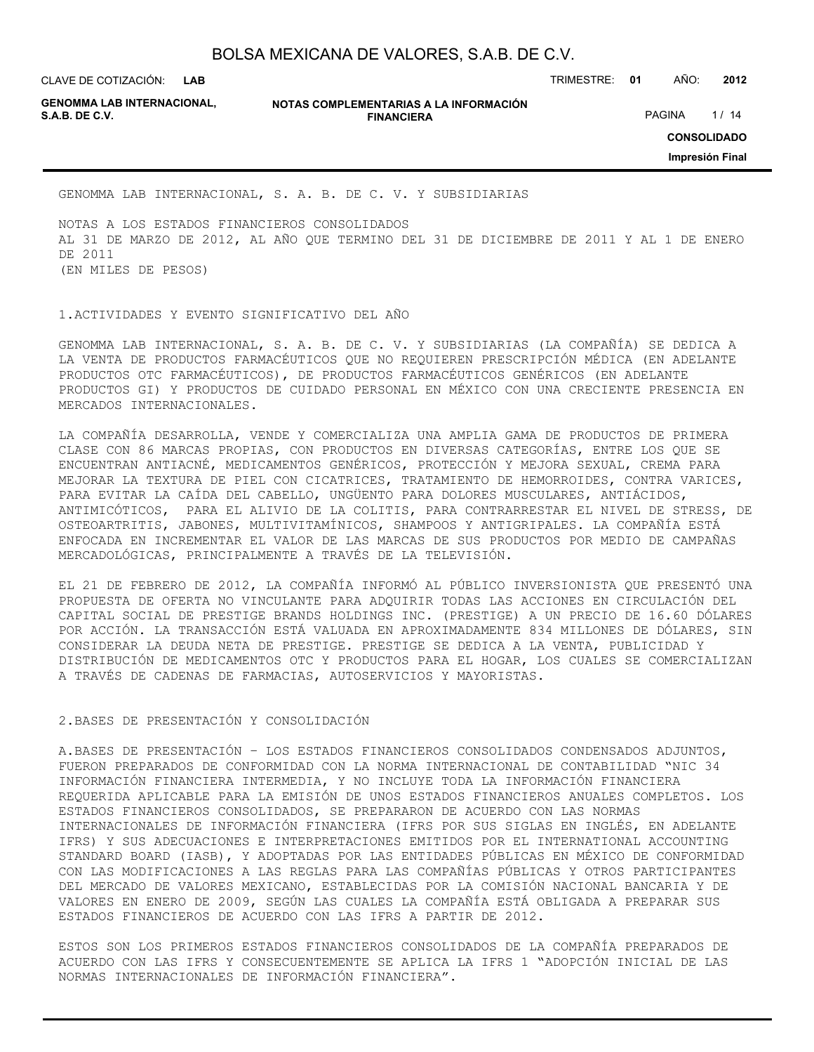**NOTAS COMPLEMENTARIAS A LA INFORMACIÓN FINANCIERA**

CLAVE DE COTIZACIÓN: TRIMESTRE: **01** AÑO: **2012**

**GENOMMA LAB INTERNACIONAL,**

**S.A.B. DE C.V.** PAGINA 1/14

**CONSOLIDADO**

**Impresión Final**

GENOMMA LAB INTERNACIONAL, S. A. B. DE C. V. Y SUBSIDIARIAS

NOTAS A LOS ESTADOS FINANCIEROS CONSOLIDADOS AL 31 DE MARZO DE 2012, AL AÑO QUE TERMINO DEL 31 DE DICIEMBRE DE 2011 Y AL 1 DE ENERO DE 2011 (EN MILES DE PESOS)

1.ACTIVIDADES Y EVENTO SIGNIFICATIVO DEL AÑO

GENOMMA LAB INTERNACIONAL, S. A. B. DE C. V. Y SUBSIDIARIAS (LA COMPAÑÍA) SE DEDICA A LA VENTA DE PRODUCTOS FARMACÉUTICOS QUE NO REQUIEREN PRESCRIPCIÓN MÉDICA (EN ADELANTE PRODUCTOS OTC FARMACÉUTICOS), DE PRODUCTOS FARMACÉUTICOS GENÉRICOS (EN ADELANTE PRODUCTOS GI) Y PRODUCTOS DE CUIDADO PERSONAL EN MÉXICO CON UNA CRECIENTE PRESENCIA EN MERCADOS INTERNACIONALES.

LA COMPAÑÍA DESARROLLA, VENDE Y COMERCIALIZA UNA AMPLIA GAMA DE PRODUCTOS DE PRIMERA CLASE CON 86 MARCAS PROPIAS, CON PRODUCTOS EN DIVERSAS CATEGORÍAS, ENTRE LOS QUE SE ENCUENTRAN ANTIACNÉ, MEDICAMENTOS GENÉRICOS, PROTECCIÓN Y MEJORA SEXUAL, CREMA PARA MEJORAR LA TEXTURA DE PIEL CON CICATRICES, TRATAMIENTO DE HEMORROIDES, CONTRA VARICES, PARA EVITAR LA CAÍDA DEL CABELLO, UNGÜENTO PARA DOLORES MUSCULARES, ANTIÁCIDOS, ANTIMICÓTICOS, PARA EL ALIVIO DE LA COLITIS, PARA CONTRARRESTAR EL NIVEL DE STRESS, DE OSTEOARTRITIS, JABONES, MULTIVITAMÍNICOS, SHAMPOOS Y ANTIGRIPALES. LA COMPAÑÍA ESTÁ ENFOCADA EN INCREMENTAR EL VALOR DE LAS MARCAS DE SUS PRODUCTOS POR MEDIO DE CAMPAÑAS MERCADOLÓGICAS, PRINCIPALMENTE A TRAVÉS DE LA TELEVISIÓN.

EL 21 DE FEBRERO DE 2012, LA COMPAÑÍA INFORMÓ AL PÚBLICO INVERSIONISTA QUE PRESENTÓ UNA PROPUESTA DE OFERTA NO VINCULANTE PARA ADQUIRIR TODAS LAS ACCIONES EN CIRCULACIÓN DEL CAPITAL SOCIAL DE PRESTIGE BRANDS HOLDINGS INC. (PRESTIGE) A UN PRECIO DE 16.60 DÓLARES POR ACCIÓN. LA TRANSACCIÓN ESTÁ VALUADA EN APROXIMADAMENTE 834 MILLONES DE DÓLARES, SIN CONSIDERAR LA DEUDA NETA DE PRESTIGE. PRESTIGE SE DEDICA A LA VENTA, PUBLICIDAD Y DISTRIBUCIÓN DE MEDICAMENTOS OTC Y PRODUCTOS PARA EL HOGAR, LOS CUALES SE COMERCIALIZAN A TRAVÉS DE CADENAS DE FARMACIAS, AUTOSERVICIOS Y MAYORISTAS.

2.BASES DE PRESENTACIÓN Y CONSOLIDACIÓN

A.BASES DE PRESENTACIÓN – LOS ESTADOS FINANCIEROS CONSOLIDADOS CONDENSADOS ADJUNTOS, FUERON PREPARADOS DE CONFORMIDAD CON LA NORMA INTERNACIONAL DE CONTABILIDAD "NIC 34 INFORMACIÓN FINANCIERA INTERMEDIA, Y NO INCLUYE TODA LA INFORMACIÓN FINANCIERA REQUERIDA APLICABLE PARA LA EMISIÓN DE UNOS ESTADOS FINANCIEROS ANUALES COMPLETOS. LOS ESTADOS FINANCIEROS CONSOLIDADOS, SE PREPARARON DE ACUERDO CON LAS NORMAS INTERNACIONALES DE INFORMACIÓN FINANCIERA (IFRS POR SUS SIGLAS EN INGLÉS, EN ADELANTE IFRS) Y SUS ADECUACIONES E INTERPRETACIONES EMITIDOS POR EL INTERNATIONAL ACCOUNTING STANDARD BOARD (IASB), Y ADOPTADAS POR LAS ENTIDADES PÚBLICAS EN MÉXICO DE CONFORMIDAD CON LAS MODIFICACIONES A LAS REGLAS PARA LAS COMPAÑÍAS PÚBLICAS Y OTROS PARTICIPANTES DEL MERCADO DE VALORES MEXICANO, ESTABLECIDAS POR LA COMISIÓN NACIONAL BANCARIA Y DE VALORES EN ENERO DE 2009, SEGÚN LAS CUALES LA COMPAÑÍA ESTÁ OBLIGADA A PREPARAR SUS ESTADOS FINANCIEROS DE ACUERDO CON LAS IFRS A PARTIR DE 2012.

ESTOS SON LOS PRIMEROS ESTADOS FINANCIEROS CONSOLIDADOS DE LA COMPAÑÍA PREPARADOS DE ACUERDO CON LAS IFRS Y CONSECUENTEMENTE SE APLICA LA IFRS 1 "ADOPCIÓN INICIAL DE LAS NORMAS INTERNACIONALES DE INFORMACIÓN FINANCIERA".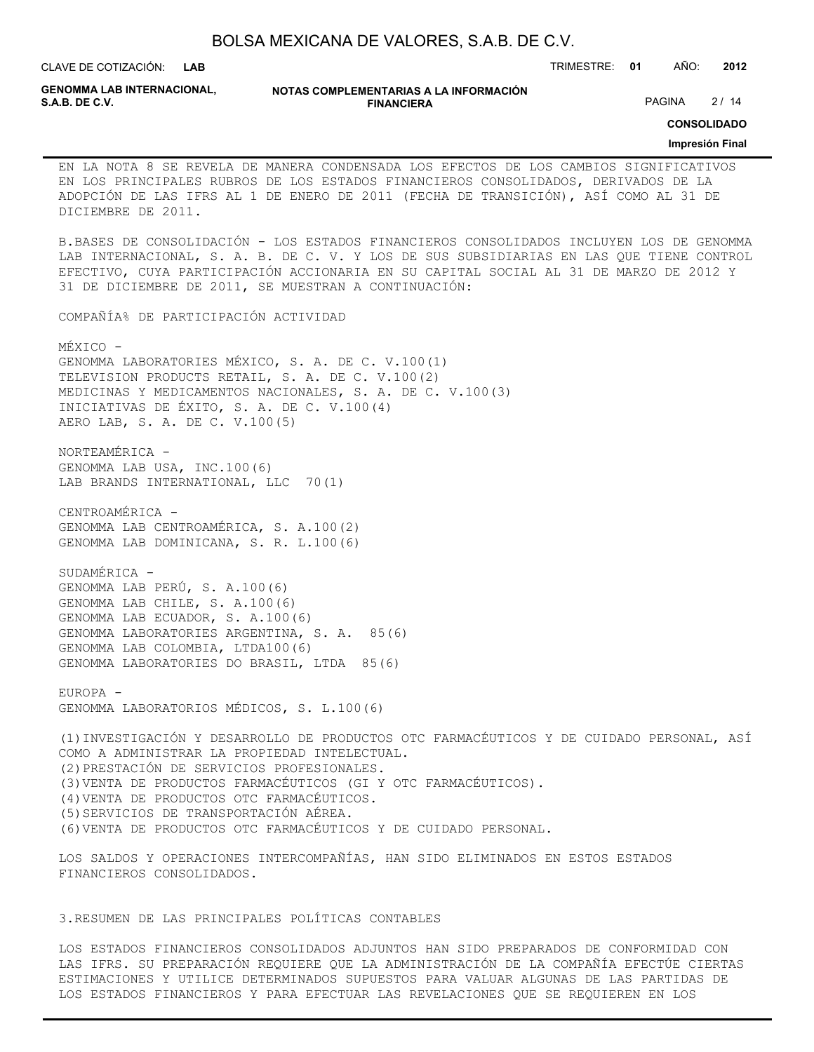| BOLSA MEXICANA DE VALORES, S.A.B. DE C.V. |  |  |
|-------------------------------------------|--|--|
|-------------------------------------------|--|--|

CLAVE DE COTIZACIÓN: TRIMESTRE: **01** AÑO: **2012**

**GENOMMA LAB INTERNACIONAL,**

**NOTAS COMPLEMENTARIAS A LA INFORMACIÓN FINANCIERA**

PAGINA 2/14

**CONSOLIDADO**

#### **Impresión Final**

EN LA NOTA 8 SE REVELA DE MANERA CONDENSADA LOS EFECTOS DE LOS CAMBIOS SIGNIFICATIVOS EN LOS PRINCIPALES RUBROS DE LOS ESTADOS FINANCIEROS CONSOLIDADOS, DERIVADOS DE LA ADOPCIÓN DE LAS IFRS AL 1 DE ENERO DE 2011 (FECHA DE TRANSICIÓN), ASÍ COMO AL 31 DE DICIEMBRE DE 2011.

B.BASES DE CONSOLIDACIÓN - LOS ESTADOS FINANCIEROS CONSOLIDADOS INCLUYEN LOS DE GENOMMA LAB INTERNACIONAL, S. A. B. DE C. V. Y LOS DE SUS SUBSIDIARIAS EN LAS QUE TIENE CONTROL EFECTIVO, CUYA PARTICIPACIÓN ACCIONARIA EN SU CAPITAL SOCIAL AL 31 DE MARZO DE 2012 Y 31 DE DICIEMBRE DE 2011, SE MUESTRAN A CONTINUACIÓN:

COMPAÑÍA% DE PARTICIPACIÓN ACTIVIDAD

MÉXICO - GENOMMA LABORATORIES MÉXICO, S. A. DE C. V.100(1) TELEVISION PRODUCTS RETAIL, S. A. DE C. V.100(2) MEDICINAS Y MEDICAMENTOS NACIONALES, S. A. DE C. V.100(3) INICIATIVAS DE ÉXITO, S. A. DE C. V.100(4) AERO LAB, S. A. DE C. V.100(5)

NORTEAMÉRICA - GENOMMA LAB USA, INC.100(6) LAB BRANDS INTERNATIONAL, LLC 70(1)

CENTROAMÉRICA - GENOMMA LAB CENTROAMÉRICA, S. A.100(2) GENOMMA LAB DOMINICANA, S. R. L.100(6)

SUDAMÉRICA - GENOMMA LAB PERÚ, S. A.100(6) GENOMMA LAB CHILE, S. A.100(6) GENOMMA LAB ECUADOR, S. A.100(6) GENOMMA LABORATORIES ARGENTINA, S. A. 85(6) GENOMMA LAB COLOMBIA, LTDA100(6) GENOMMA LABORATORIES DO BRASIL, LTDA 85(6)

EUROPA - GENOMMA LABORATORIOS MÉDICOS, S. L.100(6)

(1)INVESTIGACIÓN Y DESARROLLO DE PRODUCTOS OTC FARMACÉUTICOS Y DE CUIDADO PERSONAL, ASÍ COMO A ADMINISTRAR LA PROPIEDAD INTELECTUAL. (2)PRESTACIÓN DE SERVICIOS PROFESIONALES. (3)VENTA DE PRODUCTOS FARMACÉUTICOS (GI Y OTC FARMACÉUTICOS). (4)VENTA DE PRODUCTOS OTC FARMACÉUTICOS. (5)SERVICIOS DE TRANSPORTACIÓN AÉREA. (6)VENTA DE PRODUCTOS OTC FARMACÉUTICOS Y DE CUIDADO PERSONAL.

LOS SALDOS Y OPERACIONES INTERCOMPAÑÍAS, HAN SIDO ELIMINADOS EN ESTOS ESTADOS FINANCIEROS CONSOLIDADOS.

3.RESUMEN DE LAS PRINCIPALES POLÍTICAS CONTABLES

LOS ESTADOS FINANCIEROS CONSOLIDADOS ADJUNTOS HAN SIDO PREPARADOS DE CONFORMIDAD CON LAS IFRS. SU PREPARACIÓN REQUIERE QUE LA ADMINISTRACIÓN DE LA COMPAÑÍA EFECTÚE CIERTAS ESTIMACIONES Y UTILICE DETERMINADOS SUPUESTOS PARA VALUAR ALGUNAS DE LAS PARTIDAS DE LOS ESTADOS FINANCIEROS Y PARA EFECTUAR LAS REVELACIONES QUE SE REQUIEREN EN LOS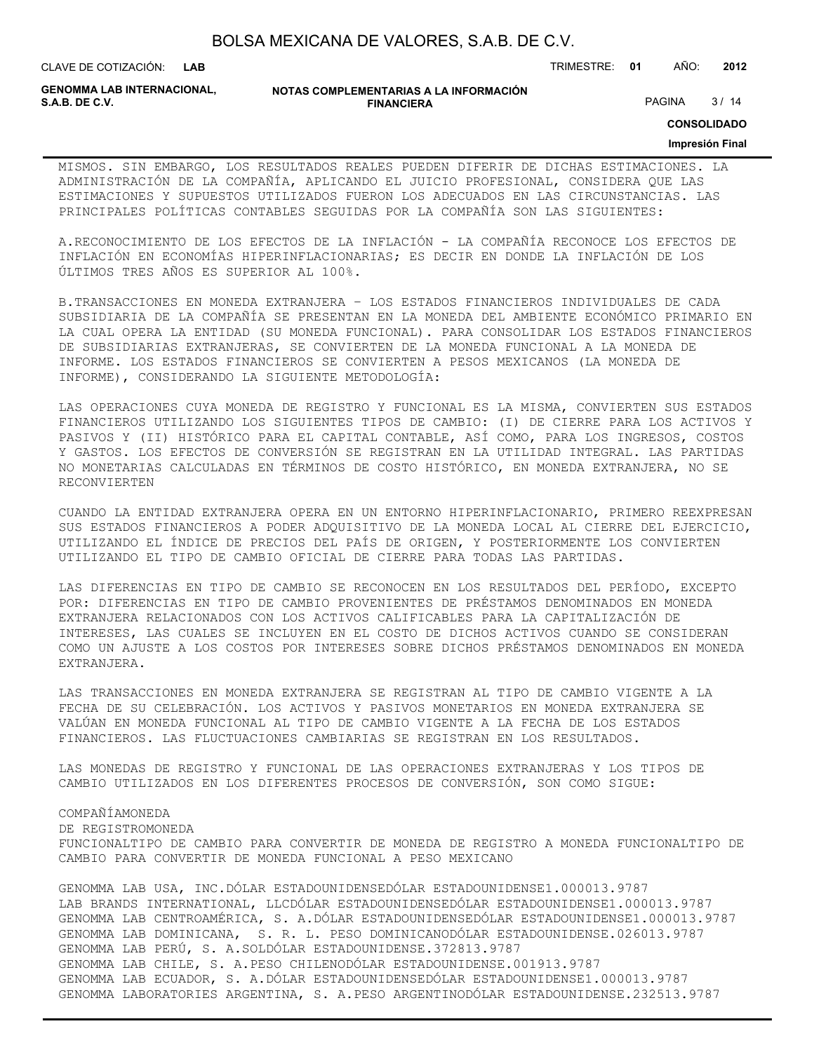| BOLSA MEXICANA DE VALORES, S.A.B. DE C.V. |  |  |
|-------------------------------------------|--|--|
|-------------------------------------------|--|--|

CLAVE DE COTIZACIÓN: TRIMESTRE: **01** AÑO: **2012**

**GENOMMA LAB INTERNACIONAL,**

**NOTAS COMPLEMENTARIAS A LA INFORMACIÓN FINANCIERA S.A.B. DE C.V.** PAGINA 8 / 14

**CONSOLIDADO**

#### **Impresión Final**

MISMOS. SIN EMBARGO, LOS RESULTADOS REALES PUEDEN DIFERIR DE DICHAS ESTIMACIONES. LA ADMINISTRACIÓN DE LA COMPAÑÍA, APLICANDO EL JUICIO PROFESIONAL, CONSIDERA QUE LAS ESTIMACIONES Y SUPUESTOS UTILIZADOS FUERON LOS ADECUADOS EN LAS CIRCUNSTANCIAS. LAS PRINCIPALES POLÍTICAS CONTABLES SEGUIDAS POR LA COMPAÑÍA SON LAS SIGUIENTES:

A.RECONOCIMIENTO DE LOS EFECTOS DE LA INFLACIÓN - LA COMPAÑÍA RECONOCE LOS EFECTOS DE INFLACIÓN EN ECONOMÍAS HIPERINFLACIONARIAS; ES DECIR EN DONDE LA INFLACIÓN DE LOS ÚLTIMOS TRES AÑOS ES SUPERIOR AL 100%.

B.TRANSACCIONES EN MONEDA EXTRANJERA – LOS ESTADOS FINANCIEROS INDIVIDUALES DE CADA SUBSIDIARIA DE LA COMPAÑÍA SE PRESENTAN EN LA MONEDA DEL AMBIENTE ECONÓMICO PRIMARIO EN LA CUAL OPERA LA ENTIDAD (SU MONEDA FUNCIONAL). PARA CONSOLIDAR LOS ESTADOS FINANCIEROS DE SUBSIDIARIAS EXTRANJERAS, SE CONVIERTEN DE LA MONEDA FUNCIONAL A LA MONEDA DE INFORME. LOS ESTADOS FINANCIEROS SE CONVIERTEN A PESOS MEXICANOS (LA MONEDA DE INFORME), CONSIDERANDO LA SIGUIENTE METODOLOGÍA:

LAS OPERACIONES CUYA MONEDA DE REGISTRO Y FUNCIONAL ES LA MISMA, CONVIERTEN SUS ESTADOS FINANCIEROS UTILIZANDO LOS SIGUIENTES TIPOS DE CAMBIO: (I) DE CIERRE PARA LOS ACTIVOS Y PASIVOS Y (II) HISTÓRICO PARA EL CAPITAL CONTABLE, ASÍ COMO, PARA LOS INGRESOS, COSTOS Y GASTOS. LOS EFECTOS DE CONVERSIÓN SE REGISTRAN EN LA UTILIDAD INTEGRAL. LAS PARTIDAS NO MONETARIAS CALCULADAS EN TÉRMINOS DE COSTO HISTÓRICO, EN MONEDA EXTRANJERA, NO SE RECONVIERTEN

CUANDO LA ENTIDAD EXTRANJERA OPERA EN UN ENTORNO HIPERINFLACIONARIO, PRIMERO REEXPRESAN SUS ESTADOS FINANCIEROS A PODER ADQUISITIVO DE LA MONEDA LOCAL AL CIERRE DEL EJERCICIO, UTILIZANDO EL ÍNDICE DE PRECIOS DEL PAÍS DE ORIGEN, Y POSTERIORMENTE LOS CONVIERTEN UTILIZANDO EL TIPO DE CAMBIO OFICIAL DE CIERRE PARA TODAS LAS PARTIDAS.

LAS DIFERENCIAS EN TIPO DE CAMBIO SE RECONOCEN EN LOS RESULTADOS DEL PERÍODO, EXCEPTO POR: DIFERENCIAS EN TIPO DE CAMBIO PROVENIENTES DE PRÉSTAMOS DENOMINADOS EN MONEDA EXTRANJERA RELACIONADOS CON LOS ACTIVOS CALIFICABLES PARA LA CAPITALIZACIÓN DE INTERESES, LAS CUALES SE INCLUYEN EN EL COSTO DE DICHOS ACTIVOS CUANDO SE CONSIDERAN COMO UN AJUSTE A LOS COSTOS POR INTERESES SOBRE DICHOS PRÉSTAMOS DENOMINADOS EN MONEDA EXTRANJERA.

LAS TRANSACCIONES EN MONEDA EXTRANJERA SE REGISTRAN AL TIPO DE CAMBIO VIGENTE A LA FECHA DE SU CELEBRACIÓN. LOS ACTIVOS Y PASIVOS MONETARIOS EN MONEDA EXTRANJERA SE VALÚAN EN MONEDA FUNCIONAL AL TIPO DE CAMBIO VIGENTE A LA FECHA DE LOS ESTADOS FINANCIEROS. LAS FLUCTUACIONES CAMBIARIAS SE REGISTRAN EN LOS RESULTADOS.

LAS MONEDAS DE REGISTRO Y FUNCIONAL DE LAS OPERACIONES EXTRANJERAS Y LOS TIPOS DE CAMBIO UTILIZADOS EN LOS DIFERENTES PROCESOS DE CONVERSIÓN, SON COMO SIGUE:

COMPAÑÍAMONEDA DE REGISTROMONEDA FUNCIONALTIPO DE CAMBIO PARA CONVERTIR DE MONEDA DE REGISTRO A MONEDA FUNCIONALTIPO DE CAMBIO PARA CONVERTIR DE MONEDA FUNCIONAL A PESO MEXICANO

GENOMMA LAB USA, INC.DÓLAR ESTADOUNIDENSEDÓLAR ESTADOUNIDENSE1.000013.9787 LAB BRANDS INTERNATIONAL, LLCDÓLAR ESTADOUNIDENSEDÓLAR ESTADOUNIDENSE1.000013.9787 GENOMMA LAB CENTROAMÉRICA, S. A.DÓLAR ESTADOUNIDENSEDÓLAR ESTADOUNIDENSE1.000013.9787 GENOMMA LAB DOMINICANA, S. R. L. PESO DOMINICANODÓLAR ESTADOUNIDENSE.026013.9787 GENOMMA LAB PERÚ, S. A.SOLDÓLAR ESTADOUNIDENSE.372813.9787 GENOMMA LAB CHILE, S. A.PESO CHILENODÓLAR ESTADOUNIDENSE.001913.9787 GENOMMA LAB ECUADOR, S. A.DÓLAR ESTADOUNIDENSEDÓLAR ESTADOUNIDENSE1.000013.9787 GENOMMA LABORATORIES ARGENTINA, S. A.PESO ARGENTINODÓLAR ESTADOUNIDENSE.232513.9787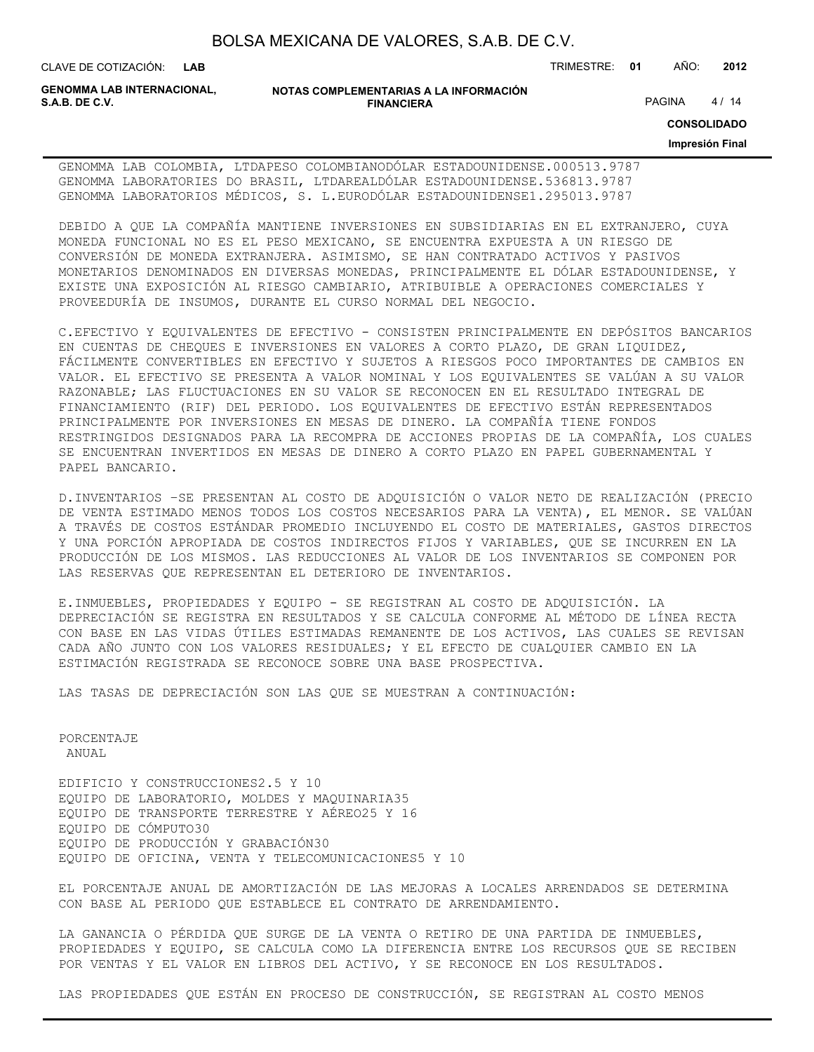| BOLSA MEXICANA DE VALORES, S.A.B. DE C.V. |  |  |  |
|-------------------------------------------|--|--|--|
|-------------------------------------------|--|--|--|

CLAVE DE COTIZACIÓN: TRIMESTRE: **01** AÑO: **2012**

**GENOMMA LAB INTERNACIONAL, S.A.B. DE C.V.** PAGINA 4 / 14

**NOTAS COMPLEMENTARIAS A LA INFORMACIÓN FINANCIERA**

**CONSOLIDADO**

#### **Impresión Final**

GENOMMA LAB COLOMBIA, LTDAPESO COLOMBIANODÓLAR ESTADOUNIDENSE.000513.9787 GENOMMA LABORATORIES DO BRASIL, LTDAREALDÓLAR ESTADOUNIDENSE.536813.9787 GENOMMA LABORATORIOS MÉDICOS, S. L.EURODÓLAR ESTADOUNIDENSE1.295013.9787

DEBIDO A QUE LA COMPAÑÍA MANTIENE INVERSIONES EN SUBSIDIARIAS EN EL EXTRANJERO, CUYA MONEDA FUNCIONAL NO ES EL PESO MEXICANO, SE ENCUENTRA EXPUESTA A UN RIESGO DE CONVERSIÓN DE MONEDA EXTRANJERA. ASIMISMO, SE HAN CONTRATADO ACTIVOS Y PASIVOS MONETARIOS DENOMINADOS EN DIVERSAS MONEDAS, PRINCIPALMENTE EL DÓLAR ESTADOUNIDENSE, Y EXISTE UNA EXPOSICIÓN AL RIESGO CAMBIARIO, ATRIBUIBLE A OPERACIONES COMERCIALES Y PROVEEDURÍA DE INSUMOS, DURANTE EL CURSO NORMAL DEL NEGOCIO.

C.EFECTIVO Y EQUIVALENTES DE EFECTIVO - CONSISTEN PRINCIPALMENTE EN DEPÓSITOS BANCARIOS EN CUENTAS DE CHEQUES E INVERSIONES EN VALORES A CORTO PLAZO, DE GRAN LIQUIDEZ, FÁCILMENTE CONVERTIBLES EN EFECTIVO Y SUJETOS A RIESGOS POCO IMPORTANTES DE CAMBIOS EN VALOR. EL EFECTIVO SE PRESENTA A VALOR NOMINAL Y LOS EQUIVALENTES SE VALÚAN A SU VALOR RAZONABLE; LAS FLUCTUACIONES EN SU VALOR SE RECONOCEN EN EL RESULTADO INTEGRAL DE FINANCIAMIENTO (RIF) DEL PERIODO. LOS EQUIVALENTES DE EFECTIVO ESTÁN REPRESENTADOS PRINCIPALMENTE POR INVERSIONES EN MESAS DE DINERO. LA COMPAÑÍA TIENE FONDOS RESTRINGIDOS DESIGNADOS PARA LA RECOMPRA DE ACCIONES PROPIAS DE LA COMPAÑÍA, LOS CUALES SE ENCUENTRAN INVERTIDOS EN MESAS DE DINERO A CORTO PLAZO EN PAPEL GUBERNAMENTAL Y PAPEL BANCARIO.

D.INVENTARIOS –SE PRESENTAN AL COSTO DE ADQUISICIÓN O VALOR NETO DE REALIZACIÓN (PRECIO DE VENTA ESTIMADO MENOS TODOS LOS COSTOS NECESARIOS PARA LA VENTA), EL MENOR. SE VALÚAN A TRAVÉS DE COSTOS ESTÁNDAR PROMEDIO INCLUYENDO EL COSTO DE MATERIALES, GASTOS DIRECTOS Y UNA PORCIÓN APROPIADA DE COSTOS INDIRECTOS FIJOS Y VARIABLES, QUE SE INCURREN EN LA PRODUCCIÓN DE LOS MISMOS. LAS REDUCCIONES AL VALOR DE LOS INVENTARIOS SE COMPONEN POR LAS RESERVAS QUE REPRESENTAN EL DETERIORO DE INVENTARIOS.

E.INMUEBLES, PROPIEDADES Y EQUIPO - SE REGISTRAN AL COSTO DE ADQUISICIÓN. LA DEPRECIACIÓN SE REGISTRA EN RESULTADOS Y SE CALCULA CONFORME AL MÉTODO DE LÍNEA RECTA CON BASE EN LAS VIDAS ÚTILES ESTIMADAS REMANENTE DE LOS ACTIVOS, LAS CUALES SE REVISAN CADA AÑO JUNTO CON LOS VALORES RESIDUALES; Y EL EFECTO DE CUALQUIER CAMBIO EN LA ESTIMACIÓN REGISTRADA SE RECONOCE SOBRE UNA BASE PROSPECTIVA.

LAS TASAS DE DEPRECIACIÓN SON LAS QUE SE MUESTRAN A CONTINUACIÓN:

PORCENTAJE ANUAL

EDIFICIO Y CONSTRUCCIONES2.5 Y 10 EQUIPO DE LABORATORIO, MOLDES Y MAQUINARIA35 EQUIPO DE TRANSPORTE TERRESTRE Y AÉREO25 Y 16 EQUIPO DE CÓMPUTO30 EQUIPO DE PRODUCCIÓN Y GRABACIÓN30 EQUIPO DE OFICINA, VENTA Y TELECOMUNICACIONES5 Y 10

EL PORCENTAJE ANUAL DE AMORTIZACIÓN DE LAS MEJORAS A LOCALES ARRENDADOS SE DETERMINA CON BASE AL PERIODO QUE ESTABLECE EL CONTRATO DE ARRENDAMIENTO.

LA GANANCIA O PÉRDIDA QUE SURGE DE LA VENTA O RETIRO DE UNA PARTIDA DE INMUEBLES, PROPIEDADES Y EQUIPO, SE CALCULA COMO LA DIFERENCIA ENTRE LOS RECURSOS QUE SE RECIBEN POR VENTAS Y EL VALOR EN LIBROS DEL ACTIVO, Y SE RECONOCE EN LOS RESULTADOS.

LAS PROPIEDADES QUE ESTÁN EN PROCESO DE CONSTRUCCIÓN, SE REGISTRAN AL COSTO MENOS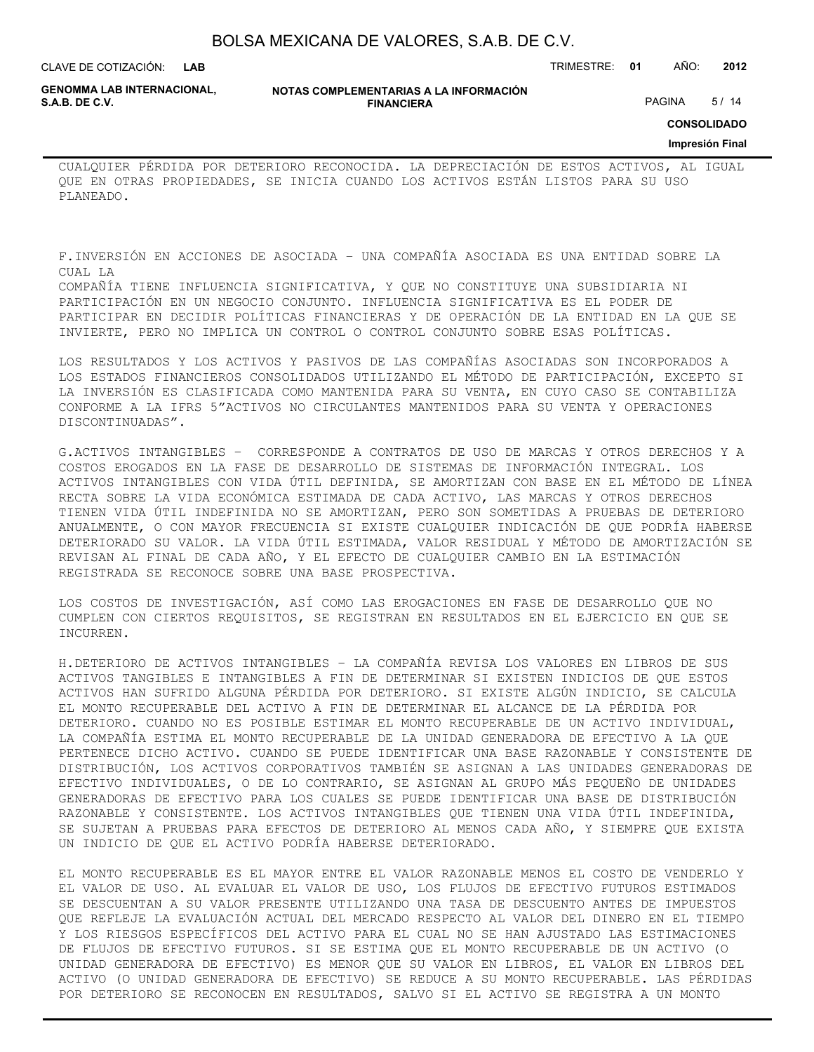| BOLSA MEXICANA DE VALORES, S.A.B. DE C.V. |  |  |
|-------------------------------------------|--|--|
|-------------------------------------------|--|--|

CLAVE DE COTIZACIÓN: TRIMESTRE: **01** AÑO: **2012**

**GENOMMA LAB INTERNACIONAL,**

**NOTAS COMPLEMENTARIAS A LA INFORMACIÓN FINANCIERA S.A.B. DE C.V.** PAGINA 5/14

**CONSOLIDADO**

#### **Impresión Final**

CUALQUIER PÉRDIDA POR DETERIORO RECONOCIDA. LA DEPRECIACIÓN DE ESTOS ACTIVOS, AL IGUAL QUE EN OTRAS PROPIEDADES, SE INICIA CUANDO LOS ACTIVOS ESTÁN LISTOS PARA SU USO PLANEADO.

F.INVERSIÓN EN ACCIONES DE ASOCIADA – UNA COMPAÑÍA ASOCIADA ES UNA ENTIDAD SOBRE LA CUAL LA

COMPAÑÍA TIENE INFLUENCIA SIGNIFICATIVA, Y QUE NO CONSTITUYE UNA SUBSIDIARIA NI PARTICIPACIÓN EN UN NEGOCIO CONJUNTO. INFLUENCIA SIGNIFICATIVA ES EL PODER DE PARTICIPAR EN DECIDIR POLÍTICAS FINANCIERAS Y DE OPERACIÓN DE LA ENTIDAD EN LA QUE SE INVIERTE, PERO NO IMPLICA UN CONTROL O CONTROL CONJUNTO SOBRE ESAS POLÍTICAS.

LOS RESULTADOS Y LOS ACTIVOS Y PASIVOS DE LAS COMPAÑÍAS ASOCIADAS SON INCORPORADOS A LOS ESTADOS FINANCIEROS CONSOLIDADOS UTILIZANDO EL MÉTODO DE PARTICIPACIÓN, EXCEPTO SI LA INVERSIÓN ES CLASIFICADA COMO MANTENIDA PARA SU VENTA, EN CUYO CASO SE CONTABILIZA CONFORME A LA IFRS 5"ACTIVOS NO CIRCULANTES MANTENIDOS PARA SU VENTA Y OPERACIONES DISCONTINUADAS".

G.ACTIVOS INTANGIBLES – CORRESPONDE A CONTRATOS DE USO DE MARCAS Y OTROS DERECHOS Y A COSTOS EROGADOS EN LA FASE DE DESARROLLO DE SISTEMAS DE INFORMACIÓN INTEGRAL. LOS ACTIVOS INTANGIBLES CON VIDA ÚTIL DEFINIDA, SE AMORTIZAN CON BASE EN EL MÉTODO DE LÍNEA RECTA SOBRE LA VIDA ECONÓMICA ESTIMADA DE CADA ACTIVO, LAS MARCAS Y OTROS DERECHOS TIENEN VIDA ÚTIL INDEFINIDA NO SE AMORTIZAN, PERO SON SOMETIDAS A PRUEBAS DE DETERIORO ANUALMENTE, O CON MAYOR FRECUENCIA SI EXISTE CUALQUIER INDICACIÓN DE QUE PODRÍA HABERSE DETERIORADO SU VALOR. LA VIDA ÚTIL ESTIMADA, VALOR RESIDUAL Y MÉTODO DE AMORTIZACIÓN SE REVISAN AL FINAL DE CADA AÑO, Y EL EFECTO DE CUALQUIER CAMBIO EN LA ESTIMACIÓN REGISTRADA SE RECONOCE SOBRE UNA BASE PROSPECTIVA.

LOS COSTOS DE INVESTIGACIÓN, ASÍ COMO LAS EROGACIONES EN FASE DE DESARROLLO QUE NO CUMPLEN CON CIERTOS REQUISITOS, SE REGISTRAN EN RESULTADOS EN EL EJERCICIO EN QUE SE INCURREN.

H.DETERIORO DE ACTIVOS INTANGIBLES – LA COMPAÑÍA REVISA LOS VALORES EN LIBROS DE SUS ACTIVOS TANGIBLES E INTANGIBLES A FIN DE DETERMINAR SI EXISTEN INDICIOS DE QUE ESTOS ACTIVOS HAN SUFRIDO ALGUNA PÉRDIDA POR DETERIORO. SI EXISTE ALGÚN INDICIO, SE CALCULA EL MONTO RECUPERABLE DEL ACTIVO A FIN DE DETERMINAR EL ALCANCE DE LA PÉRDIDA POR DETERIORO. CUANDO NO ES POSIBLE ESTIMAR EL MONTO RECUPERABLE DE UN ACTIVO INDIVIDUAL, LA COMPAÑÍA ESTIMA EL MONTO RECUPERABLE DE LA UNIDAD GENERADORA DE EFECTIVO A LA QUE PERTENECE DICHO ACTIVO. CUANDO SE PUEDE IDENTIFICAR UNA BASE RAZONABLE Y CONSISTENTE DE DISTRIBUCIÓN, LOS ACTIVOS CORPORATIVOS TAMBIÉN SE ASIGNAN A LAS UNIDADES GENERADORAS DE EFECTIVO INDIVIDUALES, O DE LO CONTRARIO, SE ASIGNAN AL GRUPO MÁS PEQUEÑO DE UNIDADES GENERADORAS DE EFECTIVO PARA LOS CUALES SE PUEDE IDENTIFICAR UNA BASE DE DISTRIBUCIÓN RAZONABLE Y CONSISTENTE. LOS ACTIVOS INTANGIBLES QUE TIENEN UNA VIDA ÚTIL INDEFINIDA, SE SUJETAN A PRUEBAS PARA EFECTOS DE DETERIORO AL MENOS CADA AÑO, Y SIEMPRE QUE EXISTA UN INDICIO DE QUE EL ACTIVO PODRÍA HABERSE DETERIORADO.

EL MONTO RECUPERABLE ES EL MAYOR ENTRE EL VALOR RAZONABLE MENOS EL COSTO DE VENDERLO Y EL VALOR DE USO. AL EVALUAR EL VALOR DE USO, LOS FLUJOS DE EFECTIVO FUTUROS ESTIMADOS SE DESCUENTAN A SU VALOR PRESENTE UTILIZANDO UNA TASA DE DESCUENTO ANTES DE IMPUESTOS QUE REFLEJE LA EVALUACIÓN ACTUAL DEL MERCADO RESPECTO AL VALOR DEL DINERO EN EL TIEMPO Y LOS RIESGOS ESPECÍFICOS DEL ACTIVO PARA EL CUAL NO SE HAN AJUSTADO LAS ESTIMACIONES DE FLUJOS DE EFECTIVO FUTUROS. SI SE ESTIMA QUE EL MONTO RECUPERABLE DE UN ACTIVO (O UNIDAD GENERADORA DE EFECTIVO) ES MENOR QUE SU VALOR EN LIBROS, EL VALOR EN LIBROS DEL ACTIVO (O UNIDAD GENERADORA DE EFECTIVO) SE REDUCE A SU MONTO RECUPERABLE. LAS PÉRDIDAS POR DETERIORO SE RECONOCEN EN RESULTADOS, SALVO SI EL ACTIVO SE REGISTRA A UN MONTO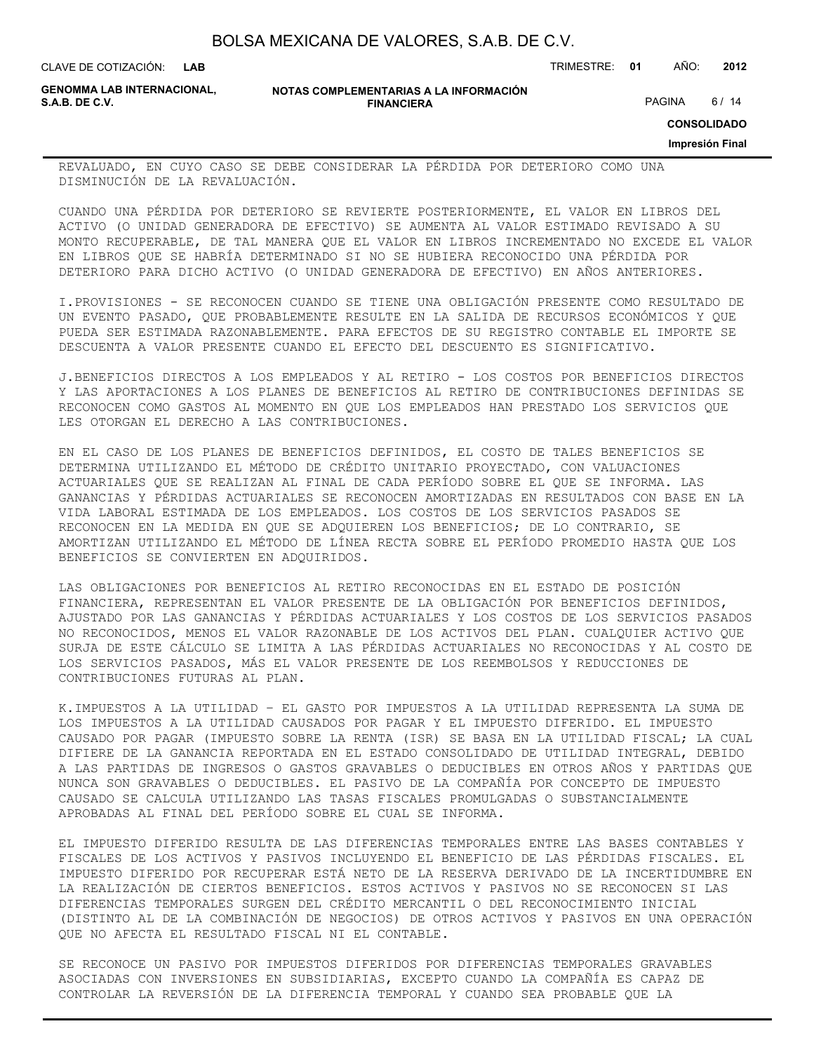| BOLSA MEXICANA DE VALORES, S.A.B. DE C.V. |  |  |  |
|-------------------------------------------|--|--|--|
|-------------------------------------------|--|--|--|

CLAVE DE COTIZACIÓN: TRIMESTRE: **01** AÑO: **2012**

**GENOMMA LAB INTERNACIONAL,**

**NOTAS COMPLEMENTARIAS A LA INFORMACIÓN FINANCIERA S.A.B. DE C.V.** PAGINA 6 / 14

**CONSOLIDADO**

**Impresión Final**

REVALUADO, EN CUYO CASO SE DEBE CONSIDERAR LA PÉRDIDA POR DETERIORO COMO UNA DISMINUCIÓN DE LA REVALUACIÓN.

CUANDO UNA PÉRDIDA POR DETERIORO SE REVIERTE POSTERIORMENTE, EL VALOR EN LIBROS DEL ACTIVO (O UNIDAD GENERADORA DE EFECTIVO) SE AUMENTA AL VALOR ESTIMADO REVISADO A SU MONTO RECUPERABLE, DE TAL MANERA QUE EL VALOR EN LIBROS INCREMENTADO NO EXCEDE EL VALOR EN LIBROS QUE SE HABRÍA DETERMINADO SI NO SE HUBIERA RECONOCIDO UNA PÉRDIDA POR DETERIORO PARA DICHO ACTIVO (O UNIDAD GENERADORA DE EFECTIVO) EN AÑOS ANTERIORES.

I.PROVISIONES - SE RECONOCEN CUANDO SE TIENE UNA OBLIGACIÓN PRESENTE COMO RESULTADO DE UN EVENTO PASADO, QUE PROBABLEMENTE RESULTE EN LA SALIDA DE RECURSOS ECONÓMICOS Y QUE PUEDA SER ESTIMADA RAZONABLEMENTE. PARA EFECTOS DE SU REGISTRO CONTABLE EL IMPORTE SE DESCUENTA A VALOR PRESENTE CUANDO EL EFECTO DEL DESCUENTO ES SIGNIFICATIVO.

J.BENEFICIOS DIRECTOS A LOS EMPLEADOS Y AL RETIRO - LOS COSTOS POR BENEFICIOS DIRECTOS Y LAS APORTACIONES A LOS PLANES DE BENEFICIOS AL RETIRO DE CONTRIBUCIONES DEFINIDAS SE RECONOCEN COMO GASTOS AL MOMENTO EN QUE LOS EMPLEADOS HAN PRESTADO LOS SERVICIOS QUE LES OTORGAN EL DERECHO A LAS CONTRIBUCIONES.

EN EL CASO DE LOS PLANES DE BENEFICIOS DEFINIDOS, EL COSTO DE TALES BENEFICIOS SE DETERMINA UTILIZANDO EL MÉTODO DE CRÉDITO UNITARIO PROYECTADO, CON VALUACIONES ACTUARIALES QUE SE REALIZAN AL FINAL DE CADA PERÍODO SOBRE EL QUE SE INFORMA. LAS GANANCIAS Y PÉRDIDAS ACTUARIALES SE RECONOCEN AMORTIZADAS EN RESULTADOS CON BASE EN LA VIDA LABORAL ESTIMADA DE LOS EMPLEADOS. LOS COSTOS DE LOS SERVICIOS PASADOS SE RECONOCEN EN LA MEDIDA EN QUE SE ADQUIEREN LOS BENEFICIOS; DE LO CONTRARIO, SE AMORTIZAN UTILIZANDO EL MÉTODO DE LÍNEA RECTA SOBRE EL PERÍODO PROMEDIO HASTA QUE LOS BENEFICIOS SE CONVIERTEN EN ADQUIRIDOS.

LAS OBLIGACIONES POR BENEFICIOS AL RETIRO RECONOCIDAS EN EL ESTADO DE POSICIÓN FINANCIERA, REPRESENTAN EL VALOR PRESENTE DE LA OBLIGACIÓN POR BENEFICIOS DEFINIDOS, AJUSTADO POR LAS GANANCIAS Y PÉRDIDAS ACTUARIALES Y LOS COSTOS DE LOS SERVICIOS PASADOS NO RECONOCIDOS, MENOS EL VALOR RAZONABLE DE LOS ACTIVOS DEL PLAN. CUALQUIER ACTIVO QUE SURJA DE ESTE CÁLCULO SE LIMITA A LAS PÉRDIDAS ACTUARIALES NO RECONOCIDAS Y AL COSTO DE LOS SERVICIOS PASADOS, MÁS EL VALOR PRESENTE DE LOS REEMBOLSOS Y REDUCCIONES DE CONTRIBUCIONES FUTURAS AL PLAN.

K.IMPUESTOS A LA UTILIDAD – EL GASTO POR IMPUESTOS A LA UTILIDAD REPRESENTA LA SUMA DE LOS IMPUESTOS A LA UTILIDAD CAUSADOS POR PAGAR Y EL IMPUESTO DIFERIDO. EL IMPUESTO CAUSADO POR PAGAR (IMPUESTO SOBRE LA RENTA (ISR) SE BASA EN LA UTILIDAD FISCAL; LA CUAL DIFIERE DE LA GANANCIA REPORTADA EN EL ESTADO CONSOLIDADO DE UTILIDAD INTEGRAL, DEBIDO A LAS PARTIDAS DE INGRESOS O GASTOS GRAVABLES O DEDUCIBLES EN OTROS AÑOS Y PARTIDAS QUE NUNCA SON GRAVABLES O DEDUCIBLES. EL PASIVO DE LA COMPAÑÍA POR CONCEPTO DE IMPUESTO CAUSADO SE CALCULA UTILIZANDO LAS TASAS FISCALES PROMULGADAS O SUBSTANCIALMENTE APROBADAS AL FINAL DEL PERÍODO SOBRE EL CUAL SE INFORMA.

EL IMPUESTO DIFERIDO RESULTA DE LAS DIFERENCIAS TEMPORALES ENTRE LAS BASES CONTABLES Y FISCALES DE LOS ACTIVOS Y PASIVOS INCLUYENDO EL BENEFICIO DE LAS PÉRDIDAS FISCALES. EL IMPUESTO DIFERIDO POR RECUPERAR ESTÁ NETO DE LA RESERVA DERIVADO DE LA INCERTIDUMBRE EN LA REALIZACIÓN DE CIERTOS BENEFICIOS. ESTOS ACTIVOS Y PASIVOS NO SE RECONOCEN SI LAS DIFERENCIAS TEMPORALES SURGEN DEL CRÉDITO MERCANTIL O DEL RECONOCIMIENTO INICIAL (DISTINTO AL DE LA COMBINACIÓN DE NEGOCIOS) DE OTROS ACTIVOS Y PASIVOS EN UNA OPERACIÓN QUE NO AFECTA EL RESULTADO FISCAL NI EL CONTABLE.

SE RECONOCE UN PASIVO POR IMPUESTOS DIFERIDOS POR DIFERENCIAS TEMPORALES GRAVABLES ASOCIADAS CON INVERSIONES EN SUBSIDIARIAS, EXCEPTO CUANDO LA COMPAÑÍA ES CAPAZ DE CONTROLAR LA REVERSIÓN DE LA DIFERENCIA TEMPORAL Y CUANDO SEA PROBABLE QUE LA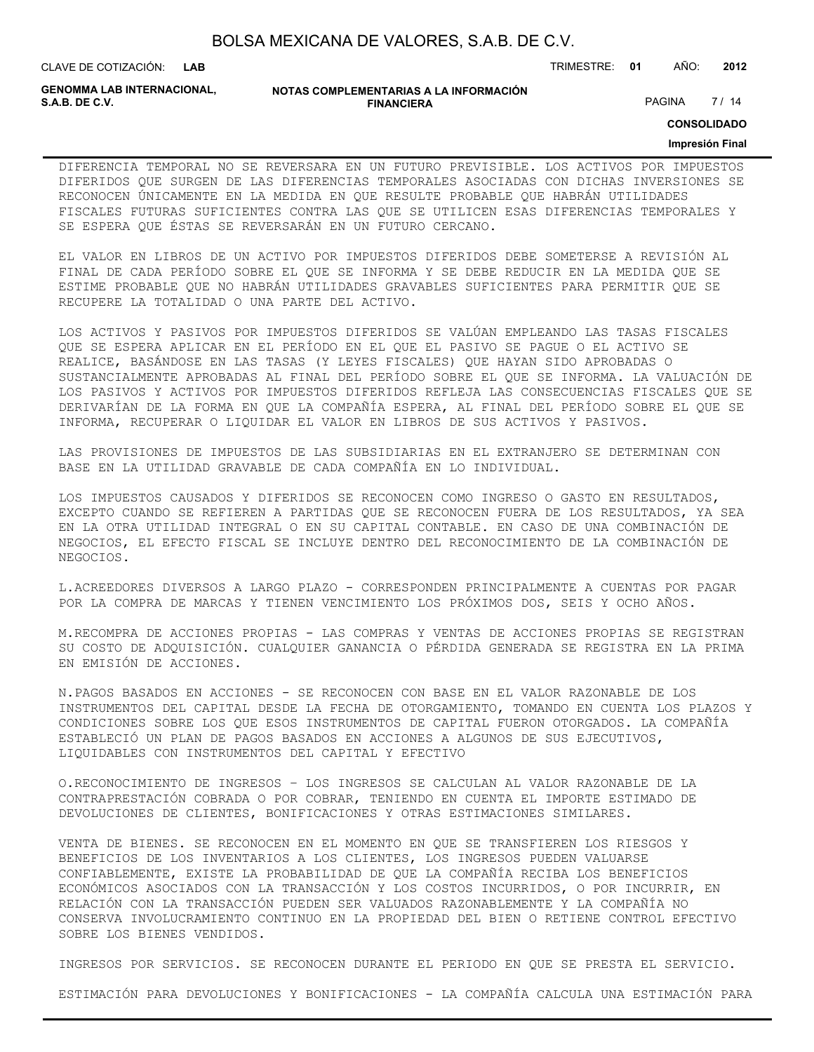| BOLSA MEXICANA DE VALORES, S.A.B. DE C.V. |  |  |
|-------------------------------------------|--|--|
|-------------------------------------------|--|--|

CLAVE DE COTIZACIÓN: TRIMESTRE: **01** AÑO: **2012**

```
NOTAS COMPLEMENTARIAS A LA INFORMACIÓN
GENOMMA LAB INTERNACIONAL,
                           FINANCIERA
S.A.B. DE C.V. PAGINA 27 / 14
```
**CONSOLIDADO**

#### **Impresión Final**

DIFERENCIA TEMPORAL NO SE REVERSARA EN UN FUTURO PREVISIBLE. LOS ACTIVOS POR IMPUESTOS DIFERIDOS QUE SURGEN DE LAS DIFERENCIAS TEMPORALES ASOCIADAS CON DICHAS INVERSIONES SE RECONOCEN ÚNICAMENTE EN LA MEDIDA EN QUE RESULTE PROBABLE QUE HABRÁN UTILIDADES FISCALES FUTURAS SUFICIENTES CONTRA LAS QUE SE UTILICEN ESAS DIFERENCIAS TEMPORALES Y SE ESPERA QUE ÉSTAS SE REVERSARÁN EN UN FUTURO CERCANO.

EL VALOR EN LIBROS DE UN ACTIVO POR IMPUESTOS DIFERIDOS DEBE SOMETERSE A REVISIÓN AL FINAL DE CADA PERÍODO SOBRE EL QUE SE INFORMA Y SE DEBE REDUCIR EN LA MEDIDA QUE SE ESTIME PROBABLE QUE NO HABRÁN UTILIDADES GRAVABLES SUFICIENTES PARA PERMITIR QUE SE RECUPERE LA TOTALIDAD O UNA PARTE DEL ACTIVO.

LOS ACTIVOS Y PASIVOS POR IMPUESTOS DIFERIDOS SE VALÚAN EMPLEANDO LAS TASAS FISCALES QUE SE ESPERA APLICAR EN EL PERÍODO EN EL QUE EL PASIVO SE PAGUE O EL ACTIVO SE REALICE, BASÁNDOSE EN LAS TASAS (Y LEYES FISCALES) QUE HAYAN SIDO APROBADAS O SUSTANCIALMENTE APROBADAS AL FINAL DEL PERÍODO SOBRE EL QUE SE INFORMA. LA VALUACIÓN DE LOS PASIVOS Y ACTIVOS POR IMPUESTOS DIFERIDOS REFLEJA LAS CONSECUENCIAS FISCALES QUE SE DERIVARÍAN DE LA FORMA EN QUE LA COMPAÑÍA ESPERA, AL FINAL DEL PERÍODO SOBRE EL QUE SE INFORMA, RECUPERAR O LIQUIDAR EL VALOR EN LIBROS DE SUS ACTIVOS Y PASIVOS.

LAS PROVISIONES DE IMPUESTOS DE LAS SUBSIDIARIAS EN EL EXTRANJERO SE DETERMINAN CON BASE EN LA UTILIDAD GRAVABLE DE CADA COMPAÑÍA EN LO INDIVIDUAL.

LOS IMPUESTOS CAUSADOS Y DIFERIDOS SE RECONOCEN COMO INGRESO O GASTO EN RESULTADOS, EXCEPTO CUANDO SE REFIEREN A PARTIDAS QUE SE RECONOCEN FUERA DE LOS RESULTADOS, YA SEA EN LA OTRA UTILIDAD INTEGRAL O EN SU CAPITAL CONTABLE. EN CASO DE UNA COMBINACIÓN DE NEGOCIOS, EL EFECTO FISCAL SE INCLUYE DENTRO DEL RECONOCIMIENTO DE LA COMBINACIÓN DE NEGOCIOS.

L.ACREEDORES DIVERSOS A LARGO PLAZO - CORRESPONDEN PRINCIPALMENTE A CUENTAS POR PAGAR POR LA COMPRA DE MARCAS Y TIENEN VENCIMIENTO LOS PRÓXIMOS DOS, SEIS Y OCHO AÑOS.

M.RECOMPRA DE ACCIONES PROPIAS - LAS COMPRAS Y VENTAS DE ACCIONES PROPIAS SE REGISTRAN SU COSTO DE ADQUISICIÓN. CUALQUIER GANANCIA O PÉRDIDA GENERADA SE REGISTRA EN LA PRIMA EN EMISIÓN DE ACCIONES.

N.PAGOS BASADOS EN ACCIONES - SE RECONOCEN CON BASE EN EL VALOR RAZONABLE DE LOS INSTRUMENTOS DEL CAPITAL DESDE LA FECHA DE OTORGAMIENTO, TOMANDO EN CUENTA LOS PLAZOS Y CONDICIONES SOBRE LOS QUE ESOS INSTRUMENTOS DE CAPITAL FUERON OTORGADOS. LA COMPAÑÍA ESTABLECIÓ UN PLAN DE PAGOS BASADOS EN ACCIONES A ALGUNOS DE SUS EJECUTIVOS, LIQUIDABLES CON INSTRUMENTOS DEL CAPITAL Y EFECTIVO

O.RECONOCIMIENTO DE INGRESOS – LOS INGRESOS SE CALCULAN AL VALOR RAZONABLE DE LA CONTRAPRESTACIÓN COBRADA O POR COBRAR, TENIENDO EN CUENTA EL IMPORTE ESTIMADO DE DEVOLUCIONES DE CLIENTES, BONIFICACIONES Y OTRAS ESTIMACIONES SIMILARES.

VENTA DE BIENES. SE RECONOCEN EN EL MOMENTO EN QUE SE TRANSFIEREN LOS RIESGOS Y BENEFICIOS DE LOS INVENTARIOS A LOS CLIENTES, LOS INGRESOS PUEDEN VALUARSE CONFIABLEMENTE, EXISTE LA PROBABILIDAD DE QUE LA COMPAÑÍA RECIBA LOS BENEFICIOS ECONÓMICOS ASOCIADOS CON LA TRANSACCIÓN Y LOS COSTOS INCURRIDOS, O POR INCURRIR, EN RELACIÓN CON LA TRANSACCIÓN PUEDEN SER VALUADOS RAZONABLEMENTE Y LA COMPAÑÍA NO CONSERVA INVOLUCRAMIENTO CONTINUO EN LA PROPIEDAD DEL BIEN O RETIENE CONTROL EFECTIVO SOBRE LOS BIENES VENDIDOS.

INGRESOS POR SERVICIOS. SE RECONOCEN DURANTE EL PERIODO EN QUE SE PRESTA EL SERVICIO.

ESTIMACIÓN PARA DEVOLUCIONES Y BONIFICACIONES - LA COMPAÑÍA CALCULA UNA ESTIMACIÓN PARA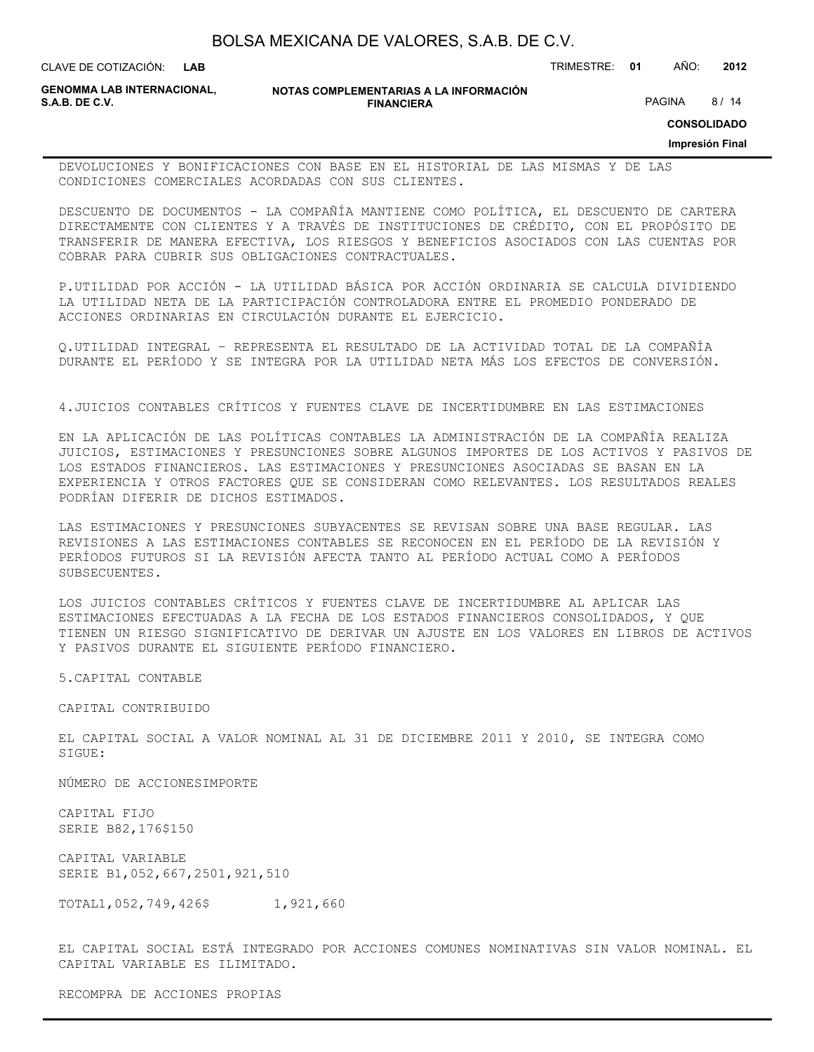**LAB**

CLAVE DE COTIZACIÓN: TRIMESTRE: **01** AÑO: **2012**

**GENOMMA LAB INTERNACIONAL, S.A.B. DE C.V.** PAGINA 8 / 14

**NOTAS COMPLEMENTARIAS A LA INFORMACIÓN FINANCIERA**

**CONSOLIDADO**

**Impresión Final**

DEVOLUCIONES Y BONIFICACIONES CON BASE EN EL HISTORIAL DE LAS MISMAS Y DE LAS CONDICIONES COMERCIALES ACORDADAS CON SUS CLIENTES.

DESCUENTO DE DOCUMENTOS - LA COMPAÑÍA MANTIENE COMO POLÍTICA, EL DESCUENTO DE CARTERA DIRECTAMENTE CON CLIENTES Y A TRAVÉS DE INSTITUCIONES DE CRÉDITO, CON EL PROPÓSITO DE TRANSFERIR DE MANERA EFECTIVA, LOS RIESGOS Y BENEFICIOS ASOCIADOS CON LAS CUENTAS POR COBRAR PARA CUBRIR SUS OBLIGACIONES CONTRACTUALES.

P.UTILIDAD POR ACCIÓN - LA UTILIDAD BÁSICA POR ACCIÓN ORDINARIA SE CALCULA DIVIDIENDO LA UTILIDAD NETA DE LA PARTICIPACIÓN CONTROLADORA ENTRE EL PROMEDIO PONDERADO DE ACCIONES ORDINARIAS EN CIRCULACIÓN DURANTE EL EJERCICIO.

Q.UTILIDAD INTEGRAL – REPRESENTA EL RESULTADO DE LA ACTIVIDAD TOTAL DE LA COMPAÑÍA DURANTE EL PERÍODO Y SE INTEGRA POR LA UTILIDAD NETA MÁS LOS EFECTOS DE CONVERSIÓN.

4.JUICIOS CONTABLES CRÍTICOS Y FUENTES CLAVE DE INCERTIDUMBRE EN LAS ESTIMACIONES

EN LA APLICACIÓN DE LAS POLÍTICAS CONTABLES LA ADMINISTRACIÓN DE LA COMPAÑÍA REALIZA JUICIOS, ESTIMACIONES Y PRESUNCIONES SOBRE ALGUNOS IMPORTES DE LOS ACTIVOS Y PASIVOS DE LOS ESTADOS FINANCIEROS. LAS ESTIMACIONES Y PRESUNCIONES ASOCIADAS SE BASAN EN LA EXPERIENCIA Y OTROS FACTORES QUE SE CONSIDERAN COMO RELEVANTES. LOS RESULTADOS REALES PODRÍAN DIFERIR DE DICHOS ESTIMADOS.

LAS ESTIMACIONES Y PRESUNCIONES SUBYACENTES SE REVISAN SOBRE UNA BASE REGULAR. LAS REVISIONES A LAS ESTIMACIONES CONTABLES SE RECONOCEN EN EL PERÍODO DE LA REVISIÓN Y PERÍODOS FUTUROS SI LA REVISIÓN AFECTA TANTO AL PERÍODO ACTUAL COMO A PERÍODOS SUBSECUENTES.

LOS JUICIOS CONTABLES CRÍTICOS Y FUENTES CLAVE DE INCERTIDUMBRE AL APLICAR LAS ESTIMACIONES EFECTUADAS A LA FECHA DE LOS ESTADOS FINANCIEROS CONSOLIDADOS, Y QUE TIENEN UN RIESGO SIGNIFICATIVO DE DERIVAR UN AJUSTE EN LOS VALORES EN LIBROS DE ACTIVOS Y PASIVOS DURANTE EL SIGUIENTE PERÍODO FINANCIERO.

5.CAPITAL CONTABLE

CAPITAL CONTRIBUIDO

EL CAPITAL SOCIAL A VALOR NOMINAL AL 31 DE DICIEMBRE 2011 Y 2010, SE INTEGRA COMO SIGUE:

NÚMERO DE ACCIONESIMPORTE

CAPITAL FIJO SERIE B82,176\$150

CAPITAL VARIABLE SERIE B1,052,667,2501,921,510

TOTAL1,052,749,426\$ 1,921,660

EL CAPITAL SOCIAL ESTÁ INTEGRADO POR ACCIONES COMUNES NOMINATIVAS SIN VALOR NOMINAL. EL CAPITAL VARIABLE ES ILIMITADO.

RECOMPRA DE ACCIONES PROPIAS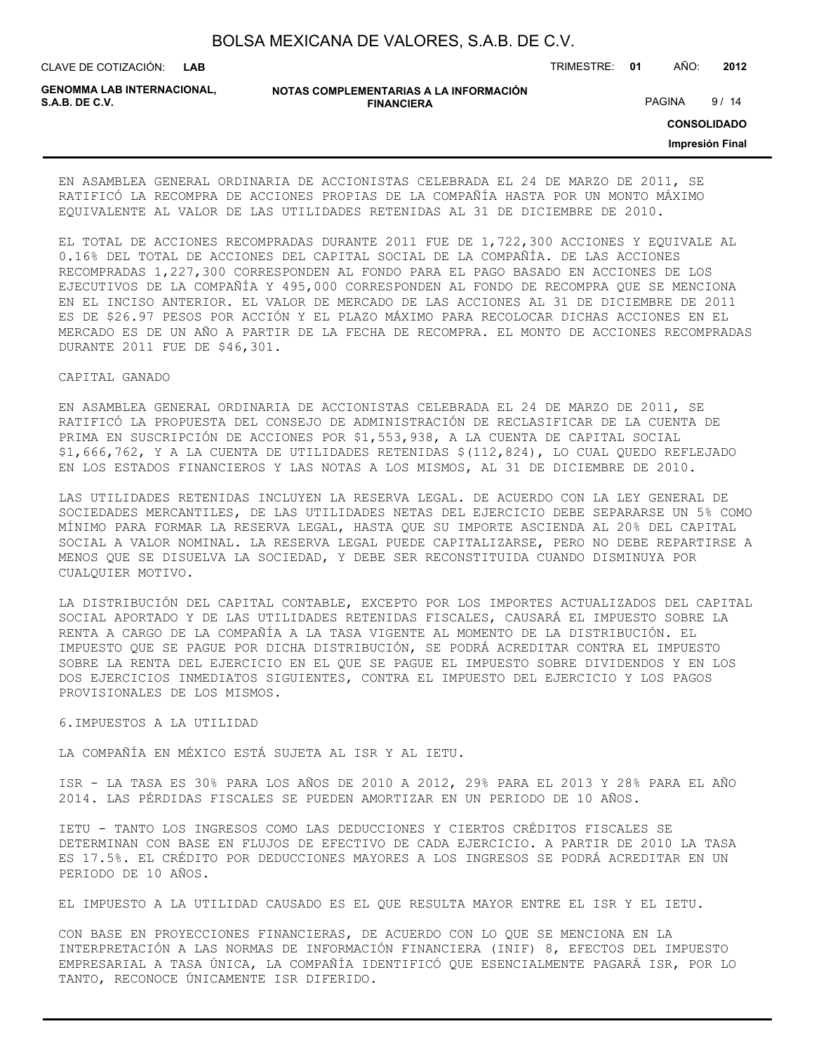**LAB**

CLAVE DE COTIZACIÓN: TRIMESTRE: **01** AÑO: **2012**

**GENOMMA LAB INTERNACIONAL, S.A.B. DE C.V.** PAGINA 9/14

**NOTAS COMPLEMENTARIAS A LA INFORMACIÓN FINANCIERA**

**CONSOLIDADO**

**Impresión Final**

EN ASAMBLEA GENERAL ORDINARIA DE ACCIONISTAS CELEBRADA EL 24 DE MARZO DE 2011, SE RATIFICÓ LA RECOMPRA DE ACCIONES PROPIAS DE LA COMPAÑÍA HASTA POR UN MONTO MÁXIMO EQUIVALENTE AL VALOR DE LAS UTILIDADES RETENIDAS AL 31 DE DICIEMBRE DE 2010.

EL TOTAL DE ACCIONES RECOMPRADAS DURANTE 2011 FUE DE 1,722,300 ACCIONES Y EQUIVALE AL 0.16% DEL TOTAL DE ACCIONES DEL CAPITAL SOCIAL DE LA COMPAÑÍA. DE LAS ACCIONES RECOMPRADAS 1,227,300 CORRESPONDEN AL FONDO PARA EL PAGO BASADO EN ACCIONES DE LOS EJECUTIVOS DE LA COMPAÑÍA Y 495,000 CORRESPONDEN AL FONDO DE RECOMPRA QUE SE MENCIONA EN EL INCISO ANTERIOR. EL VALOR DE MERCADO DE LAS ACCIONES AL 31 DE DICIEMBRE DE 2011 ES DE \$26.97 PESOS POR ACCIÓN Y EL PLAZO MÁXIMO PARA RECOLOCAR DICHAS ACCIONES EN EL MERCADO ES DE UN AÑO A PARTIR DE LA FECHA DE RECOMPRA. EL MONTO DE ACCIONES RECOMPRADAS DURANTE 2011 FUE DE \$46,301.

#### CAPITAL GANADO

EN ASAMBLEA GENERAL ORDINARIA DE ACCIONISTAS CELEBRADA EL 24 DE MARZO DE 2011, SE RATIFICÓ LA PROPUESTA DEL CONSEJO DE ADMINISTRACIÓN DE RECLASIFICAR DE LA CUENTA DE PRIMA EN SUSCRIPCIÓN DE ACCIONES POR \$1,553,938, A LA CUENTA DE CAPITAL SOCIAL \$1,666,762, Y A LA CUENTA DE UTILIDADES RETENIDAS \$(112,824), LO CUAL QUEDO REFLEJADO EN LOS ESTADOS FINANCIEROS Y LAS NOTAS A LOS MISMOS, AL 31 DE DICIEMBRE DE 2010.

LAS UTILIDADES RETENIDAS INCLUYEN LA RESERVA LEGAL. DE ACUERDO CON LA LEY GENERAL DE SOCIEDADES MERCANTILES, DE LAS UTILIDADES NETAS DEL EJERCICIO DEBE SEPARARSE UN 5% COMO MÍNIMO PARA FORMAR LA RESERVA LEGAL, HASTA QUE SU IMPORTE ASCIENDA AL 20% DEL CAPITAL SOCIAL A VALOR NOMINAL. LA RESERVA LEGAL PUEDE CAPITALIZARSE, PERO NO DEBE REPARTIRSE A MENOS QUE SE DISUELVA LA SOCIEDAD, Y DEBE SER RECONSTITUIDA CUANDO DISMINUYA POR CUALQUIER MOTIVO.

LA DISTRIBUCIÓN DEL CAPITAL CONTABLE, EXCEPTO POR LOS IMPORTES ACTUALIZADOS DEL CAPITAL SOCIAL APORTADO Y DE LAS UTILIDADES RETENIDAS FISCALES, CAUSARÁ EL IMPUESTO SOBRE LA RENTA A CARGO DE LA COMPAÑÍA A LA TASA VIGENTE AL MOMENTO DE LA DISTRIBUCIÓN. EL IMPUESTO QUE SE PAGUE POR DICHA DISTRIBUCIÓN, SE PODRÁ ACREDITAR CONTRA EL IMPUESTO SOBRE LA RENTA DEL EJERCICIO EN EL QUE SE PAGUE EL IMPUESTO SOBRE DIVIDENDOS Y EN LOS DOS EJERCICIOS INMEDIATOS SIGUIENTES, CONTRA EL IMPUESTO DEL EJERCICIO Y LOS PAGOS PROVISIONALES DE LOS MISMOS.

#### 6.IMPUESTOS A LA UTILIDAD

LA COMPAÑÍA EN MÉXICO ESTÁ SUJETA AL ISR Y AL IETU.

ISR - LA TASA ES 30% PARA LOS AÑOS DE 2010 A 2012, 29% PARA EL 2013 Y 28% PARA EL AÑO 2014. LAS PÉRDIDAS FISCALES SE PUEDEN AMORTIZAR EN UN PERIODO DE 10 AÑOS.

IETU - TANTO LOS INGRESOS COMO LAS DEDUCCIONES Y CIERTOS CRÉDITOS FISCALES SE DETERMINAN CON BASE EN FLUJOS DE EFECTIVO DE CADA EJERCICIO. A PARTIR DE 2010 LA TASA ES 17.5%. EL CRÉDITO POR DEDUCCIONES MAYORES A LOS INGRESOS SE PODRÁ ACREDITAR EN UN PERIODO DE 10 AÑOS.

EL IMPUESTO A LA UTILIDAD CAUSADO ES EL QUE RESULTA MAYOR ENTRE EL ISR Y EL IETU.

CON BASE EN PROYECCIONES FINANCIERAS, DE ACUERDO CON LO QUE SE MENCIONA EN LA INTERPRETACIÓN A LAS NORMAS DE INFORMACIÓN FINANCIERA (INIF) 8, EFECTOS DEL IMPUESTO EMPRESARIAL A TASA ÚNICA, LA COMPAÑÍA IDENTIFICÓ QUE ESENCIALMENTE PAGARÁ ISR, POR LO TANTO, RECONOCE ÚNICAMENTE ISR DIFERIDO.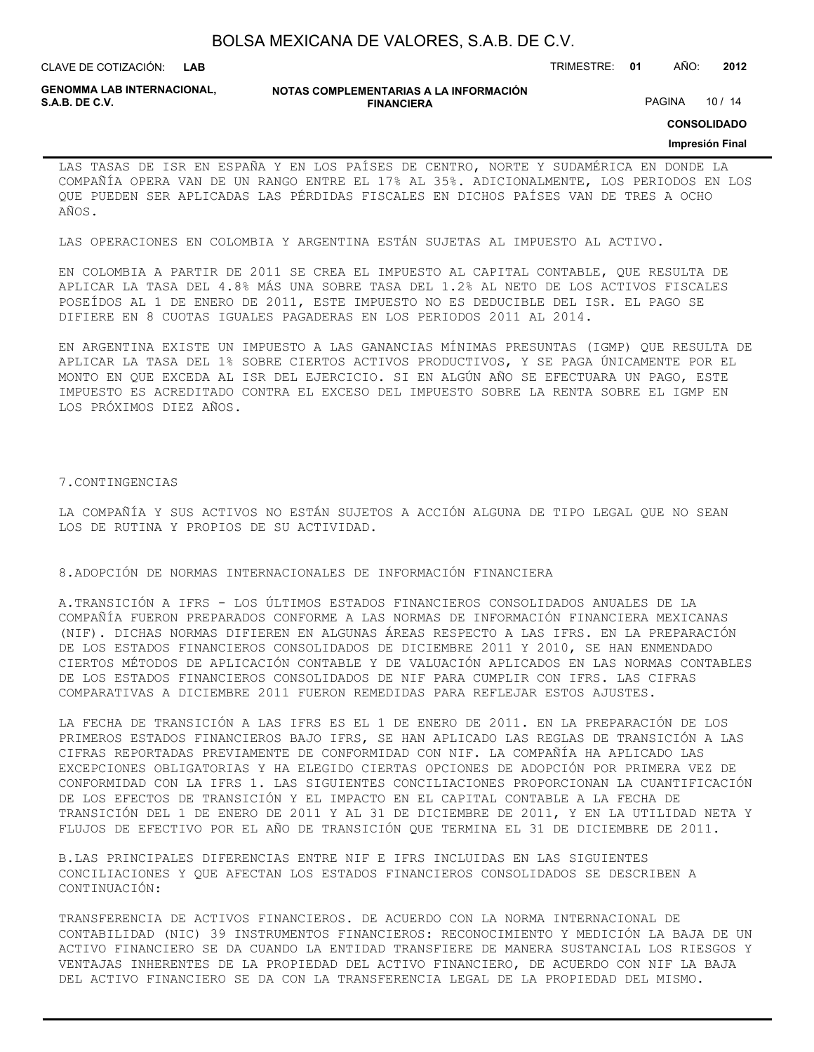**LAB**

CLAVE DE COTIZACIÓN: TRIMESTRE: **01** AÑO: **2012**

**GENOMMA LAB INTERNACIONAL,**

#### **NOTAS COMPLEMENTARIAS A LA INFORMACIÓN FINANCIERA**

PAGINA 10 / 14

**CONSOLIDADO**

#### **Impresión Final**

LAS TASAS DE ISR EN ESPAÑA Y EN LOS PAÍSES DE CENTRO, NORTE Y SUDAMÉRICA EN DONDE LA COMPAÑÍA OPERA VAN DE UN RANGO ENTRE EL 17% AL 35%. ADICIONALMENTE, LOS PERIODOS EN LOS QUE PUEDEN SER APLICADAS LAS PÉRDIDAS FISCALES EN DICHOS PAÍSES VAN DE TRES A OCHO AÑOS.

LAS OPERACIONES EN COLOMBIA Y ARGENTINA ESTÁN SUJETAS AL IMPUESTO AL ACTIVO.

EN COLOMBIA A PARTIR DE 2011 SE CREA EL IMPUESTO AL CAPITAL CONTABLE, QUE RESULTA DE APLICAR LA TASA DEL 4.8% MÁS UNA SOBRE TASA DEL 1.2% AL NETO DE LOS ACTIVOS FISCALES POSEÍDOS AL 1 DE ENERO DE 2011, ESTE IMPUESTO NO ES DEDUCIBLE DEL ISR. EL PAGO SE DIFIERE EN 8 CUOTAS IGUALES PAGADERAS EN LOS PERIODOS 2011 AL 2014.

EN ARGENTINA EXISTE UN IMPUESTO A LAS GANANCIAS MÍNIMAS PRESUNTAS (IGMP) QUE RESULTA DE APLICAR LA TASA DEL 1% SOBRE CIERTOS ACTIVOS PRODUCTIVOS, Y SE PAGA ÚNICAMENTE POR EL MONTO EN QUE EXCEDA AL ISR DEL EJERCICIO. SI EN ALGÚN AÑO SE EFECTUARA UN PAGO, ESTE IMPUESTO ES ACREDITADO CONTRA EL EXCESO DEL IMPUESTO SOBRE LA RENTA SOBRE EL IGMP EN LOS PRÓXIMOS DIEZ AÑOS.

#### 7.CONTINGENCIAS

LA COMPAÑÍA Y SUS ACTIVOS NO ESTÁN SUJETOS A ACCIÓN ALGUNA DE TIPO LEGAL QUE NO SEAN LOS DE RUTINA Y PROPIOS DE SU ACTIVIDAD.

8.ADOPCIÓN DE NORMAS INTERNACIONALES DE INFORMACIÓN FINANCIERA

A.TRANSICIÓN A IFRS - LOS ÚLTIMOS ESTADOS FINANCIEROS CONSOLIDADOS ANUALES DE LA COMPAÑÍA FUERON PREPARADOS CONFORME A LAS NORMAS DE INFORMACIÓN FINANCIERA MEXICANAS (NIF). DICHAS NORMAS DIFIEREN EN ALGUNAS ÁREAS RESPECTO A LAS IFRS. EN LA PREPARACIÓN DE LOS ESTADOS FINANCIEROS CONSOLIDADOS DE DICIEMBRE 2011 Y 2010, SE HAN ENMENDADO CIERTOS MÉTODOS DE APLICACIÓN CONTABLE Y DE VALUACIÓN APLICADOS EN LAS NORMAS CONTABLES DE LOS ESTADOS FINANCIEROS CONSOLIDADOS DE NIF PARA CUMPLIR CON IFRS. LAS CIFRAS COMPARATIVAS A DICIEMBRE 2011 FUERON REMEDIDAS PARA REFLEJAR ESTOS AJUSTES.

LA FECHA DE TRANSICIÓN A LAS IFRS ES EL 1 DE ENERO DE 2011. EN LA PREPARACIÓN DE LOS PRIMEROS ESTADOS FINANCIEROS BAJO IFRS, SE HAN APLICADO LAS REGLAS DE TRANSICIÓN A LAS CIFRAS REPORTADAS PREVIAMENTE DE CONFORMIDAD CON NIF. LA COMPAÑÍA HA APLICADO LAS EXCEPCIONES OBLIGATORIAS Y HA ELEGIDO CIERTAS OPCIONES DE ADOPCIÓN POR PRIMERA VEZ DE CONFORMIDAD CON LA IFRS 1. LAS SIGUIENTES CONCILIACIONES PROPORCIONAN LA CUANTIFICACIÓN DE LOS EFECTOS DE TRANSICIÓN Y EL IMPACTO EN EL CAPITAL CONTABLE A LA FECHA DE TRANSICIÓN DEL 1 DE ENERO DE 2011 Y AL 31 DE DICIEMBRE DE 2011, Y EN LA UTILIDAD NETA Y FLUJOS DE EFECTIVO POR EL AÑO DE TRANSICIÓN QUE TERMINA EL 31 DE DICIEMBRE DE 2011.

B.LAS PRINCIPALES DIFERENCIAS ENTRE NIF E IFRS INCLUIDAS EN LAS SIGUIENTES CONCILIACIONES Y QUE AFECTAN LOS ESTADOS FINANCIEROS CONSOLIDADOS SE DESCRIBEN A CONTINUACIÓN:

TRANSFERENCIA DE ACTIVOS FINANCIEROS. DE ACUERDO CON LA NORMA INTERNACIONAL DE CONTABILIDAD (NIC) 39 INSTRUMENTOS FINANCIEROS: RECONOCIMIENTO Y MEDICIÓN LA BAJA DE UN ACTIVO FINANCIERO SE DA CUANDO LA ENTIDAD TRANSFIERE DE MANERA SUSTANCIAL LOS RIESGOS Y VENTAJAS INHERENTES DE LA PROPIEDAD DEL ACTIVO FINANCIERO, DE ACUERDO CON NIF LA BAJA DEL ACTIVO FINANCIERO SE DA CON LA TRANSFERENCIA LEGAL DE LA PROPIEDAD DEL MISMO.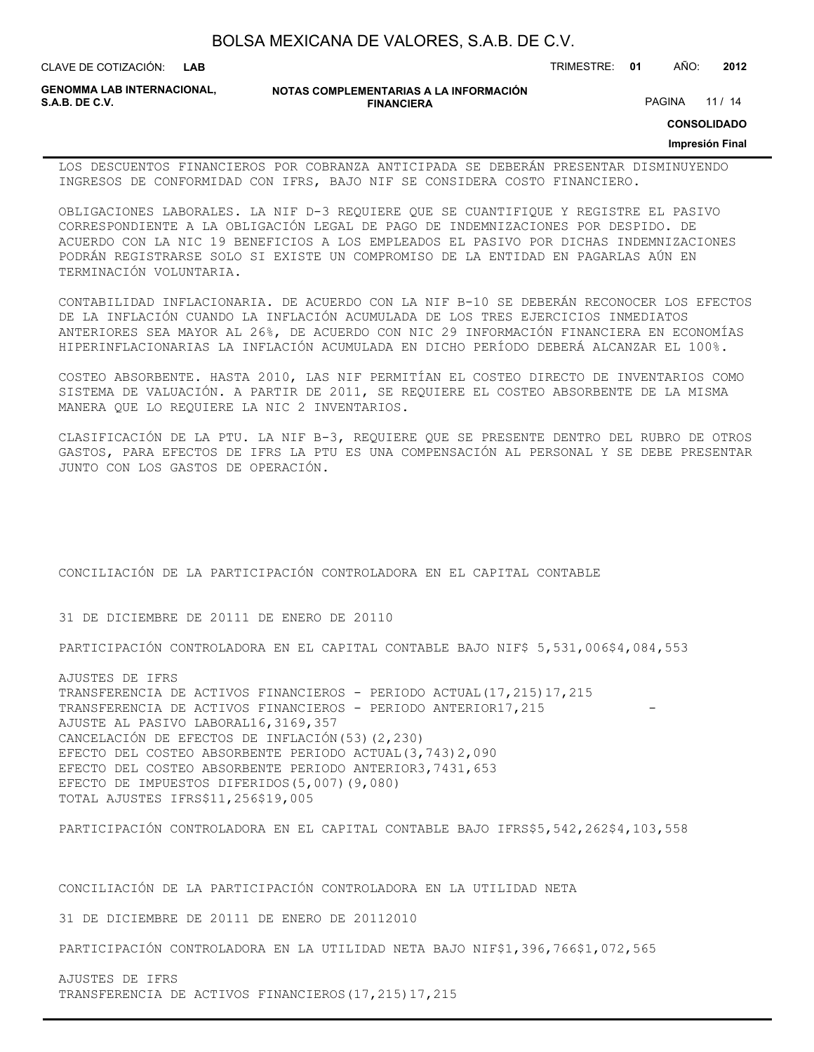| BOLSA MEXICANA DE VALORES, S.A.B. DE C.V. |  |  |  |
|-------------------------------------------|--|--|--|
|-------------------------------------------|--|--|--|

CLAVE DE COTIZACIÓN: TRIMESTRE: **01** AÑO: **2012**

**GENOMMA LAB INTERNACIONAL,**

**NOTAS COMPLEMENTARIAS A LA INFORMACIÓN FINANCIERA**

PAGINA 11 / 14

**CONSOLIDADO**

#### **Impresión Final**

LOS DESCUENTOS FINANCIEROS POR COBRANZA ANTICIPADA SE DEBERÁN PRESENTAR DISMINUYENDO INGRESOS DE CONFORMIDAD CON IFRS, BAJO NIF SE CONSIDERA COSTO FINANCIERO.

OBLIGACIONES LABORALES. LA NIF D-3 REQUIERE QUE SE CUANTIFIQUE Y REGISTRE EL PASIVO CORRESPONDIENTE A LA OBLIGACIÓN LEGAL DE PAGO DE INDEMNIZACIONES POR DESPIDO. DE ACUERDO CON LA NIC 19 BENEFICIOS A LOS EMPLEADOS EL PASIVO POR DICHAS INDEMNIZACIONES PODRÁN REGISTRARSE SOLO SI EXISTE UN COMPROMISO DE LA ENTIDAD EN PAGARLAS AÚN EN TERMINACIÓN VOLUNTARIA.

CONTABILIDAD INFLACIONARIA. DE ACUERDO CON LA NIF B-10 SE DEBERÁN RECONOCER LOS EFECTOS DE LA INFLACIÓN CUANDO LA INFLACIÓN ACUMULADA DE LOS TRES EJERCICIOS INMEDIATOS ANTERIORES SEA MAYOR AL 26%, DE ACUERDO CON NIC 29 INFORMACIÓN FINANCIERA EN ECONOMÍAS HIPERINFLACIONARIAS LA INFLACIÓN ACUMULADA EN DICHO PERÍODO DEBERÁ ALCANZAR EL 100%.

COSTEO ABSORBENTE. HASTA 2010, LAS NIF PERMITÍAN EL COSTEO DIRECTO DE INVENTARIOS COMO SISTEMA DE VALUACIÓN. A PARTIR DE 2011, SE REQUIERE EL COSTEO ABSORBENTE DE LA MISMA MANERA QUE LO REQUIERE LA NIC 2 INVENTARIOS.

CLASIFICACIÓN DE LA PTU. LA NIF B-3, REQUIERE QUE SE PRESENTE DENTRO DEL RUBRO DE OTROS GASTOS, PARA EFECTOS DE IFRS LA PTU ES UNA COMPENSACIÓN AL PERSONAL Y SE DEBE PRESENTAR JUNTO CON LOS GASTOS DE OPERACIÓN.

CONCILIACIÓN DE LA PARTICIPACIÓN CONTROLADORA EN EL CAPITAL CONTABLE

31 DE DICIEMBRE DE 20111 DE ENERO DE 20110

PARTICIPACIÓN CONTROLADORA EN EL CAPITAL CONTABLE BAJO NIF\$ 5,531,006\$4,084,553

AJUSTES DE IFRS TRANSFERENCIA DE ACTIVOS FINANCIEROS - PERIODO ACTUAL(17,215)17,215 TRANSFERENCIA DE ACTIVOS FINANCIEROS - PERIODO ANTERIOR17,215 AJUSTE AL PASIVO LABORAL16,3169,357 CANCELACIÓN DE EFECTOS DE INFLACIÓN(53)(2,230) EFECTO DEL COSTEO ABSORBENTE PERIODO ACTUAL(3,743)2,090 EFECTO DEL COSTEO ABSORBENTE PERIODO ANTERIOR3,7431,653 EFECTO DE IMPUESTOS DIFERIDOS(5,007)(9,080) TOTAL AJUSTES IFRS\$11,256\$19,005

PARTICIPACIÓN CONTROLADORA EN EL CAPITAL CONTABLE BAJO IFRS\$5,542,262\$4,103,558

CONCILIACIÓN DE LA PARTICIPACIÓN CONTROLADORA EN LA UTILIDAD NETA

31 DE DICIEMBRE DE 20111 DE ENERO DE 20112010

PARTICIPACIÓN CONTROLADORA EN LA UTILIDAD NETA BAJO NIF\$1,396,766\$1,072,565

AJUSTES DE IFRS TRANSFERENCIA DE ACTIVOS FINANCIEROS(17,215)17,215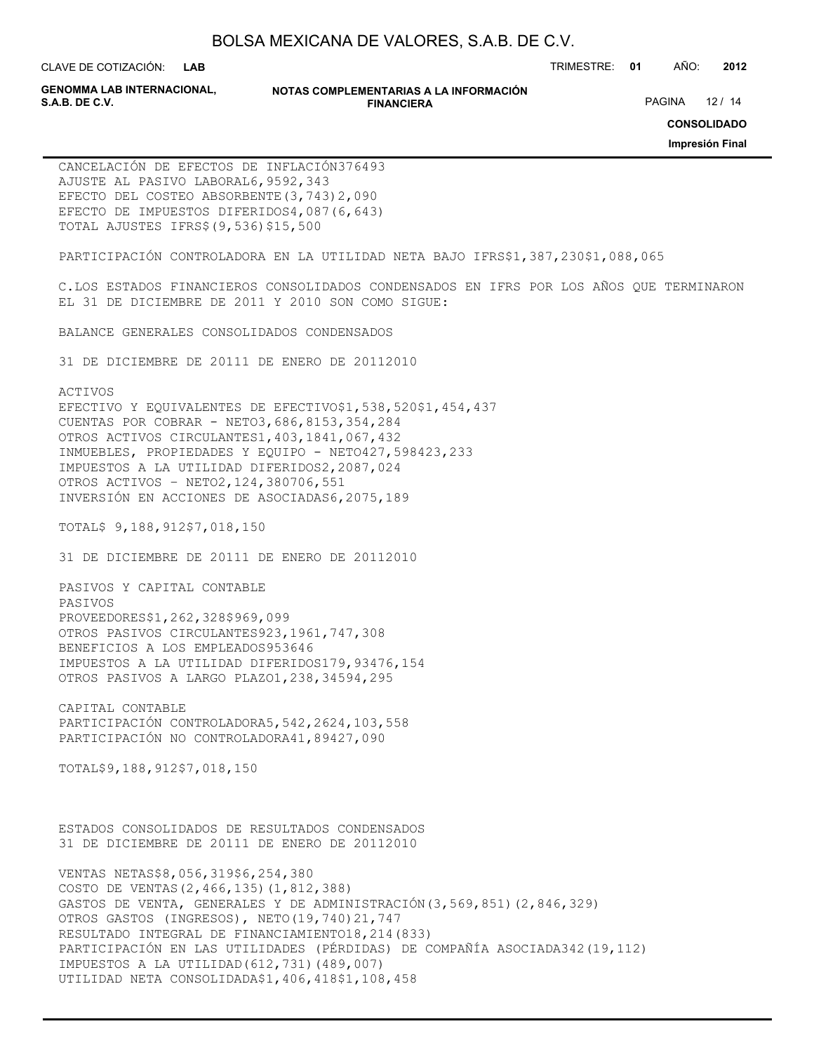**LAB**

CLAVE DE COTIZACIÓN: TRIMESTRE: **01** AÑO: **2012**

**GENOMMA LAB INTERNACIONAL,**

**NOTAS COMPLEMENTARIAS A LA INFORMACIÓN FINANCIERA**

PAGINA 12 / 14

**CONSOLIDADO**

**Impresión Final**

CANCELACIÓN DE EFECTOS DE INFLACIÓN376493 AJUSTE AL PASIVO LABORAL6,9592,343 EFECTO DEL COSTEO ABSORBENTE(3,743)2,090 EFECTO DE IMPUESTOS DIFERIDOS4,087(6,643) TOTAL AJUSTES IFRS\$(9,536)\$15,500

PARTICIPACIÓN CONTROLADORA EN LA UTILIDAD NETA BAJO IFRS\$1,387,230\$1,088,065

C.LOS ESTADOS FINANCIEROS CONSOLIDADOS CONDENSADOS EN IFRS POR LOS AÑOS QUE TERMINARON EL 31 DE DICIEMBRE DE 2011 Y 2010 SON COMO SIGUE:

BALANCE GENERALES CONSOLIDADOS CONDENSADOS

31 DE DICIEMBRE DE 20111 DE ENERO DE 20112010

ACTIVOS

EFECTIVO Y EQUIVALENTES DE EFECTIVO\$1,538,520\$1,454,437 CUENTAS POR COBRAR - NETO3,686,8153,354,284 OTROS ACTIVOS CIRCULANTES1,403,1841,067,432 INMUEBLES, PROPIEDADES Y EQUIPO - NETO427,598423,233 IMPUESTOS A LA UTILIDAD DIFERIDOS2,2087,024 OTROS ACTIVOS – NETO2,124,380706,551 INVERSIÓN EN ACCIONES DE ASOCIADAS6,2075,189

TOTAL\$ 9,188,912\$7,018,150

31 DE DICIEMBRE DE 20111 DE ENERO DE 20112010

PASIVOS Y CAPITAL CONTABLE PASIVOS PROVEEDORES\$1,262,328\$969,099 OTROS PASIVOS CIRCULANTES923,1961,747,308 BENEFICIOS A LOS EMPLEADOS953646 IMPUESTOS A LA UTILIDAD DIFERIDOS179,93476,154 OTROS PASIVOS A LARGO PLAZO1,238,34594,295

CAPITAL CONTABLE PARTICIPACIÓN CONTROLADORA5,542,2624,103,558 PARTICIPACIÓN NO CONTROLADORA41,89427,090

TOTAL\$9,188,912\$7,018,150

ESTADOS CONSOLIDADOS DE RESULTADOS CONDENSADOS 31 DE DICIEMBRE DE 20111 DE ENERO DE 20112010

VENTAS NETAS\$8,056,319\$6,254,380 COSTO DE VENTAS(2,466,135)(1,812,388) GASTOS DE VENTA, GENERALES Y DE ADMINISTRACIÓN(3,569,851)(2,846,329) OTROS GASTOS (INGRESOS), NETO(19,740)21,747 RESULTADO INTEGRAL DE FINANCIAMIENTO18,214(833) PARTICIPACIÓN EN LAS UTILIDADES (PÉRDIDAS) DE COMPAÑÍA ASOCIADA342(19,112) IMPUESTOS A LA UTILIDAD(612,731)(489,007) UTILIDAD NETA CONSOLIDADA\$1,406,418\$1,108,458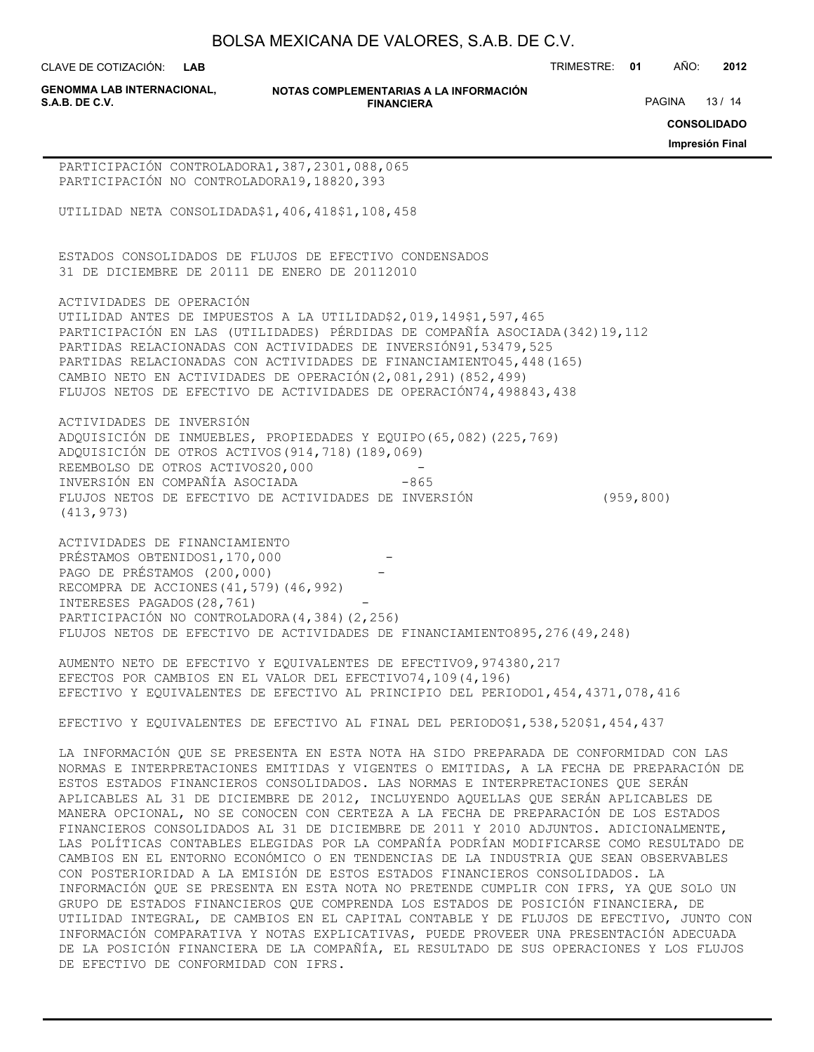| CLAVE DE COTIZACIÓN:<br><b>LAB</b>                                                                                                                                                                                                                                                                                                                                                                                                                                                                                                                                                                                                                                                                                                                                                                                                                                                                                                                                                                                                                                                |                                        | TRIMESTRE: 01 | ANO:<br>2012       |
|-----------------------------------------------------------------------------------------------------------------------------------------------------------------------------------------------------------------------------------------------------------------------------------------------------------------------------------------------------------------------------------------------------------------------------------------------------------------------------------------------------------------------------------------------------------------------------------------------------------------------------------------------------------------------------------------------------------------------------------------------------------------------------------------------------------------------------------------------------------------------------------------------------------------------------------------------------------------------------------------------------------------------------------------------------------------------------------|----------------------------------------|---------------|--------------------|
| GENOMMA LAB INTERNACIONAL,                                                                                                                                                                                                                                                                                                                                                                                                                                                                                                                                                                                                                                                                                                                                                                                                                                                                                                                                                                                                                                                        | NOTAS COMPLEMENTARIAS A LA INFORMACIÓN |               |                    |
| <b>S.A.B. DE C.V.</b>                                                                                                                                                                                                                                                                                                                                                                                                                                                                                                                                                                                                                                                                                                                                                                                                                                                                                                                                                                                                                                                             | <b>FINANCIERA</b>                      |               | PAGINA 13/14       |
|                                                                                                                                                                                                                                                                                                                                                                                                                                                                                                                                                                                                                                                                                                                                                                                                                                                                                                                                                                                                                                                                                   |                                        |               | <b>CONSOLIDADO</b> |
|                                                                                                                                                                                                                                                                                                                                                                                                                                                                                                                                                                                                                                                                                                                                                                                                                                                                                                                                                                                                                                                                                   |                                        |               | Impresión Final    |
| PARTICIPACIÓN CONTROLADORA1, 387, 2301, 088, 065<br>PARTICIPACIÓN NO CONTROLADORA19, 18820, 393                                                                                                                                                                                                                                                                                                                                                                                                                                                                                                                                                                                                                                                                                                                                                                                                                                                                                                                                                                                   |                                        |               |                    |
| UTILIDAD NETA CONSOLIDADAȘ1, 406, 418Ș1, 108, 458                                                                                                                                                                                                                                                                                                                                                                                                                                                                                                                                                                                                                                                                                                                                                                                                                                                                                                                                                                                                                                 |                                        |               |                    |
| ESTADOS CONSOLIDADOS DE FLUJOS DE EFECTIVO CONDENSADOS<br>31 DE DICIEMBRE DE 20111 DE ENERO DE 20112010                                                                                                                                                                                                                                                                                                                                                                                                                                                                                                                                                                                                                                                                                                                                                                                                                                                                                                                                                                           |                                        |               |                    |
| ACTIVIDADES DE OPERACIÓN<br>UTILIDAD ANTES DE IMPUESTOS A LA UTILIDAD\$2,019,149\$1,597,465<br>PARTICIPACIÓN EN LAS (UTILIDADES) PÉRDIDAS DE COMPAÑÍA ASOCIADA (342)19,112<br>PARTIDAS RELACIONADAS CON ACTIVIDADES DE INVERSIÓN91, 53479, 525<br>PARTIDAS RELACIONADAS CON ACTIVIDADES DE FINANCIAMIENTO45, 448 (165)<br>CAMBIO NETO EN ACTIVIDADES DE OPERACIÓN (2,081,291) (852,499)<br>FLUJOS NETOS DE EFECTIVO DE ACTIVIDADES DE OPERACIÓN74,498843,438                                                                                                                                                                                                                                                                                                                                                                                                                                                                                                                                                                                                                      |                                        |               |                    |
| ACTIVIDADES DE INVERSIÓN<br>ADQUISICIÓN DE INMUEBLES, PROPIEDADES Y EQUIPO (65,082) (225,769)<br>ADQUISICIÓN DE OTROS ACTIVOS (914, 718) (189, 069)<br>REEMBOLSO DE OTROS ACTIVOS20,000<br>INVERSIÓN EN COMPAÑÍA ASOCIADA<br>FLUJOS NETOS DE EFECTIVO DE ACTIVIDADES DE INVERSIÓN<br>(413, 973)                                                                                                                                                                                                                                                                                                                                                                                                                                                                                                                                                                                                                                                                                                                                                                                   | $-865$                                 |               | (959, 800)         |
| ACTIVIDADES DE FINANCIAMIENTO<br>PRÉSTAMOS OBTENIDOS1, 170,000<br>PAGO DE PRÉSTAMOS (200,000)<br>RECOMPRA DE ACCIONES (41, 579) (46, 992)<br>INTERESES PAGADOS (28,761)<br>PARTICIPACIÓN NO CONTROLADORA (4,384) (2,256)<br>FLUJOS NETOS DE EFECTIVO DE ACTIVIDADES DE FINANCIAMIENTO895, 276 (49, 248)                                                                                                                                                                                                                                                                                                                                                                                                                                                                                                                                                                                                                                                                                                                                                                           |                                        |               |                    |
| AUMENTO NETO DE EFECTIVO Y EQUIVALENTES DE EFECTIVO9, 974380, 217<br>EFECTOS POR CAMBIOS EN EL VALOR DEL EFECTIVO74, 109 (4, 196)<br>EFECTIVO Y EQUIVALENTES DE EFECTIVO AL PRINCIPIO DEL PERIODO1, 454, 4371, 078, 416                                                                                                                                                                                                                                                                                                                                                                                                                                                                                                                                                                                                                                                                                                                                                                                                                                                           |                                        |               |                    |
| EFECTIVO Y EQUIVALENTES DE EFECTIVO AL FINAL DEL PERIODO\$1,538,520\$1,454,437                                                                                                                                                                                                                                                                                                                                                                                                                                                                                                                                                                                                                                                                                                                                                                                                                                                                                                                                                                                                    |                                        |               |                    |
| LA INFORMACIÓN QUE SE PRESENTA EN ESTA NOTA HA SIDO PREPARADA DE CONFORMIDAD CON LAS<br>NORMAS E INTERPRETACIONES EMITIDAS Y VIGENTES O EMITIDAS, A LA FECHA DE PREPARACIÓN DE<br>ESTOS ESTADOS FINANCIEROS CONSOLIDADOS. LAS NORMAS E INTERPRETACIONES QUE SERÁN<br>APLICABLES AL 31 DE DICIEMBRE DE 2012, INCLUYENDO AQUELLAS QUE SERÁN APLICABLES DE<br>MANERA OPCIONAL, NO SE CONOCEN CON CERTEZA A LA FECHA DE PREPARACIÓN DE LOS ESTADOS<br>FINANCIEROS CONSOLIDADOS AL 31 DE DICIEMBRE DE 2011 Y 2010 ADJUNTOS. ADICIONALMENTE,<br>LAS POLÍTICAS CONTABLES ELEGIDAS POR LA COMPAÑÍA PODRÍAN MODIFICARSE COMO RESULTADO DE<br>CAMBIOS EN EL ENTORNO ECONÓMICO O EN TENDENCIAS DE LA INDUSTRIA QUE SEAN OBSERVABLES<br>CON POSTERIORIDAD A LA EMISIÓN DE ESTOS ESTADOS FINANCIEROS CONSOLIDADOS. LA<br>INFORMACIÓN QUE SE PRESENTA EN ESTA NOTA NO PRETENDE CUMPLIR CON IFRS, YA QUE SOLO UN<br>GRUPO DE ESTADOS FINANCIEROS QUE COMPRENDA LOS ESTADOS DE POSICIÓN FINANCIERA, DE<br>UTILIDAD INTEGRAL, DE CAMBIOS EN EL CAPITAL CONTABLE Y DE FLUJOS DE EFECTIVO, JUNTO CON |                                        |               |                    |

INFORMACIÓN COMPARATIVA Y NOTAS EXPLICATIVAS, PUEDE PROVEER UNA PRESENTACIÓN ADECUADA DE LA POSICIÓN FINANCIERA DE LA COMPAÑÍA, EL RESULTADO DE SUS OPERACIONES Y LOS FLUJOS

DE EFECTIVO DE CONFORMIDAD CON IFRS.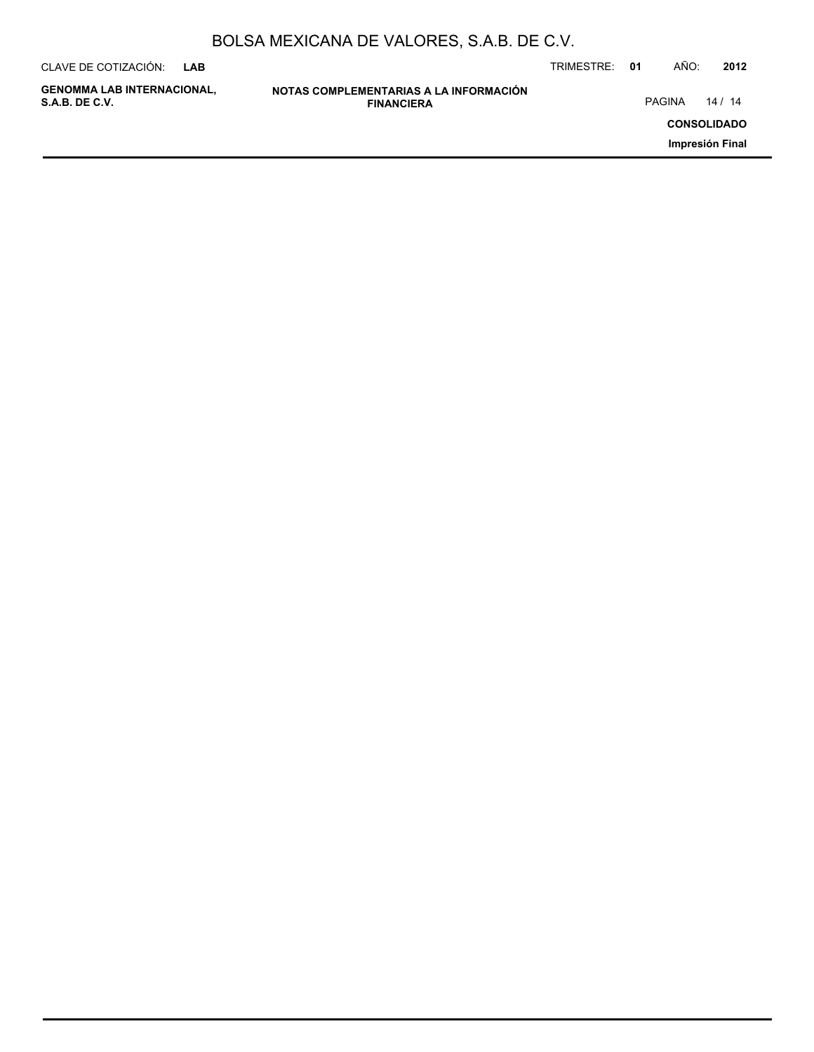| CLAVE DE COTIZACIÓN:<br><b>LAB</b> |  |
|------------------------------------|--|
|------------------------------------|--|

**GENOMMA LAB INTERNACIONAL,**

**NOTAS COMPLEMENTARIAS A LA INFORMACIÓN FINANCIERA S.A.B. DE C.V.** PAGINA 14 / 14

CLAVE DE COTIZACIÓN: TRIMESTRE: **01** AÑO: **2012**

**CONSOLIDADO**

**Impresión Final**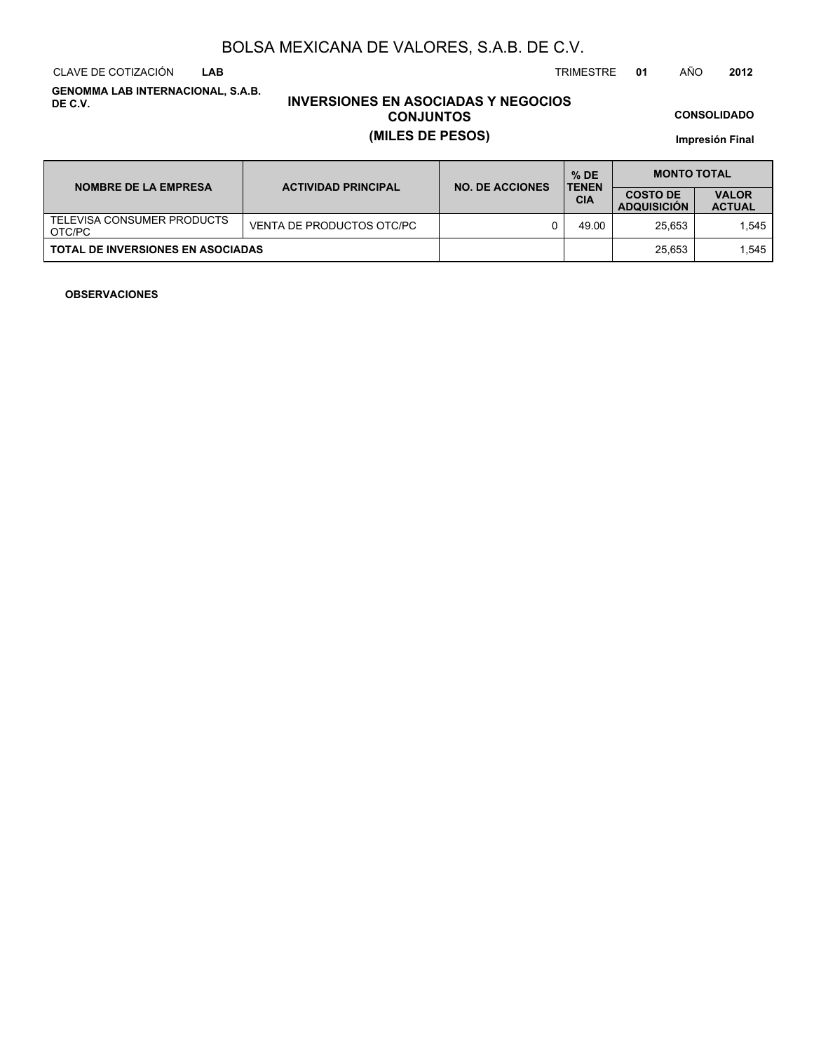CLAVE DE COTIZACIÓN TRIMESTRE **01** AÑO **2012 LAB**

**GENOMMA LAB INTERNACIONAL, S.A.B. DE C.V.**

## **INVERSIONES EN ASOCIADAS Y NEGOCIOS CONJUNTOS (MILES DE PESOS)**

**CONSOLIDADO**

**Impresión Final**

| <b>NOMBRE DE LA EMPRESA</b>              | <b>ACTIVIDAD PRINCIPAL</b> | <b>NO. DE ACCIONES</b> | $%$ DE<br><b>TENEN</b> | <b>MONTO TOTAL</b>                    |                               |  |
|------------------------------------------|----------------------------|------------------------|------------------------|---------------------------------------|-------------------------------|--|
|                                          |                            |                        | <b>CIA</b>             | <b>COSTO DE</b><br><b>ADQUISICION</b> | <b>VALOR</b><br><b>ACTUAL</b> |  |
| TELEVISA CONSUMER PRODUCTS<br>OTC/PC     | VENTA DE PRODUCTOS OTC/PC  |                        | 49.00                  | 25.653                                | 1.545                         |  |
| <b>TOTAL DE INVERSIONES EN ASOCIADAS</b> |                            |                        |                        | 25.653                                | .545                          |  |

#### **OBSERVACIONES**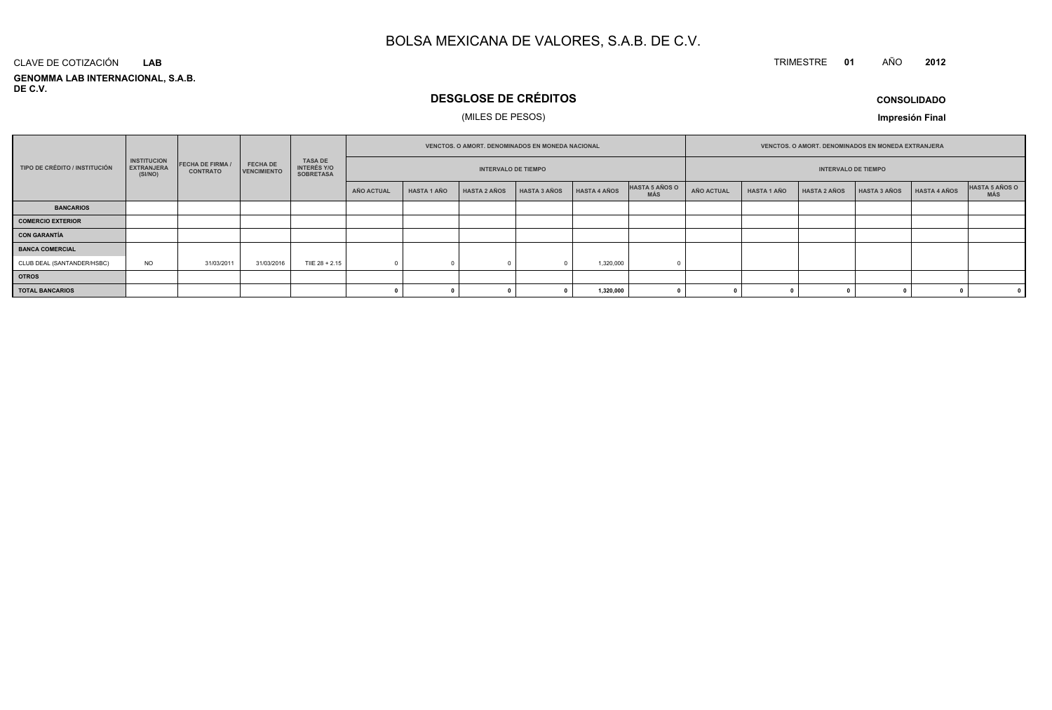#### **GENOMMA LAB INTERNACIONAL, S.A.B. DE C.V.**CLAVE DE COTIZACIÓN**LAB**

## **DESGLOSE DE CRÉDITOS**

### (MILES DE PESOS)

**CONSOLIDADO**

**<sup>2012</sup>**

**Impresión Final**

|                               |                                                    |                                          |                                       | TASA DE<br>INTERÉS Y/O<br><b>SOBRETASA</b> | <b>VENCTOS, O AMORT, DENOMINADOS EN MONEDA NACIONAL</b> |                    |                            |              |              |                                     | <b>VENCTOS, O AMORT, DENOMINADOS EN MONEDA EXTRANJERA</b> |                    |                     |                     |                     |                       |
|-------------------------------|----------------------------------------------------|------------------------------------------|---------------------------------------|--------------------------------------------|---------------------------------------------------------|--------------------|----------------------------|--------------|--------------|-------------------------------------|-----------------------------------------------------------|--------------------|---------------------|---------------------|---------------------|-----------------------|
| TIPO DE CRÉDITO / INSTITUCIÓN | <b>INSTITUCION</b><br><b>EXTRANJERA</b><br>(SI/NO) | <b>FECHA DE FIRMA</b><br><b>CONTRATO</b> | <b>FECHA DE</b><br><b>VENCIMIENTO</b> |                                            |                                                         |                    | <b>INTERVALO DE TIEMPO</b> |              |              |                                     | <b>INTERVALO DE TIEMPO</b>                                |                    |                     |                     |                     |                       |
|                               |                                                    |                                          |                                       |                                            | AÑO ACTUAL                                              | <b>HASTA 1 AÑO</b> | <b>HASTA 2 AÑOS</b>        | HASTA 3 AÑOS | HASTA 4 AÑOS | <b>HASTA 5 AÑOS O</b><br><b>MÁS</b> | AÑO ACTUAL                                                | <b>HASTA 1 AÑO</b> | <b>HASTA 2 AÑOS</b> | <b>HASTA 3 AÑOS</b> | <b>HASTA 4 AÑOS</b> | HASTA 5 AÑOS O<br>MÁS |
| <b>BANCARIOS</b>              |                                                    |                                          |                                       |                                            |                                                         |                    |                            |              |              |                                     |                                                           |                    |                     |                     |                     |                       |
| <b>COMERCIO EXTERIOR</b>      |                                                    |                                          |                                       |                                            |                                                         |                    |                            |              |              |                                     |                                                           |                    |                     |                     |                     |                       |
| CON GARANTÍA                  |                                                    |                                          |                                       |                                            |                                                         |                    |                            |              |              |                                     |                                                           |                    |                     |                     |                     |                       |
| <b>BANCA COMERCIAL</b>        |                                                    |                                          |                                       |                                            |                                                         |                    |                            |              |              |                                     |                                                           |                    |                     |                     |                     |                       |
| CLUB DEAL (SANTANDER/HSBC)    | <b>NO</b>                                          | 31/03/2011                               | 31/03/2016                            | TIIE 28 + 2.15                             |                                                         |                    |                            |              | 1,320,000    |                                     |                                                           |                    |                     |                     |                     |                       |
| <b>OTROS</b>                  |                                                    |                                          |                                       |                                            |                                                         |                    |                            |              |              |                                     |                                                           |                    |                     |                     |                     |                       |
| <b>TOTAL BANCARIOS</b>        |                                                    |                                          |                                       |                                            |                                                         |                    |                            |              | 1,320,000    |                                     |                                                           |                    |                     |                     |                     |                       |

TRIMESTRE **<sup>01</sup>** AÑO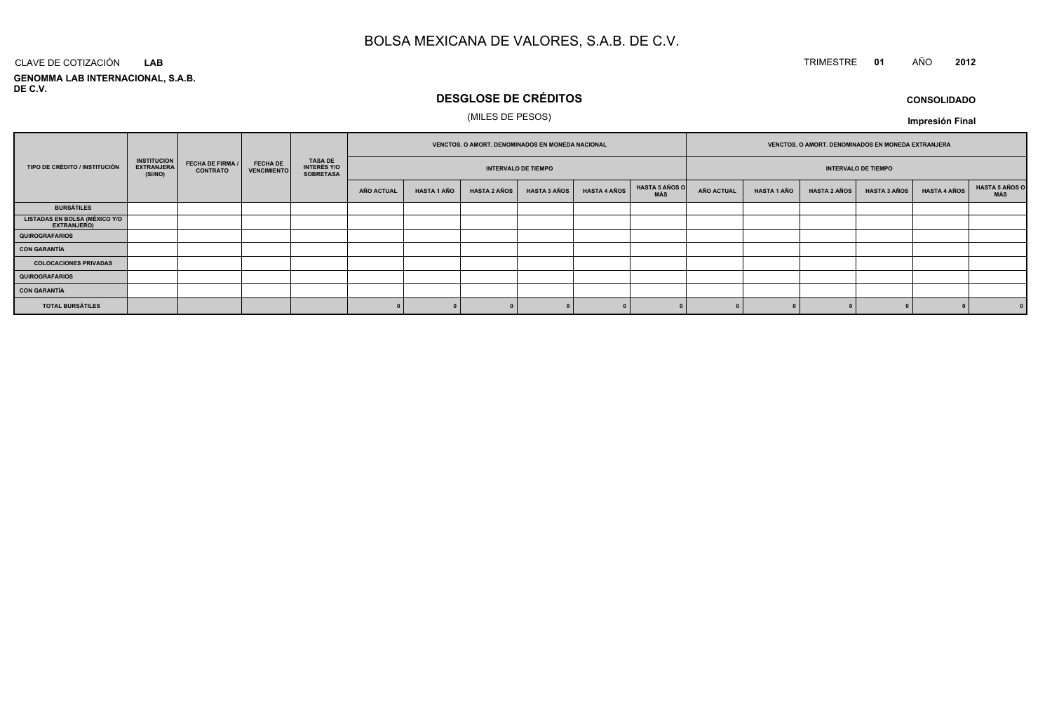## TRIMESTRE **<sup>01</sup>** AÑO **<sup>2012</sup>**

**GENOMMA LAB INTERNACIONAL, S.A.B. DE C.V.**CLAVE DE COTIZACIÓN**LAB**

## **DESGLOSE DE CRÉDITOS**

#### (MILES DE PESOS)

**CONSOLIDADO**

|                                           |                                                    |                                            |                                       |                                                          | VENCTOS. O AMORT. DENOMINADOS EN MONEDA NACIONAL |                    |                     |                     |                     |                              | VENCTOS. O AMORT. DENOMINADOS EN MONEDA EXTRANJERA |                    |                     |                     |                     |                       |
|-------------------------------------------|----------------------------------------------------|--------------------------------------------|---------------------------------------|----------------------------------------------------------|--------------------------------------------------|--------------------|---------------------|---------------------|---------------------|------------------------------|----------------------------------------------------|--------------------|---------------------|---------------------|---------------------|-----------------------|
| TIPO DE CRÉDITO / INSTITUCIÓN             | <b>INSTITUCION</b><br><b>EXTRANJERA</b><br>(SI/NO) | <b>FECHA DE FIRMA /</b><br><b>CONTRATO</b> | <b>FECHA DE</b><br><b>VENCIMIENTO</b> | <b>TASA DE</b><br><b>INTERÉS Y/O</b><br><b>SOBRETASA</b> | <b>INTERVALO DE TIEMPO</b>                       |                    |                     |                     |                     | <b>INTERVALO DE TIEMPO</b>   |                                                    |                    |                     |                     |                     |                       |
|                                           |                                                    |                                            |                                       |                                                          | AÑO ACTUAL                                       | <b>HASTA 1 AÑO</b> | <b>HASTA 2 AÑOS</b> | <b>HASTA 3 AÑOS</b> | <b>HASTA 4 AÑOS</b> | <b>HASTA 5 AÑOS O</b><br>MÁS | <b>AÑO ACTUAL</b>                                  | <b>HASTA 1 AÑO</b> | <b>HASTA 2 AÑOS</b> | <b>HASTA 3 AÑOS</b> | <b>HASTA 4 AÑOS</b> | HASTA 5 AÑOS C<br>MÁS |
| <b>BURSÁTILES</b>                         |                                                    |                                            |                                       |                                                          |                                                  |                    |                     |                     |                     |                              |                                                    |                    |                     |                     |                     |                       |
| LISTADAS EN BOLSA (MÉXICO Y/O EXTRANJERO) |                                                    |                                            |                                       |                                                          |                                                  |                    |                     |                     |                     |                              |                                                    |                    |                     |                     |                     |                       |
| <b>QUIROGRAFARIOS</b>                     |                                                    |                                            |                                       |                                                          |                                                  |                    |                     |                     |                     |                              |                                                    |                    |                     |                     |                     |                       |
| <b>CON GARANTÍA</b>                       |                                                    |                                            |                                       |                                                          |                                                  |                    |                     |                     |                     |                              |                                                    |                    |                     |                     |                     |                       |
| <b>COLOCACIONES PRIVADAS</b>              |                                                    |                                            |                                       |                                                          |                                                  |                    |                     |                     |                     |                              |                                                    |                    |                     |                     |                     |                       |
| <b>QUIROGRAFARIOS</b>                     |                                                    |                                            |                                       |                                                          |                                                  |                    |                     |                     |                     |                              |                                                    |                    |                     |                     |                     |                       |
| <b>CON GARANTÍA</b>                       |                                                    |                                            |                                       |                                                          |                                                  |                    |                     |                     |                     |                              |                                                    |                    |                     |                     |                     |                       |
| <b>TOTAL BURSÁTILES</b>                   |                                                    |                                            |                                       |                                                          |                                                  |                    |                     |                     |                     |                              |                                                    |                    |                     |                     |                     | 0                     |

**Impresión Final**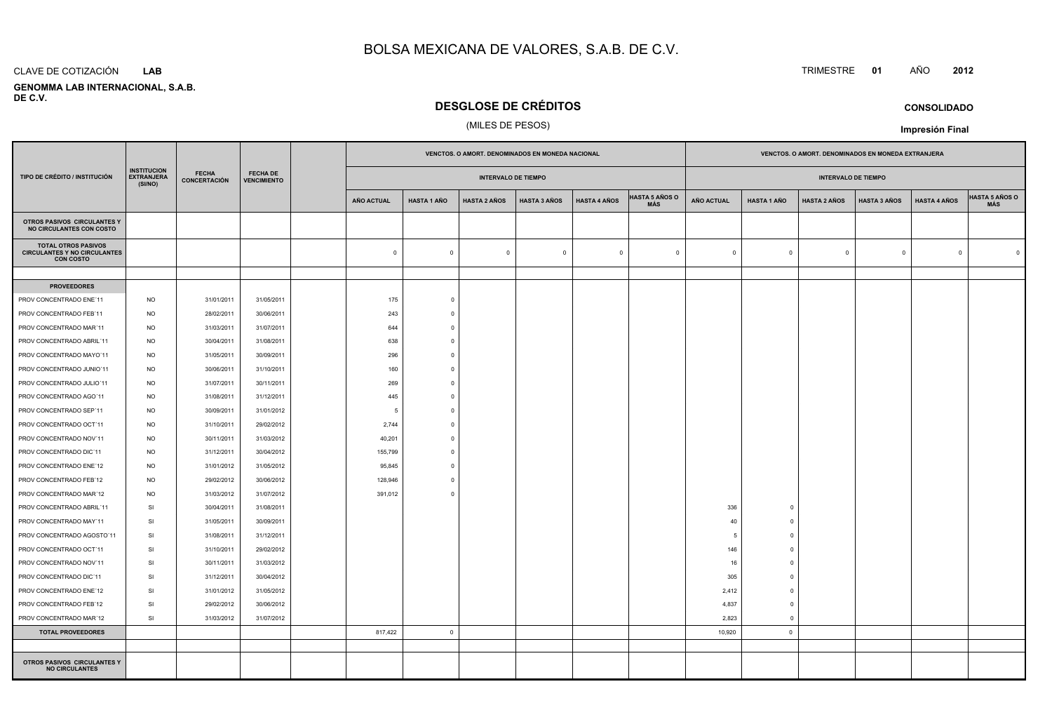#### CLAVE DE COTIZACIÓN**LAB**

 **GENOMMA LAB INTERNACIONAL, S.A.B.DE C.V.**

## **DESGLOSE DE CRÉDITOS**

#### (MILES DE PESOS)

|                                                                                       |                                                    |                                     |                                       |                   |                         | VENCTOS. O AMORT. DENOMINADOS EN MONEDA NACIONAL |                     |                     |                              |                   |                         |                            | VENCTOS. O AMORT. DENOMINADOS EN MONEDA EXTRANJERA |                     |                              |
|---------------------------------------------------------------------------------------|----------------------------------------------------|-------------------------------------|---------------------------------------|-------------------|-------------------------|--------------------------------------------------|---------------------|---------------------|------------------------------|-------------------|-------------------------|----------------------------|----------------------------------------------------|---------------------|------------------------------|
| TIPO DE CRÉDITO / INSTITUCIÓN                                                         | <b>INSTITUCION</b><br><b>EXTRANJERA</b><br>(SI/NO) | <b>FECHA</b><br><b>CONCERTACIÓN</b> | <b>FECHA DE</b><br><b>VENCIMIENTO</b> |                   |                         | <b>INTERVALO DE TIEMPO</b>                       |                     |                     |                              |                   |                         | <b>INTERVALO DE TIEMPO</b> |                                                    |                     |                              |
|                                                                                       |                                                    |                                     |                                       | <b>AÑO ACTUAL</b> | <b>HASTA 1 AÑO</b>      | <b>HASTA 2 AÑOS</b>                              | <b>HASTA 3 AÑOS</b> | <b>HASTA 4 AÑOS</b> | <b>HASTA 5 AÑOS O</b><br>MÁS | <b>AÑO ACTUAL</b> | <b>HASTA 1 AÑO</b>      | <b>HASTA 2 AÑOS</b>        | <b>HASTA 3 AÑOS</b>                                | <b>HASTA 4 AÑOS</b> | <b>HASTA 5 AÑOS O</b><br>MÁS |
| OTROS PASIVOS CIRCULANTES Y<br><b>NO CIRCULANTES CON COSTO</b>                        |                                                    |                                     |                                       |                   |                         |                                                  |                     |                     |                              |                   |                         |                            |                                                    |                     |                              |
| <b>TOTAL OTROS PASIVOS</b><br><b>CIRCULANTES Y NO CIRCULANTES</b><br><b>CON COSTO</b> |                                                    |                                     |                                       | $\mathbf 0$       | $\mathbf{0}$            | $\circ$                                          | $\overline{0}$      | $\overline{0}$      | $\circ$                      | $\Omega$          | $\mathbf 0$             | $\overline{0}$             | $\mathbf{0}$                                       | $\overline{0}$      | $\overline{0}$               |
|                                                                                       |                                                    |                                     |                                       |                   |                         |                                                  |                     |                     |                              |                   |                         |                            |                                                    |                     |                              |
| <b>PROVEEDORES</b>                                                                    |                                                    |                                     |                                       |                   |                         |                                                  |                     |                     |                              |                   |                         |                            |                                                    |                     |                              |
| PROV CONCENTRADO ENE'11                                                               | <b>NO</b>                                          | 31/01/2011                          | 31/05/2011                            | 175               | $\Omega$                |                                                  |                     |                     |                              |                   |                         |                            |                                                    |                     |                              |
| PROV CONCENTRADO FEB'11                                                               | <b>NO</b>                                          | 28/02/2011                          | 30/06/2011                            | 243               | $\Omega$                |                                                  |                     |                     |                              |                   |                         |                            |                                                    |                     |                              |
| PROV CONCENTRADO MAR'11                                                               | <b>NO</b>                                          | 31/03/2011                          | 31/07/2011                            | 644               | $\overline{0}$          |                                                  |                     |                     |                              |                   |                         |                            |                                                    |                     |                              |
| PROV CONCENTRADO ABRIL'11                                                             | <b>NO</b>                                          | 30/04/2011                          | 31/08/2011                            | 638               | $\circ$                 |                                                  |                     |                     |                              |                   |                         |                            |                                                    |                     |                              |
| PROV CONCENTRADO MAYO'11                                                              | <b>NO</b>                                          | 31/05/2011                          | 30/09/2011                            | 296               | $^{\circ}$              |                                                  |                     |                     |                              |                   |                         |                            |                                                    |                     |                              |
| PROV CONCENTRADO JUNIO'11                                                             | <b>NO</b>                                          | 30/06/2011                          | 31/10/2011                            | 160               | $\circ$                 |                                                  |                     |                     |                              |                   |                         |                            |                                                    |                     |                              |
| PROV CONCENTRADO JULIO'11                                                             | <b>NO</b>                                          | 31/07/2011                          | 30/11/2011                            | 269               | $^{\circ}$              |                                                  |                     |                     |                              |                   |                         |                            |                                                    |                     |                              |
| PROV CONCENTRADO AGO'11                                                               | <b>NO</b>                                          | 31/08/2011                          | 31/12/2011                            | 445               | $\overline{0}$          |                                                  |                     |                     |                              |                   |                         |                            |                                                    |                     |                              |
| PROV CONCENTRADO SEP'11                                                               | <b>NO</b>                                          | 30/09/2011                          | 31/01/2012                            | -5                | $\Omega$                |                                                  |                     |                     |                              |                   |                         |                            |                                                    |                     |                              |
| PROV CONCENTRADO OCT'11                                                               | <b>NO</b>                                          | 31/10/2011                          | 29/02/2012                            | 2,744             | $^{\circ}$              |                                                  |                     |                     |                              |                   |                         |                            |                                                    |                     |                              |
| PROV CONCENTRADO NOV'11                                                               | <b>NO</b>                                          | 30/11/2011                          | 31/03/2012                            | 40,201            | $^{\circ}$              |                                                  |                     |                     |                              |                   |                         |                            |                                                    |                     |                              |
| PROV CONCENTRADO DIC'11                                                               | <b>NO</b>                                          | 31/12/2011                          | 30/04/2012                            | 155,799           | $^{\circ}$              |                                                  |                     |                     |                              |                   |                         |                            |                                                    |                     |                              |
| PROV CONCENTRADO ENE'12                                                               | <b>NO</b>                                          | 31/01/2012                          | 31/05/2012                            | 95,845            | 0                       |                                                  |                     |                     |                              |                   |                         |                            |                                                    |                     |                              |
| PROV CONCENTRADO FEB'12                                                               | <b>NO</b>                                          | 29/02/2012                          | 30/06/2012                            | 128,946           | $^{\circ}$              |                                                  |                     |                     |                              |                   |                         |                            |                                                    |                     |                              |
| PROV CONCENTRADO MAR'12                                                               | <b>NO</b>                                          | 31/03/2012                          | 31/07/2012                            | 391,012           | $\Omega$                |                                                  |                     |                     |                              |                   |                         |                            |                                                    |                     |                              |
| PROV CONCENTRADO ABRIL'11                                                             | <b>SI</b>                                          | 30/04/2011                          | 31/08/2011                            |                   |                         |                                                  |                     |                     |                              | 336               | $\Omega$                |                            |                                                    |                     |                              |
| PROV CONCENTRADO MAY'11                                                               | SI                                                 | 31/05/2011                          | 30/09/2011                            |                   |                         |                                                  |                     |                     |                              | 4(                | $\Omega$                |                            |                                                    |                     |                              |
| PROV CONCENTRADO AGOSTO'11                                                            | SI                                                 | 31/08/2011                          | 31/12/2011                            |                   |                         |                                                  |                     |                     |                              | $\overline{5}$    | $\overline{0}$          |                            |                                                    |                     |                              |
| PROV CONCENTRADO OCT'11                                                               | SI                                                 | 31/10/2011                          | 29/02/2012                            |                   |                         |                                                  |                     |                     |                              | 146               | $\overline{\mathbf{0}}$ |                            |                                                    |                     |                              |
| PROV CONCENTRADO NOV'11                                                               | SI                                                 | 30/11/2011                          | 31/03/2012                            |                   |                         |                                                  |                     |                     |                              | 16                | $\Omega$                |                            |                                                    |                     |                              |
| PROV CONCENTRADO DIC'11                                                               | <b>SI</b>                                          | 31/12/2011                          | 30/04/2012                            |                   |                         |                                                  |                     |                     |                              | 305               | $\Omega$                |                            |                                                    |                     |                              |
| PROV CONCENTRADO ENE'12                                                               | <b>SI</b>                                          | 31/01/2012                          | 31/05/2012                            |                   |                         |                                                  |                     |                     |                              | 2,412             | $\Omega$                |                            |                                                    |                     |                              |
| PROV CONCENTRADO FEB'12                                                               | SI                                                 | 29/02/2012                          | 30/06/2012                            |                   |                         |                                                  |                     |                     |                              | 4,837             | $\overline{0}$          |                            |                                                    |                     |                              |
| PROV CONCENTRADO MAR'12                                                               | SI                                                 | 31/03/2012                          | 31/07/2012                            |                   |                         |                                                  |                     |                     |                              | 2,823             | $\overline{0}$          |                            |                                                    |                     |                              |
| <b>TOTAL PROVEEDORES</b>                                                              |                                                    |                                     |                                       | 817,422           | $\overline{\mathbf{0}}$ |                                                  |                     |                     |                              | 10,920            | $\mathbf 0$             |                            |                                                    |                     |                              |
|                                                                                       |                                                    |                                     |                                       |                   |                         |                                                  |                     |                     |                              |                   |                         |                            |                                                    |                     |                              |
| OTROS PASIVOS CIRCULANTES Y<br><b>NO CIRCULANTES</b>                                  |                                                    |                                     |                                       |                   |                         |                                                  |                     |                     |                              |                   |                         |                            |                                                    |                     |                              |

#### **CONSOLIDADO**

**Impresión Final**

TRIMESTRE **<sup>01</sup>** AÑO **<sup>2012</sup>**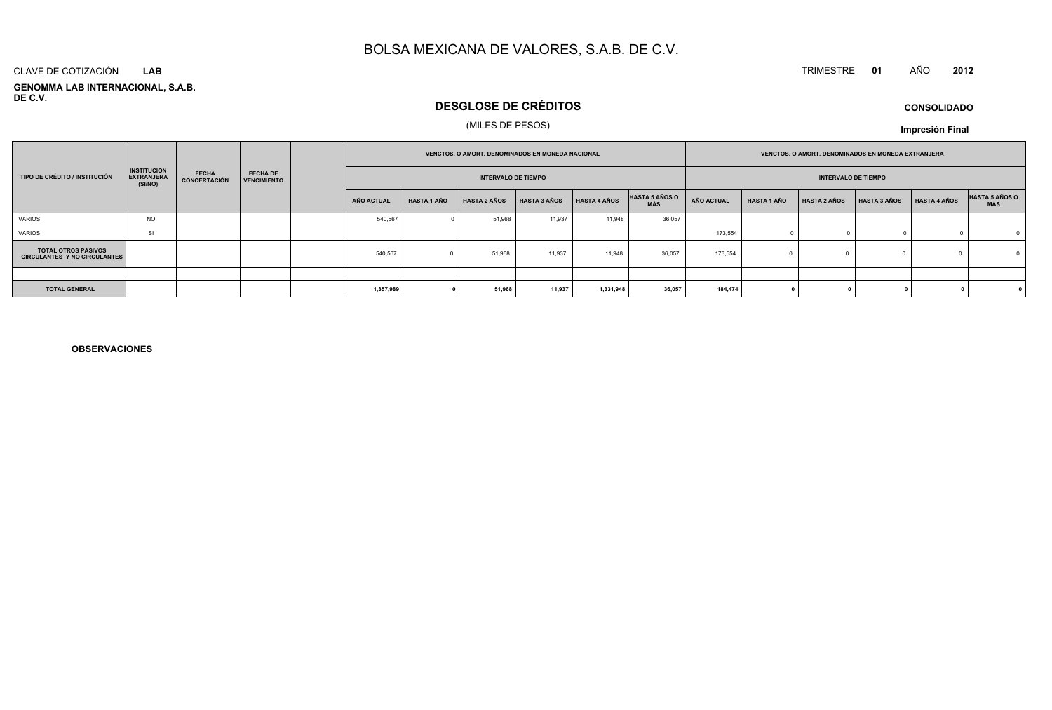#### CLAVE DE COTIZACIÓN TRIMESTRE **<sup>01</sup>** AÑO **<sup>2012</sup> LAB**

**TIPO DE CRÉDITO / INSTITUCIÓN**

**TOTAL OTROS PASIVOSCIRCULANTES Y NO CIRCULANTES**

**TOTAL GENERAL**

VARIOS

VARIOS

 **GENOMMA LAB INTERNACIONAL, S.A.B.DE C.V.**

S NO

## **DESGLOSE DE CRÉDITOS**

#### (MILES DE PESOS)

SI 173,554 <sup>0</sup> <sup>0</sup> <sup>0</sup> <sup>0</sup> <sup>0</sup>

0 540,567 0 51,968 11,937 11,948 36,057

|                                                    |                              |                                       |  |                   |                                                         |                     |                     |                     |                              |            |                                                    |                     |                           | IIIIDI USIOII FIII AI |                                     |
|----------------------------------------------------|------------------------------|---------------------------------------|--|-------------------|---------------------------------------------------------|---------------------|---------------------|---------------------|------------------------------|------------|----------------------------------------------------|---------------------|---------------------------|-----------------------|-------------------------------------|
|                                                    | <b>FECHA</b><br>CONCERTACIÓN |                                       |  |                   | <b>VENCTOS, O AMORT, DENOMINADOS EN MONEDA NACIONAL</b> |                     |                     |                     |                              |            | VENCTOS, O AMORT, DENOMINADOS EN MONEDA EXTRANJERA |                     |                           |                       |                                     |
| <b>INSTITUCION</b><br><b>EXTRANJERA</b><br>(SI/NO) |                              | <b>FECHA DE</b><br><b>VENCIMIENTO</b> |  |                   | <b>INTERVALO DE TIEMPO</b>                              |                     |                     |                     | <b>INTERVALO DE TIEMPO</b>   |            |                                                    |                     |                           |                       |                                     |
|                                                    |                              |                                       |  | <b>AÑO ACTUAL</b> | <b>HASTA 1 AÑO</b>                                      | <b>HASTA 2 AÑOS</b> | <b>HASTA 3 AÑOS</b> | <b>HASTA 4 AÑOS</b> | <b>HASTA 5 AÑOS O</b><br>MÁS | AÑO ACTUAL | <b>HASTA 1 AÑO</b>                                 | <b>HASTA 2 AÑOS</b> | HASTA 3 AÑOS HASTA 4 AÑOS |                       | <b>HASTA 5 AÑOS C</b><br><b>MÁS</b> |

540,567 <sup>0</sup> 51,968 11,937 11,948 36,057 173,554 <sup>0</sup> <sup>0</sup> <sup>0</sup> <sup>0</sup> <sup>0</sup>

**1,357,989 <sup>0</sup> 51,968 11,937 1,331,948 36,057 184,474 <sup>0</sup> <sup>0</sup> <sup>0</sup> <sup>0</sup> <sup>0</sup>**

**OBSERVACIONES**

**Impresión Final**

#### **CONSOLIDADO**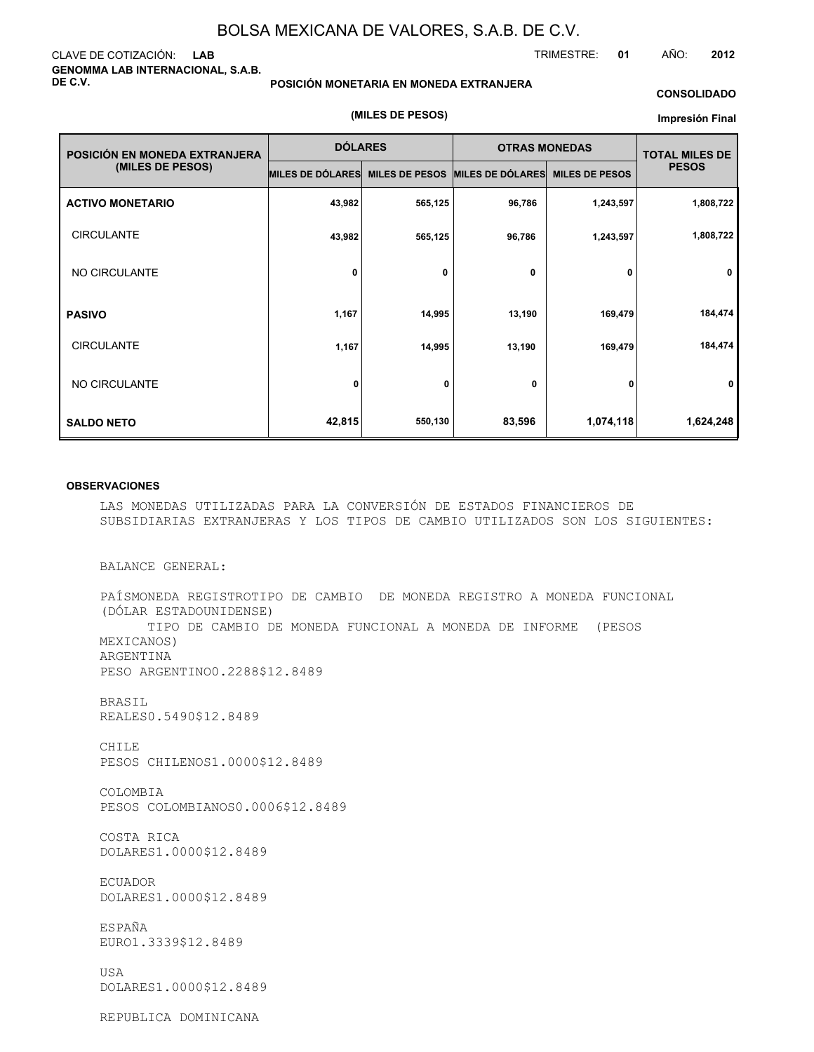#### CLAVE DE COTIZACIÓN: **LAB GENOMMA LAB INTERNACIONAL, S.A.B. DE C.V.**

#### **POSICIÓN MONETARIA EN MONEDA EXTRANJERA**

#### **CONSOLIDADO**

TRIMESTRE: **01** AÑO: **2012**

#### **(MILES DE PESOS)**

#### **Impresión Final**

| POSICIÓN EN MONEDA EXTRANJERA | <b>DÓLARES</b>          |                       | <b>OTRAS MONEDAS</b>    | <b>TOTAL MILES DE</b> |              |
|-------------------------------|-------------------------|-----------------------|-------------------------|-----------------------|--------------|
| (MILES DE PESOS)              | <b>MILES DE DÓLARES</b> | <b>MILES DE PESOS</b> | <b>MILES DE DÓLARES</b> | <b>MILES DE PESOS</b> | <b>PESOS</b> |
| <b>ACTIVO MONETARIO</b>       | 43,982                  | 565,125               | 96,786                  | 1,243,597             | 1,808,722    |
| <b>CIRCULANTE</b>             | 43,982                  | 565,125               | 96,786                  | 1,243,597             | 1,808,722    |
| NO CIRCULANTE                 | 0                       | 0                     | 0                       | 0                     | 0            |
| <b>PASIVO</b>                 | 1,167                   | 14,995                | 13,190                  | 169,479               | 184,474      |
| <b>CIRCULANTE</b>             | 1,167                   | 14,995                | 13,190                  | 169,479               | 184,474      |
| NO CIRCULANTE                 | 0                       | 0                     | 0                       | 0                     | 0            |
| <b>SALDO NETO</b>             | 42,815                  | 550,130               | 83,596                  | 1,074,118             | 1,624,248    |

#### **OBSERVACIONES**

LAS MONEDAS UTILIZADAS PARA LA CONVERSIÓN DE ESTADOS FINANCIEROS DE SUBSIDIARIAS EXTRANJERAS Y LOS TIPOS DE CAMBIO UTILIZADOS SON LOS SIGUIENTES:

BALANCE GENERAL:

PAÍSMONEDA REGISTROTIPO DE CAMBIO DE MONEDA REGISTRO A MONEDA FUNCIONAL (DÓLAR ESTADOUNIDENSE) TIPO DE CAMBIO DE MONEDA FUNCIONAL A MONEDA DE INFORME (PESOS MEXICANOS) ARGENTINA PESO ARGENTINO0.2288\$12.8489

BRASIL REALES0.5490\$12.8489

CHILE PESOS CHILENOS1.0000\$12.8489

COLOMBIA PESOS COLOMBIANOS0.0006\$12.8489

COSTA RICA DOLARES1.0000\$12.8489

ECUADOR DOLARES1.0000\$12.8489

ESPAÑA EURO1.3339\$12.8489

USA DOLARES1.0000\$12.8489

REPUBLICA DOMINICANA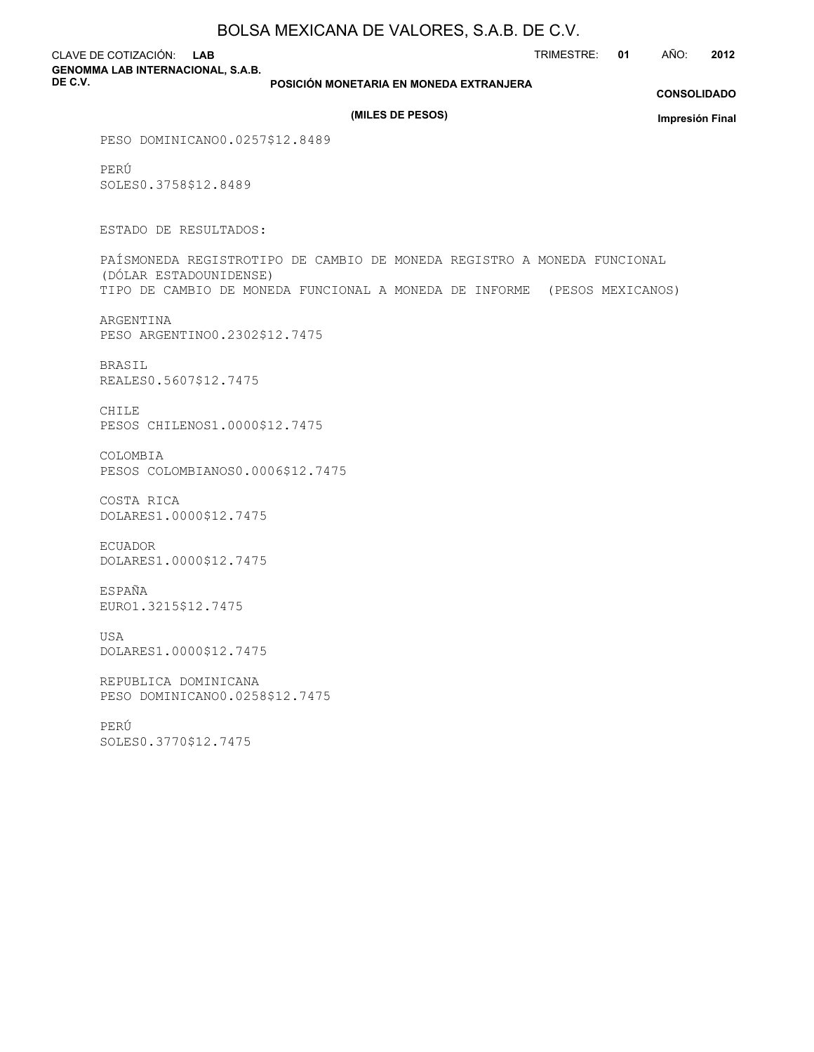CLAVE DE COTIZACIÓN: **LAB GENOMMA LAB INTERNACIONAL, S.A.B. DE C.V.**

**POSICIÓN MONETARIA EN MONEDA EXTRANJERA**

**CONSOLIDADO**

TRIMESTRE: **01** AÑO: **2012**

#### **(MILES DE PESOS)**

**Impresión Final**

PESO DOMINICANO0.0257\$12.8489

PERÚ SOLES0.3758\$12.8489

ESTADO DE RESULTADOS:

PAÍSMONEDA REGISTROTIPO DE CAMBIO DE MONEDA REGISTRO A MONEDA FUNCIONAL (DÓLAR ESTADOUNIDENSE) TIPO DE CAMBIO DE MONEDA FUNCIONAL A MONEDA DE INFORME (PESOS MEXICANOS)

ARGENTINA PESO ARGENTINO0.2302\$12.7475

BRASIL REALES0.5607\$12.7475

CHILE PESOS CHILENOS1.0000\$12.7475

COLOMBIA PESOS COLOMBIANOS0.0006\$12.7475

COSTA RICA DOLARES1.0000\$12.7475

ECUADOR DOLARES1.0000\$12.7475

ESPAÑA EURO1.3215\$12.7475

USA DOLARES1.0000\$12.7475

REPUBLICA DOMINICANA PESO DOMINICANO0.0258\$12.7475

PERÚ SOLES0.3770\$12.7475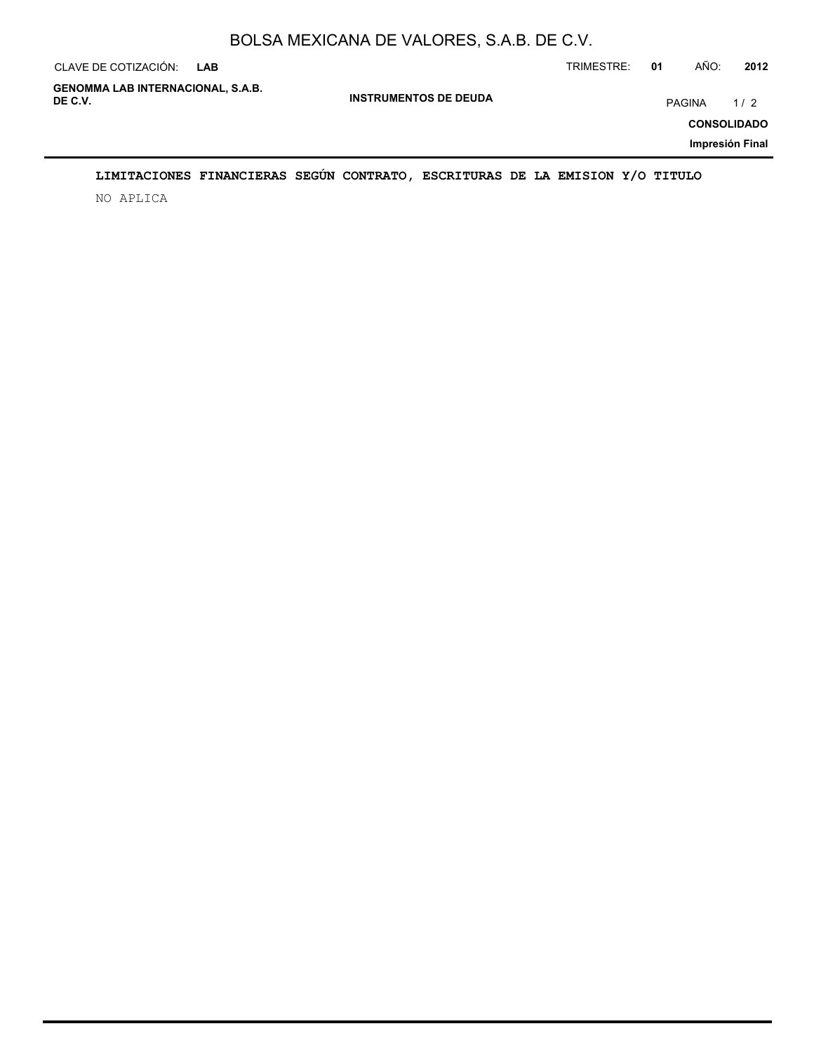| CLAVE DE COTIZACIÓN:                                | <b>LAB</b> |                              | TRIMESTRE: | 01     | AÑO: | 2012                      |
|-----------------------------------------------------|------------|------------------------------|------------|--------|------|---------------------------|
| <b>GENOMMA LAB INTERNACIONAL, S.A.B.</b><br>DE C.V. |            | <b>INSTRUMENTOS DE DEUDA</b> |            | PAGINA |      | 1/2<br><b>CONSOLIDADO</b> |
|                                                     |            |                              |            |        |      | Impresión Final           |

## **LIMITACIONES FINANCIERAS SEGÚN CONTRATO, ESCRITURAS DE LA EMISION Y/O TITULO**

NO APLICA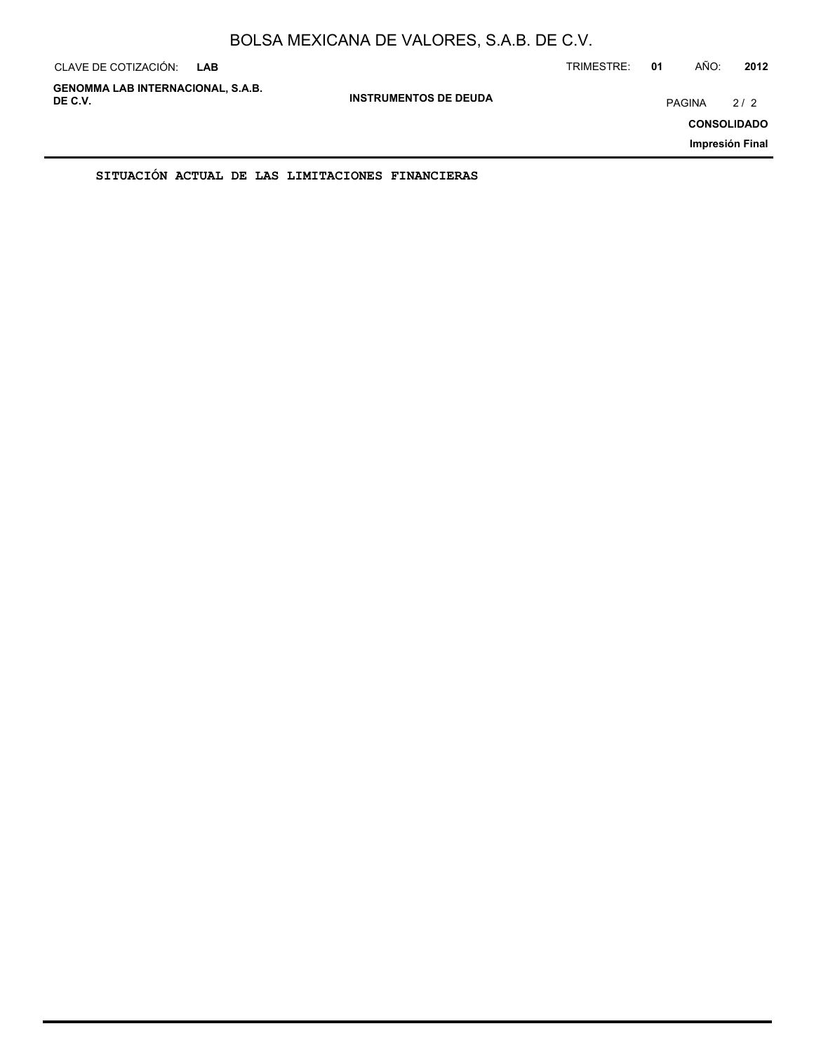| CLAVE DE COTIZACIÓN:                                | <b>LAB</b> |                              | TRIMESTRE: | 01            | AÑO: | 2012                                         |
|-----------------------------------------------------|------------|------------------------------|------------|---------------|------|----------------------------------------------|
| <b>GENOMMA LAB INTERNACIONAL, S.A.B.</b><br>DE C.V. |            | <b>INSTRUMENTOS DE DEUDA</b> |            | <b>PAGINA</b> |      | 2/2<br><b>CONSOLIDADO</b><br>Impresión Final |
|                                                     |            |                              |            |               |      |                                              |

**SITUACIÓN ACTUAL DE LAS LIMITACIONES FINANCIERAS**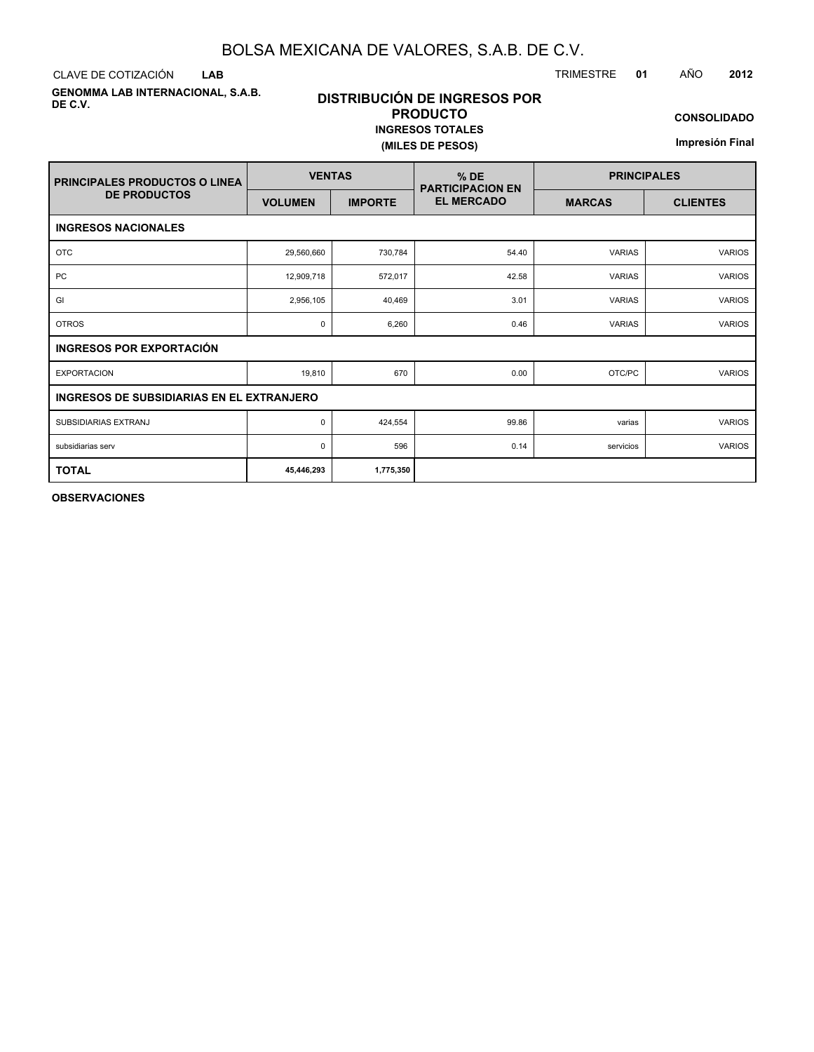**LAB**

**GENOMMA LAB INTERNACIONAL, S.A.B. DE C.V.**

## **DISTRIBUCIÓN DE INGRESOS POR PRODUCTO INGRESOS TOTALES (MILES DE PESOS)**

**CONSOLIDADO**

**Impresión Final**

| <b>PRINCIPALES PRODUCTOS O LINEA</b>      | <b>VENTAS</b>  |                | $%$ DE<br><b>PARTICIPACION EN</b> | <b>PRINCIPALES</b> |                 |  |  |
|-------------------------------------------|----------------|----------------|-----------------------------------|--------------------|-----------------|--|--|
| <b>DE PRODUCTOS</b>                       | <b>VOLUMEN</b> | <b>IMPORTE</b> | <b>EL MERCADO</b>                 | <b>MARCAS</b>      | <b>CLIENTES</b> |  |  |
| <b>INGRESOS NACIONALES</b>                |                |                |                                   |                    |                 |  |  |
| <b>OTC</b>                                | 29,560,660     | 730,784        | 54.40                             | <b>VARIAS</b>      | <b>VARIOS</b>   |  |  |
| <b>PC</b>                                 | 12,909,718     | 572,017        | 42.58                             | <b>VARIAS</b>      | <b>VARIOS</b>   |  |  |
| GI                                        | 2,956,105      | 40,469         | 3.01                              | <b>VARIAS</b>      | <b>VARIOS</b>   |  |  |
| <b>OTROS</b>                              | 0              | 6,260          | 0.46                              | <b>VARIAS</b>      | <b>VARIOS</b>   |  |  |
| <b>INGRESOS POR EXPORTACIÓN</b>           |                |                |                                   |                    |                 |  |  |
| <b>EXPORTACION</b>                        | 19,810         | 670            | 0.00                              | OTC/PC             | <b>VARIOS</b>   |  |  |
| INGRESOS DE SUBSIDIARIAS EN EL EXTRANJERO |                |                |                                   |                    |                 |  |  |
| SUBSIDIARIAS EXTRANJ                      | 0              | 424,554        | 99.86                             | varias             | <b>VARIOS</b>   |  |  |
| subsidiarias serv                         | 0              | 596            | 0.14                              | servicios          | <b>VARIOS</b>   |  |  |
| <b>TOTAL</b>                              | 45,446,293     | 1,775,350      |                                   |                    |                 |  |  |

**OBSERVACIONES**

CLAVE DE COTIZACIÓN TRIMESTRE **01** AÑO **2012**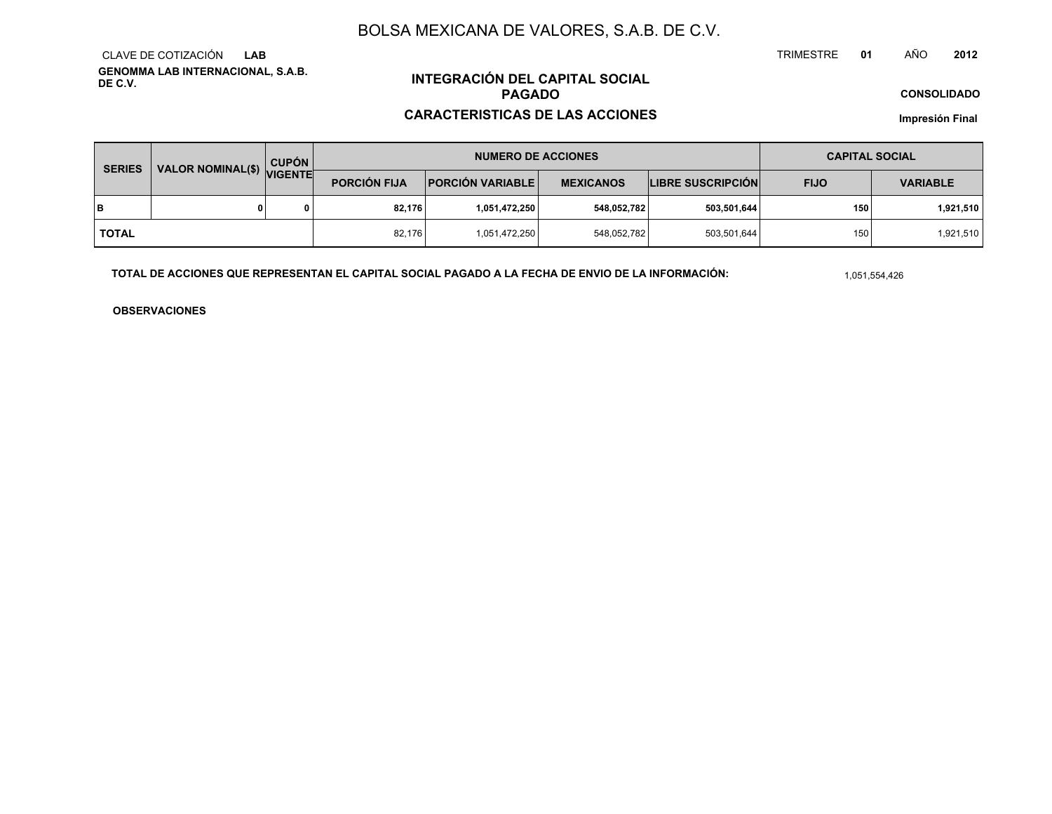**GENOMMA LAB INTERNACIONAL, S.A.B. DE C.V.**CLAVE DE COTIZACIÓN**LAB**

## **INTEGRACIÓN DEL CAPITAL SOCIALPAGADO**

#### **CARACTERISTICAS DE LAS ACCIONES**

**CONSOLIDADO**

**Impresión Final**

| VALOR NOMINAL(\$) VIGENTE<br><b>SERIES</b> |  | <b>CUPÓN</b>        |                         | <b>NUMERO DE ACCIONES</b> | <b>CAPITAL SOCIAL</b>    |             |                 |           |
|--------------------------------------------|--|---------------------|-------------------------|---------------------------|--------------------------|-------------|-----------------|-----------|
|                                            |  | <b>PORCIÓN FIJA</b> | <b>PORCIÓN VARIABLE</b> | <b>MEXICANOS</b>          | <b>LIBRE SUSCRIPCIÓN</b> | <b>FIJO</b> | <b>VARIABLE</b> |           |
| lв                                         |  |                     | 82.176                  | 1,051,472,250             | 548,052,782              | 503,501,644 | 150             | 1,921,510 |
| <b>TOTAL</b>                               |  |                     | 82,176                  | 1,051,472,250             | 548,052,782              | 503,501,644 | 150             | 1,921,510 |

**TOTAL DE ACCIONES QUE REPRESENTAN EL CAPITAL SOCIAL PAGADO A LA FECHA DE ENVIO DE LA INFORMACIÓN:**

1,051,554,426

TRIMESTRE

**OBSERVACIONES**

 **<sup>01</sup>** AÑO**<sup>2012</sup>**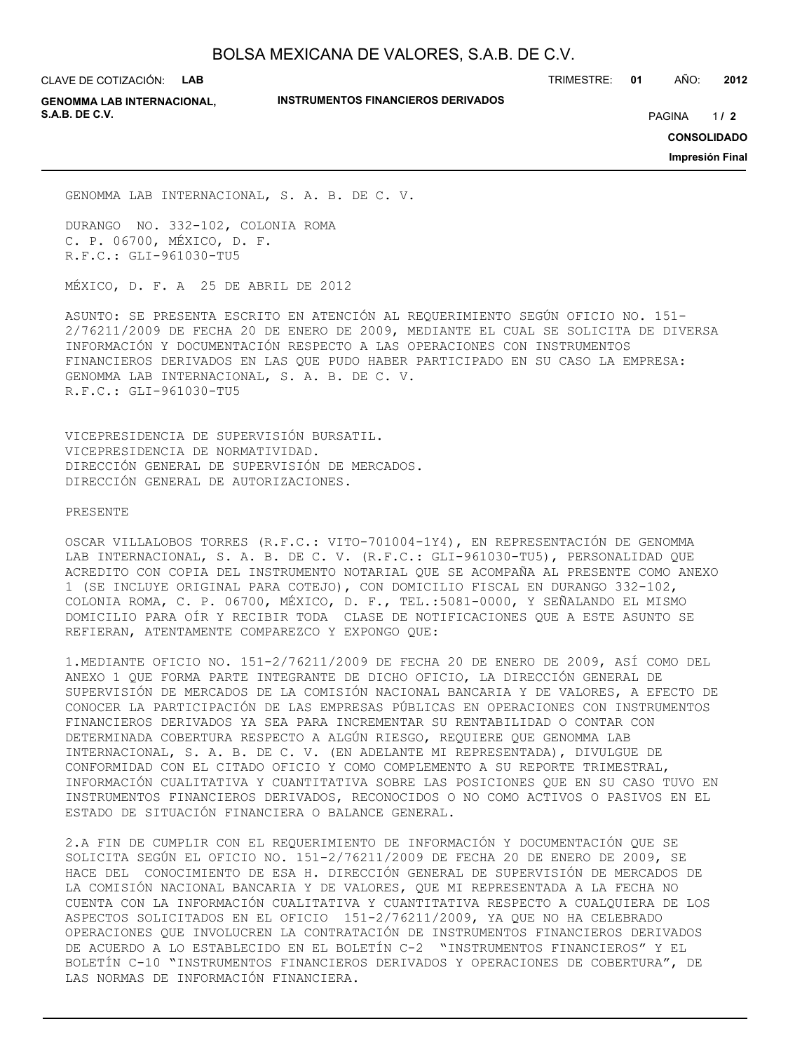CLAVE DE COTIZACIÓN: **LAB**

**INSTRUMENTOS FINANCIEROS DERIVADOS**

TRIMESTRE: **01** AÑO: **2012**

**GENOMMA LAB INTERNACIONAL, S.A.B. DE C.V.** PAGINA **/ 2**

 $1/2$ 

**CONSOLIDADO**

**Impresión Final**

GENOMMA LAB INTERNACIONAL, S. A. B. DE C. V.

DURANGO NO. 332-102, COLONIA ROMA C. P. 06700, MÉXICO, D. F. R.F.C.: GLI-961030-TU5

MÉXICO, D. F. A 25 DE ABRIL DE 2012

ASUNTO: SE PRESENTA ESCRITO EN ATENCIÓN AL REQUERIMIENTO SEGÚN OFICIO NO. 151- 2/76211/2009 DE FECHA 20 DE ENERO DE 2009, MEDIANTE EL CUAL SE SOLICITA DE DIVERSA INFORMACIÓN Y DOCUMENTACIÓN RESPECTO A LAS OPERACIONES CON INSTRUMENTOS FINANCIEROS DERIVADOS EN LAS QUE PUDO HABER PARTICIPADO EN SU CASO LA EMPRESA: GENOMMA LAB INTERNACIONAL, S. A. B. DE C. V. R.F.C.: GLI-961030-TU5

VICEPRESIDENCIA DE SUPERVISIÓN BURSATIL. VICEPRESIDENCIA DE NORMATIVIDAD. DIRECCIÓN GENERAL DE SUPERVISIÓN DE MERCADOS. DIRECCIÓN GENERAL DE AUTORIZACIONES.

PRESENTE

OSCAR VILLALOBOS TORRES (R.F.C.: VITO-701004-1Y4), EN REPRESENTACIÓN DE GENOMMA LAB INTERNACIONAL, S. A. B. DE C. V. (R.F.C.: GLI-961030-TU5), PERSONALIDAD QUE ACREDITO CON COPIA DEL INSTRUMENTO NOTARIAL QUE SE ACOMPAÑA AL PRESENTE COMO ANEXO 1 (SE INCLUYE ORIGINAL PARA COTEJO), CON DOMICILIO FISCAL EN DURANGO 332-102, COLONIA ROMA, C. P. 06700, MÉXICO, D. F., TEL.:5081-0000, Y SEÑALANDO EL MISMO DOMICILIO PARA OÍR Y RECIBIR TODA CLASE DE NOTIFICACIONES QUE A ESTE ASUNTO SE REFIERAN, ATENTAMENTE COMPAREZCO Y EXPONGO QUE:

1.MEDIANTE OFICIO NO. 151-2/76211/2009 DE FECHA 20 DE ENERO DE 2009, ASÍ COMO DEL ANEXO 1 QUE FORMA PARTE INTEGRANTE DE DICHO OFICIO, LA DIRECCIÓN GENERAL DE SUPERVISIÓN DE MERCADOS DE LA COMISIÓN NACIONAL BANCARIA Y DE VALORES, A EFECTO DE CONOCER LA PARTICIPACIÓN DE LAS EMPRESAS PÚBLICAS EN OPERACIONES CON INSTRUMENTOS FINANCIEROS DERIVADOS YA SEA PARA INCREMENTAR SU RENTABILIDAD O CONTAR CON DETERMINADA COBERTURA RESPECTO A ALGÚN RIESGO, REQUIERE QUE GENOMMA LAB INTERNACIONAL, S. A. B. DE C. V. (EN ADELANTE MI REPRESENTADA), DIVULGUE DE CONFORMIDAD CON EL CITADO OFICIO Y COMO COMPLEMENTO A SU REPORTE TRIMESTRAL, INFORMACIÓN CUALITATIVA Y CUANTITATIVA SOBRE LAS POSICIONES QUE EN SU CASO TUVO EN INSTRUMENTOS FINANCIEROS DERIVADOS, RECONOCIDOS O NO COMO ACTIVOS O PASIVOS EN EL ESTADO DE SITUACIÓN FINANCIERA O BALANCE GENERAL.

2.A FIN DE CUMPLIR CON EL REQUERIMIENTO DE INFORMACIÓN Y DOCUMENTACIÓN QUE SE SOLICITA SEGÚN EL OFICIO NO. 151-2/76211/2009 DE FECHA 20 DE ENERO DE 2009, SE HACE DEL CONOCIMIENTO DE ESA H. DIRECCIÓN GENERAL DE SUPERVISIÓN DE MERCADOS DE LA COMISIÓN NACIONAL BANCARIA Y DE VALORES, QUE MI REPRESENTADA A LA FECHA NO CUENTA CON LA INFORMACIÓN CUALITATIVA Y CUANTITATIVA RESPECTO A CUALQUIERA DE LOS ASPECTOS SOLICITADOS EN EL OFICIO 151-2/76211/2009, YA QUE NO HA CELEBRADO OPERACIONES QUE INVOLUCREN LA CONTRATACIÓN DE INSTRUMENTOS FINANCIEROS DERIVADOS DE ACUERDO A LO ESTABLECIDO EN EL BOLETÍN C-2 "INSTRUMENTOS FINANCIEROS" Y EL BOLETÍN C-10 "INSTRUMENTOS FINANCIEROS DERIVADOS Y OPERACIONES DE COBERTURA", DE LAS NORMAS DE INFORMACIÓN FINANCIERA.